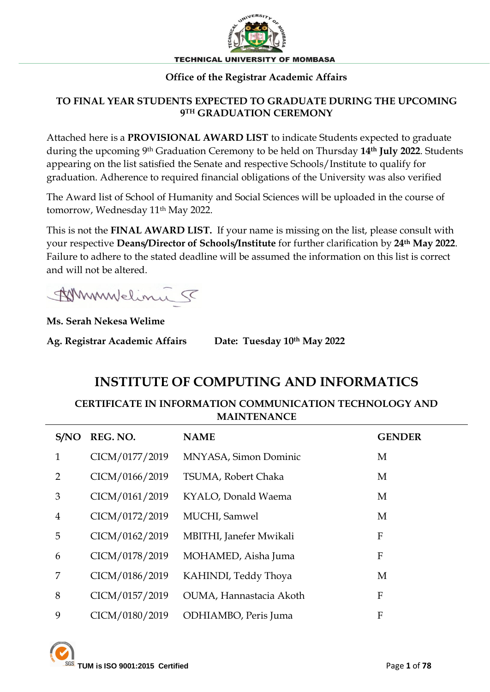

#### **Office of the Registrar Academic Affairs**

## **TO FINAL YEAR STUDENTS EXPECTED TO GRADUATE DURING THE UPCOMING 9 TH GRADUATION CEREMONY**

Attached here is a **PROVISIONAL AWARD LIST** to indicate Students expected to graduate during the upcoming 9th Graduation Ceremony to be held on Thursday **14th July 2022**. Students appearing on the list satisfied the Senate and respective Schools/Institute to qualify for graduation. Adherence to required financial obligations of the University was also verified

The Award list of School of Humanity and Social Sciences will be uploaded in the course of tomorrow, Wednesday 11<sup>th</sup> May 2022.

This is not the **FINAL AWARD LIST.** If your name is missing on the list, please consult with your respective **Deans/Director of Schools/Institute** for further clarification by **24th May 2022**. Failure to adhere to the stated deadline will be assumed the information on this list is correct and will not be altered.

Ammudelina 5

**Ms. Serah Nekesa Welime**

**Ag. Registrar Academic Affairs Date: Tuesday 10th May 2022**

## **INSTITUTE OF COMPUTING AND INFORMATICS**

**CERTIFICATE IN INFORMATION COMMUNICATION TECHNOLOGY AND MAINTENANCE**

| S/NO           | REG. NO.       | <b>NAME</b>             | <b>GENDER</b>    |
|----------------|----------------|-------------------------|------------------|
| $\mathbf{1}$   | CICM/0177/2019 | MNYASA, Simon Dominic   | M                |
| $\overline{2}$ | CICM/0166/2019 | TSUMA, Robert Chaka     | M                |
| 3              | CICM/0161/2019 | KYALO, Donald Waema     | M                |
| $\overline{4}$ | CICM/0172/2019 | MUCHI, Samwel           | M                |
| 5              | CICM/0162/2019 | MBITHI, Janefer Mwikali | F                |
| 6              | CICM/0178/2019 | MOHAMED, Aisha Juma     | F                |
| 7              | CICM/0186/2019 | KAHINDI, Teddy Thoya    | M                |
| 8              | CICM/0157/2019 | OUMA, Hannastacia Akoth | F                |
| 9              | CICM/0180/2019 | ODHIAMBO, Peris Juma    | $\boldsymbol{F}$ |

**TUM is ISO 9001:2015 Certified** Page **1** of **78**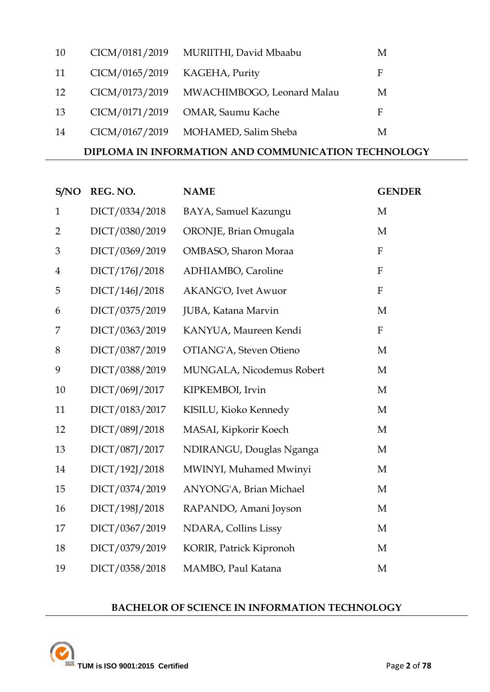| 10 | CICM/0181/2019 | MURIITHI, David Mbaabu     | M |
|----|----------------|----------------------------|---|
| 11 | CICM/0165/2019 | KAGEHA, Purity             | F |
| 12 | CICM/0173/2019 | MWACHIMBOGO, Leonard Malau | M |
| 13 | CICM/0171/2019 | OMAR, Saumu Kache          | F |
| 14 | CICM/0167/2019 | MOHAMED, Salim Sheba       | M |

## **DIPLOMA IN INFORMATION AND COMMUNICATION TECHNOLOGY**

| S/NO           | REG. NO.       | <b>NAME</b>                | <b>GENDER</b> |
|----------------|----------------|----------------------------|---------------|
| $\mathbf{1}$   | DICT/0334/2018 | BAYA, Samuel Kazungu       | M             |
| $\overline{2}$ | DICT/0380/2019 | ORONJE, Brian Omugala      | M             |
| 3              | DICT/0369/2019 | OMBASO, Sharon Moraa       | $\mathbf{F}$  |
| $\overline{4}$ | DICT/176J/2018 | ADHIAMBO, Caroline         | $\mathbf{F}$  |
| 5              | DICT/146J/2018 | <b>AKANG'O, Ivet Awuor</b> | $\mathbf{F}$  |
| 6              | DICT/0375/2019 | JUBA, Katana Marvin        | M             |
| 7              | DICT/0363/2019 | KANYUA, Maureen Kendi      | ${\bf F}$     |
| 8              | DICT/0387/2019 | OTIANG'A, Steven Otieno    | $\mathbf{M}$  |
| 9              | DICT/0388/2019 | MUNGALA, Nicodemus Robert  | M             |
| 10             | DICT/069J/2017 | KIPKEMBOI, Irvin           | M             |
| 11             | DICT/0183/2017 | KISILU, Kioko Kennedy      | M             |
| 12             | DICT/089J/2018 | MASAI, Kipkorir Koech      | M             |
| 13             | DICT/087J/2017 | NDIRANGU, Douglas Nganga   | M             |
| 14             | DICT/192J/2018 | MWINYI, Muhamed Mwinyi     | M             |
| 15             | DICT/0374/2019 | ANYONG'A, Brian Michael    | M             |
| 16             | DICT/198J/2018 | RAPANDO, Amani Joyson      | M             |
| 17             | DICT/0367/2019 | NDARA, Collins Lissy       | $\mathbf M$   |
| 18             | DICT/0379/2019 | KORIR, Patrick Kipronoh    | M             |
| 19             | DICT/0358/2018 | MAMBO, Paul Katana         | $\mathbf M$   |

## **BACHELOR OF SCIENCE IN INFORMATION TECHNOLOGY**

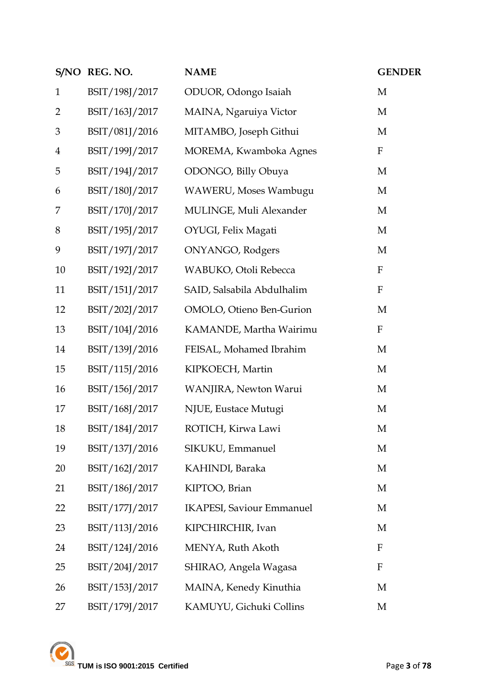|                | S/NO REG. NO.  | <b>NAME</b>                      | <b>GENDER</b> |
|----------------|----------------|----------------------------------|---------------|
| $\mathbf{1}$   | BSIT/198J/2017 | ODUOR, Odongo Isaiah             | M             |
| $\overline{2}$ | BSIT/163J/2017 | MAINA, Ngaruiya Victor           | M             |
| 3              | BSIT/081J/2016 | MITAMBO, Joseph Githui           | M             |
| $\overline{4}$ | BSIT/199J/2017 | MOREMA, Kwamboka Agnes           | $\mathbf F$   |
| 5              | BSIT/194J/2017 | ODONGO, Billy Obuya              | M             |
| 6              | BSIT/180J/2017 | WAWERU, Moses Wambugu            | M             |
| 7              | BSIT/170J/2017 | MULINGE, Muli Alexander          | M             |
| 8              | BSIT/195J/2017 | OYUGI, Felix Magati              | M             |
| 9              | BSIT/197J/2017 | ONYANGO, Rodgers                 | M             |
| 10             | BSIT/192J/2017 | WABUKO, Otoli Rebecca            | $\mathbf F$   |
| 11             | BSIT/151J/2017 | SAID, Salsabila Abdulhalim       | $\mathbf F$   |
| 12             | BSIT/202J/2017 | OMOLO, Otieno Ben-Gurion         | M             |
| 13             | BSIT/104J/2016 | KAMANDE, Martha Wairimu          | $\mathbf F$   |
| 14             | BSIT/139J/2016 | FEISAL, Mohamed Ibrahim          | M             |
| 15             | BSIT/115J/2016 | KIPKOECH, Martin                 | M             |
| 16             | BSIT/156J/2017 | WANJIRA, Newton Warui            | M             |
| 17             | BSIT/168J/2017 | NJUE, Eustace Mutugi             | M             |
| 18             | BSIT/184J/2017 | ROTICH, Kirwa Lawi               | M             |
| 19             | BSIT/137J/2016 | SIKUKU, Emmanuel                 | M             |
| 20             | BSIT/162J/2017 | KAHINDI, Baraka                  | M             |
| 21             | BSIT/186J/2017 | KIPTOO, Brian                    | M             |
| 22             | BSIT/177J/2017 | <b>IKAPESI, Saviour Emmanuel</b> | M             |
| 23             | BSIT/113J/2016 | KIPCHIRCHIR, Ivan                | M             |
| 24             | BSIT/124J/2016 | MENYA, Ruth Akoth                | $\mathbf{F}$  |
| 25             | BSIT/204J/2017 | SHIRAO, Angela Wagasa            | $\mathbf F$   |
| 26             | BSIT/153J/2017 | MAINA, Kenedy Kinuthia           | M             |
| 27             | BSIT/179J/2017 | KAMUYU, Gichuki Collins          | M             |

TUM is ISO 9001:2015 Certified Page 3 of 78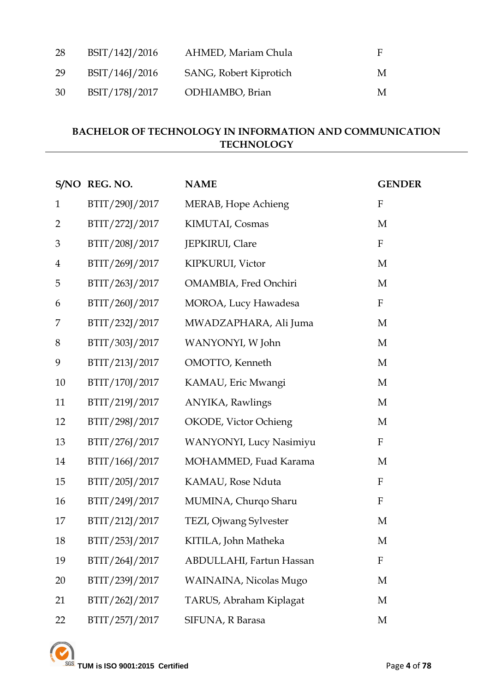| 28 | BSIT/142J/2016 | AHMED, Mariam Chula    | F |
|----|----------------|------------------------|---|
| 29 | BSIT/146J/2016 | SANG, Robert Kiprotich | M |
| 30 | BSIT/178J/2017 | ODHIAMBO, Brian        | M |

## **BACHELOR OF TECHNOLOGY IN INFORMATION AND COMMUNICATION TECHNOLOGY**

|                | S/NO REG. NO.  | <b>NAME</b>              | <b>GENDER</b> |
|----------------|----------------|--------------------------|---------------|
| $\mathbf{1}$   | BTIT/290J/2017 | MERAB, Hope Achieng      | $\mathbf{F}$  |
| $\overline{2}$ | BTIT/272J/2017 | KIMUTAI, Cosmas          | M             |
| 3              | BTIT/208J/2017 | JEPKIRUI, Clare          | $\mathbf{F}$  |
| $\overline{4}$ | BTIT/269J/2017 | KIPKURUI, Victor         | M             |
| 5              | BTIT/263J/2017 | OMAMBIA, Fred Onchiri    | M             |
| 6              | BTIT/260J/2017 | MOROA, Lucy Hawadesa     | $\mathbf F$   |
| 7              | BTIT/232J/2017 | MWADZAPHARA, Ali Juma    | M             |
| 8              | BTIT/303J/2017 | WANYONYI, W John         | M             |
| 9              | BTIT/213J/2017 | OMOTTO, Kenneth          | M             |
| 10             | BTIT/170J/2017 | KAMAU, Eric Mwangi       | M             |
| 11             | BTIT/219J/2017 | ANYIKA, Rawlings         | M             |
| 12             | BTIT/298J/2017 | OKODE, Victor Ochieng    | M             |
| 13             | BTIT/276J/2017 | WANYONYI, Lucy Nasimiyu  | ${\bf F}$     |
| 14             | BTIT/166J/2017 | MOHAMMED, Fuad Karama    | M             |
| 15             | BTIT/205J/2017 | KAMAU, Rose Nduta        | ${\bf F}$     |
| 16             | BTIT/249J/2017 | MUMINA, Churqo Sharu     | $\rm F$       |
| 17             | BTIT/212J/2017 | TEZI, Ojwang Sylvester   | M             |
| 18             | BTIT/253J/2017 | KITILA, John Matheka     | M             |
| 19             | BTIT/264J/2017 | ABDULLAHI, Fartun Hassan | F             |
| 20             | BTIT/239J/2017 | WAINAINA, Nicolas Mugo   | M             |
| 21             | BTIT/262J/2017 | TARUS, Abraham Kiplagat  | M             |
| 22             | BTIT/257J/2017 | SIFUNA, R Barasa         | M             |

**TUM** is ISO 9001:2015 Certified **Page 4** of 78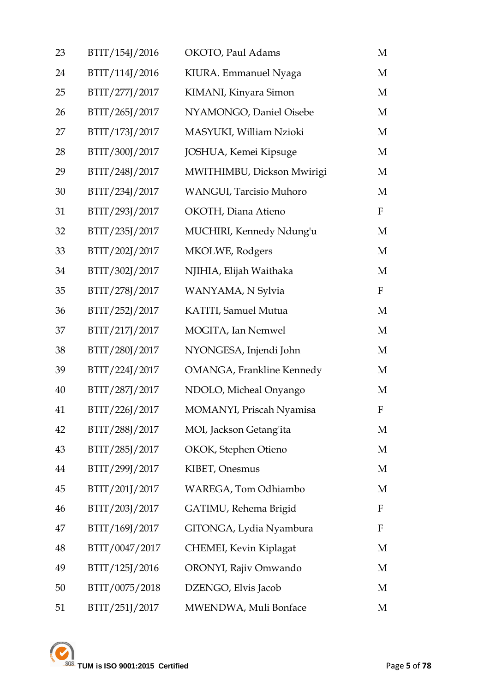| 23 | BTIT/154J/2016 | OKOTO, Paul Adams                 | M                         |
|----|----------------|-----------------------------------|---------------------------|
| 24 | BTIT/114J/2016 | KIURA. Emmanuel Nyaga             | М                         |
| 25 | BTIT/277J/2017 | KIMANI, Kinyara Simon             | M                         |
| 26 | BTIT/265J/2017 | NYAMONGO, Daniel Oisebe           | M                         |
| 27 | BTIT/173J/2017 | MASYUKI, William Nzioki           | M                         |
| 28 | BTIT/300J/2017 | JOSHUA, Kemei Kipsuge             | M                         |
| 29 | BTIT/248J/2017 | MWITHIMBU, Dickson Mwirigi        | M                         |
| 30 | BTIT/234J/2017 | WANGUI, Tarcisio Muhoro           | M                         |
| 31 | BTIT/293J/2017 | OKOTH, Diana Atieno               | $\mathbf{F}$              |
| 32 | BTIT/235J/2017 | MUCHIRI, Kennedy Ndung'u          | M                         |
| 33 | BTIT/202J/2017 | MKOLWE, Rodgers                   | M                         |
| 34 | BTIT/302J/2017 | NJIHIA, Elijah Waithaka           | M                         |
| 35 | BTIT/278J/2017 | WANYAMA, N Sylvia                 | $\boldsymbol{\mathrm{F}}$ |
| 36 | BTIT/252J/2017 | KATITI, Samuel Mutua              | M                         |
| 37 | BTIT/217J/2017 | MOGITA, Ian Nemwel                | M                         |
| 38 | BTIT/280J/2017 | NYONGESA, Injendi John            | M                         |
| 39 | BTIT/224J/2017 | <b>OMANGA</b> , Frankline Kennedy | M                         |
| 40 | BTIT/287J/2017 | NDOLO, Micheal Onyango            | M                         |
| 41 | BTIT/226J/2017 | MOMANYI, Priscah Nyamisa          | F                         |
| 42 | BTIT/288J/2017 | MOI, Jackson Getang'ita           | М                         |
| 43 | BTIT/285J/2017 | OKOK, Stephen Otieno              | М                         |
| 44 | BTIT/299J/2017 | KIBET, Onesmus                    | М                         |
| 45 | BTIT/201J/2017 | WAREGA, Tom Odhiambo              | M                         |
| 46 | BTIT/203J/2017 | GATIMU, Rehema Brigid             | F                         |
| 47 | BTIT/169J/2017 | GITONGA, Lydia Nyambura           | F                         |
| 48 | BTIT/0047/2017 | CHEMEI, Kevin Kiplagat            | М                         |
| 49 | BTIT/125J/2016 | ORONYI, Rajiv Omwando             | М                         |
| 50 | BTIT/0075/2018 | DZENGO, Elvis Jacob               | М                         |
| 51 | BTIT/251J/2017 | MWENDWA, Muli Bonface             | М                         |

**TUM is ISO 9001:2015 Certified** Page 5 of 78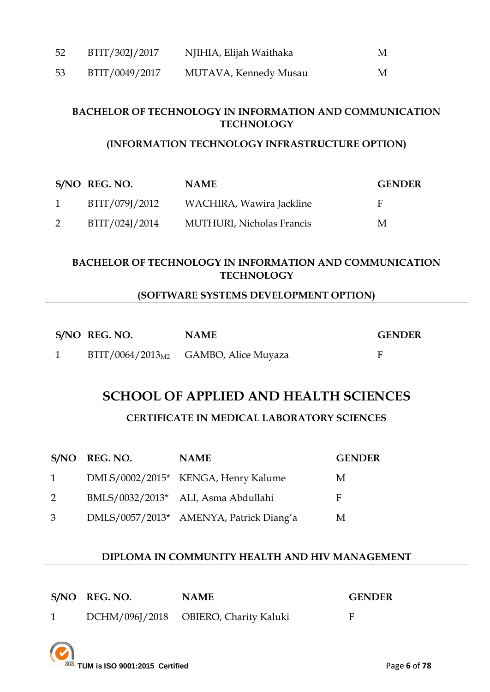| 52 | BTIT/302J/2017 | NJIHIA, Elijah Waithaka | M |
|----|----------------|-------------------------|---|
| 53 | BTIT/0049/2017 | MUTAVA, Kennedy Musau   | M |

#### **BACHELOR OF TECHNOLOGY IN INFORMATION AND COMMUNICATION TECHNOLOGY**

#### **(INFORMATION TECHNOLOGY INFRASTRUCTURE OPTION)**

|   | S/NO REG. NO.  | <b>NAME</b>                       | <b>GENDER</b> |
|---|----------------|-----------------------------------|---------------|
| 1 | BTIT/079J/2012 | WACHIRA, Wawira Jackline          | н             |
|   | BTIT/024J/2014 | <b>MUTHURI</b> , Nicholas Francis | M             |

### **BACHELOR OF TECHNOLOGY IN INFORMATION AND COMMUNICATION TECHNOLOGY**

## **(SOFTWARE SYSTEMS DEVELOPMENT OPTION)**

| S/NO REG. NO. | <b>NAME</b>                              | <b>GENDER</b> |
|---------------|------------------------------------------|---------------|
|               | $BTT/0064/2013_{M2}$ GAMBO, Alice Muyaza |               |

## **SCHOOL OF APPLIED AND HEALTH SCIENCES**

#### **CERTIFICATE IN MEDICAL LABORATORY SCIENCES**

|           | S/NO REG. NO. | <b>NAME</b>                             | <b>GENDER</b> |
|-----------|---------------|-----------------------------------------|---------------|
| $1 \quad$ |               | DMLS/0002/2015* KENGA, Henry Kalume     | M             |
| 2         |               | BMLS/0032/2013* ALI, Asma Abdullahi     | F             |
| 3         |               | DMLS/0057/2013* AMENYA, Patrick Diang'a | M             |

#### **DIPLOMA IN COMMUNITY HEALTH AND HIV MANAGEMENT**

| S/NO REG. NO. | <b>NAME</b>                           | <b>GENDER</b> |
|---------------|---------------------------------------|---------------|
|               | DCHM/096J/2018 OBIERO, Charity Kaluki |               |

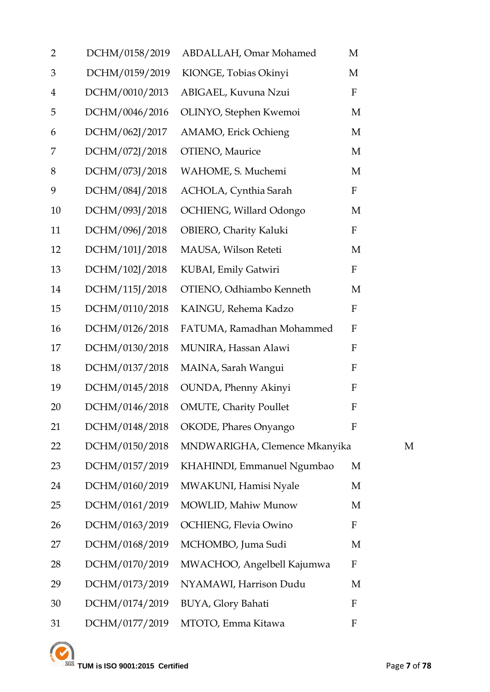| $\overline{2}$ | DCHM/0158/2019 | ABDALLAH, Omar Mohamed        | M                |   |
|----------------|----------------|-------------------------------|------------------|---|
| 3              | DCHM/0159/2019 | KIONGE, Tobias Okinyi         | M                |   |
| 4              | DCHM/0010/2013 | ABIGAEL, Kuvuna Nzui          | $\mathbf F$      |   |
| 5              | DCHM/0046/2016 | OLINYO, Stephen Kwemoi        | M                |   |
| 6              | DCHM/062J/2017 | AMAMO, Erick Ochieng          | M                |   |
| 7              | DCHM/072J/2018 | OTIENO, Maurice               | M                |   |
| 8              | DCHM/073J/2018 | WAHOME, S. Muchemi            | M                |   |
| 9              | DCHM/084J/2018 | ACHOLA, Cynthia Sarah         | $\mathbf F$      |   |
| 10             | DCHM/093J/2018 | OCHIENG, Willard Odongo       | M                |   |
| 11             | DCHM/096J/2018 | OBIERO, Charity Kaluki        | $\mathbf F$      |   |
| 12             | DCHM/101J/2018 | MAUSA, Wilson Reteti          | M                |   |
| 13             | DCHM/102J/2018 | KUBAI, Emily Gatwiri          | $\mathbf F$      |   |
| 14             | DCHM/115J/2018 | OTIENO, Odhiambo Kenneth      | M                |   |
| 15             | DCHM/0110/2018 | KAINGU, Rehema Kadzo          | F                |   |
| 16             | DCHM/0126/2018 | FATUMA, Ramadhan Mohammed     | F                |   |
| 17             | DCHM/0130/2018 | MUNIRA, Hassan Alawi          | F                |   |
| 18             | DCHM/0137/2018 | MAINA, Sarah Wangui           | F                |   |
| 19             | DCHM/0145/2018 | OUNDA, Phenny Akinyi          | F                |   |
| 20             | DCHM/0146/2018 | <b>OMUTE, Charity Poullet</b> | $\boldsymbol{F}$ |   |
| 21             | DCHM/0148/2018 | OKODE, Phares Onyango         | $\mathbf{F}$     |   |
| 22             | DCHM/0150/2018 | MNDWARIGHA, Clemence Mkanyika |                  | M |
| 23             | DCHM/0157/2019 | KHAHINDI, Emmanuel Ngumbao    | M                |   |
| 24             | DCHM/0160/2019 | MWAKUNI, Hamisi Nyale         | M                |   |
| 25             | DCHM/0161/2019 | MOWLID, Mahiw Munow           | M                |   |
| 26             | DCHM/0163/2019 | OCHIENG, Flevia Owino         | F                |   |
| 27             | DCHM/0168/2019 | MCHOMBO, Juma Sudi            | M                |   |
| 28             | DCHM/0170/2019 | MWACHOO, Angelbell Kajumwa    | F                |   |
| 29             | DCHM/0173/2019 | NYAMAWI, Harrison Dudu        | M                |   |
| 30             | DCHM/0174/2019 | BUYA, Glory Bahati            | $\boldsymbol{F}$ |   |
| 31             | DCHM/0177/2019 | MTOTO, Emma Kitawa            | $\mathbf{F}$     |   |



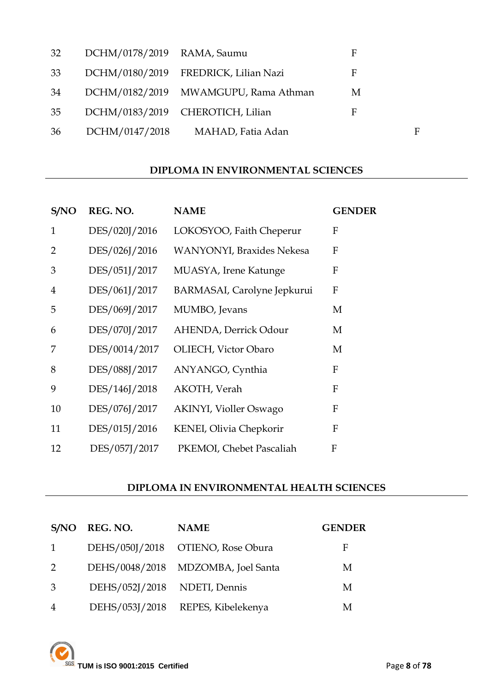| 32 | DCHM/0178/2019 RAMA, Saumu |                                      | F |             |
|----|----------------------------|--------------------------------------|---|-------------|
| 33 |                            | DCHM/0180/2019 FREDRICK, Lilian Nazi | F |             |
| 34 |                            | DCHM/0182/2019 MWAMGUPU, Rama Athman | М |             |
| 35 |                            | DCHM/0183/2019 CHEROTICH, Lilian     | F |             |
| 36 | DCHM/0147/2018             | MAHAD, Fatia Adan                    |   | $\mathbf F$ |

## **DIPLOMA IN ENVIRONMENTAL SCIENCES**

| S/NO           | REG. NO.      | <b>NAME</b>                       | <b>GENDER</b> |
|----------------|---------------|-----------------------------------|---------------|
| $\mathbf{1}$   | DES/020J/2016 | LOKOSYOO, Faith Cheperur          | F             |
| 2              | DES/026J/2016 | <b>WANYONYI</b> , Braxides Nekesa | F             |
| 3              | DES/051J/2017 | MUASYA, Irene Katunge             | F             |
| $\overline{4}$ | DES/061J/2017 | BARMASAI, Carolyne Jepkurui       | $\mathbf{F}$  |
| 5              | DES/069J/2017 | MUMBO, Jevans                     | M             |
| 6              | DES/070J/2017 | AHENDA, Derrick Odour             | M             |
| 7              | DES/0014/2017 | OLIECH, Victor Obaro              | M             |
| 8              | DES/088J/2017 | ANYANGO, Cynthia                  | F             |
| 9              | DES/146J/2018 | AKOTH, Verah                      | F             |
| 10             | DES/076J/2017 | <b>AKINYI, Violler Oswago</b>     | $\mathbf{F}$  |
| 11             | DES/015J/2016 | KENEI, Olivia Chepkorir           | $\mathbf{F}$  |
| 12             | DES/057J/2017 | PKEMOI, Chebet Pascaliah          | F             |

#### **DIPLOMA IN ENVIRONMENTAL HEALTH SCIENCES**

| S/NO          | REG. NO.                     | <b>NAME</b>                        | <b>GENDER</b> |
|---------------|------------------------------|------------------------------------|---------------|
|               |                              | DEHS/050J/2018 OTIENO, Rose Obura  | F             |
| $\mathcal{P}$ |                              | DEHS/0048/2018 MDZOMBA, Joel Santa | М             |
| -3            | DEHS/052J/2018 NDETI, Dennis |                                    | М             |
| 4             |                              | DEHS/053J/2018 REPES, Kibelekenya  | M             |

**TUM is ISO 9001:2015 Certified** Page 8 of 78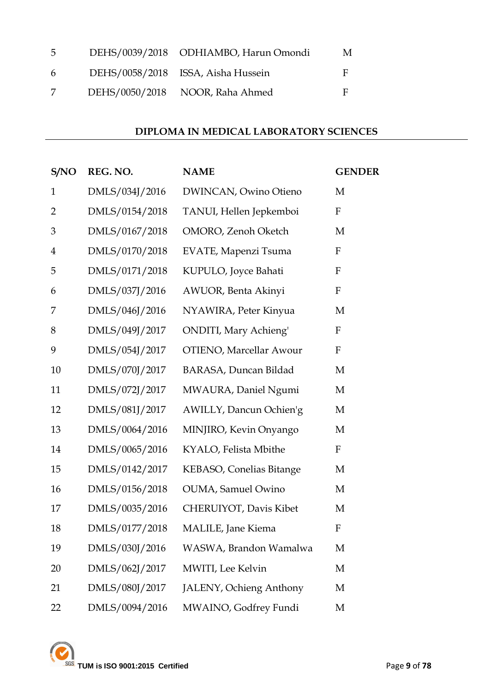| 5 | DEHS/0039/2018 ODHIAMBO, Harun Omondi | M |
|---|---------------------------------------|---|
| 6 | DEHS/0058/2018 ISSA, Aisha Hussein    | E |
|   | DEHS/0050/2018 NOOR, Raha Ahmed       | Е |

### **DIPLOMA IN MEDICAL LABORATORY SCIENCES**

| S/NO           | REG. NO.       | <b>NAME</b>                    | <b>GENDER</b>    |
|----------------|----------------|--------------------------------|------------------|
| $\mathbf{1}$   | DMLS/034J/2016 | DWINCAN, Owino Otieno          | M                |
| $\overline{2}$ | DMLS/0154/2018 | TANUI, Hellen Jepkemboi        | F                |
| 3              | DMLS/0167/2018 | OMORO, Zenoh Oketch            | M                |
| $\overline{4}$ | DMLS/0170/2018 | EVATE, Mapenzi Tsuma           | F                |
| 5              | DMLS/0171/2018 | KUPULO, Joyce Bahati           | $\boldsymbol{F}$ |
| 6              | DMLS/037J/2016 | AWUOR, Benta Akinyi            | $\boldsymbol{F}$ |
| 7              | DMLS/046J/2016 | NYAWIRA, Peter Kinyua          | M                |
| 8              | DMLS/049J/2017 | <b>ONDITI</b> , Mary Achieng'  | F                |
| 9              | DMLS/054J/2017 | <b>OTIENO, Marcellar Awour</b> | F                |
| 10             | DMLS/070J/2017 | BARASA, Duncan Bildad          | M                |
| 11             | DMLS/072J/2017 | MWAURA, Daniel Ngumi           | M                |
| 12             | DMLS/081J/2017 | AWILLY, Dancun Ochien'g        | M                |
| 13             | DMLS/0064/2016 | MINJIRO, Kevin Onyango         | M                |
| 14             | DMLS/0065/2016 | KYALO, Felista Mbithe          | $\mathbf F$      |
| 15             | DMLS/0142/2017 | KEBASO, Conelias Bitange       | M                |
| 16             | DMLS/0156/2018 | <b>OUMA</b> , Samuel Owino     | M                |
| 17             | DMLS/0035/2016 | CHERUIYOT, Davis Kibet         | M                |
| 18             | DMLS/0177/2018 | <b>MALILE</b> , Jane Kiema     | F                |
| 19             | DMLS/030J/2016 | WASWA, Brandon Wamalwa         | M                |
| 20             | DMLS/062J/2017 | MWITI, Lee Kelvin              | M                |
| 21             | DMLS/080J/2017 | JALENY, Ochieng Anthony        | M                |
| 22             | DMLS/0094/2016 | MWAINO, Godfrey Fundi          | M                |

**TUM** is ISO 9001:2015 Certified Page 9 of 78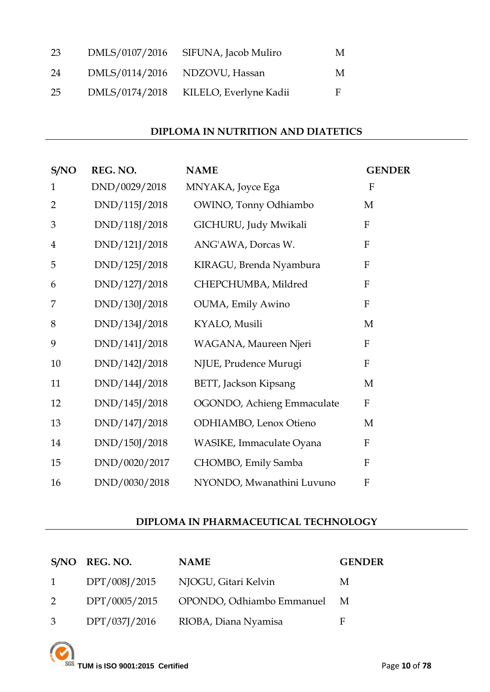| 23 | DMLS/0107/2016 | SIFUNA, Jacob Muliro          | М |
|----|----------------|-------------------------------|---|
| 24 |                | DMLS/0114/2016 NDZOVU, Hassan | M |
| 25 | DMLS/0174/2018 | KILELO, Everlyne Kadii        | F |

#### **DIPLOMA IN NUTRITION AND DIATETICS**

| S/NO           | REG. NO.      | <b>NAME</b>                  | <b>GENDER</b>             |
|----------------|---------------|------------------------------|---------------------------|
| $\mathbf{1}$   | DND/0029/2018 | MNYAKA, Joyce Ega            | $\mathbf{F}$              |
| $\overline{2}$ | DND/115J/2018 | OWINO, Tonny Odhiambo        | M                         |
| 3              | DND/118J/2018 | GICHURU, Judy Mwikali        | $\mathbf{F}$              |
| $\overline{4}$ | DND/121J/2018 | ANG'AWA, Dorcas W.           | ${\bf F}$                 |
| 5              | DND/125J/2018 | KIRAGU, Brenda Nyambura      | ${\bf F}$                 |
| 6              | DND/127J/2018 | CHEPCHUMBA, Mildred          | F                         |
| 7              | DND/130J/2018 | OUMA, Emily Awino            | ${\bf F}$                 |
| 8              | DND/134J/2018 | KYALO, Musili                | M                         |
| 9              | DND/141J/2018 | WAGANA, Maureen Njeri        | $\boldsymbol{\mathrm{F}}$ |
| 10             | DND/142J/2018 | NJUE, Prudence Murugi        | ${\bf F}$                 |
| 11             | DND/144J/2018 | <b>BETT, Jackson Kipsang</b> | M                         |
| 12             | DND/145J/2018 | OGONDO, Achieng Emmaculate   | $\boldsymbol{F}$          |
| 13             | DND/147J/2018 | ODHIAMBO, Lenox Otieno       | M                         |
| 14             | DND/150J/2018 | WASIKE, Immaculate Oyana     | ${\bf F}$                 |
| 15             | DND/0020/2017 | CHOMBO, Emily Samba          | ${\bf F}$                 |
| 16             | DND/0030/2018 | NYONDO, Mwanathini Luvuno    | ${\bf F}$                 |

## **DIPLOMA IN PHARMACEUTICAL TECHNOLOGY**

|          | S/NO REG. NO. | <b>NAME</b>                 | <b>GENDER</b> |
|----------|---------------|-----------------------------|---------------|
| $\sim$ 1 | DPT/008J/2015 | NJOGU, Gitari Kelvin        | M             |
| 2        | DPT/0005/2015 | OPONDO, Odhiambo Emmanuel M |               |
| 3        | DPT/037J/2016 | RIOBA, Diana Nyamisa        | F             |

**TUM is ISO 9001:2015 Certified** Page 10 of 78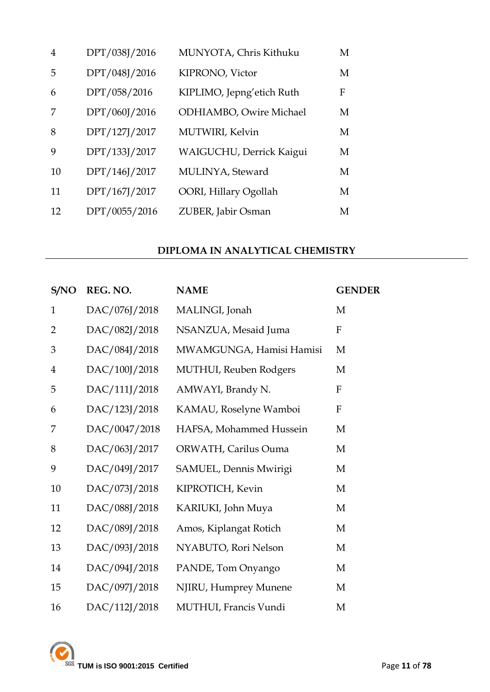| $\overline{4}$ | DPT/038J/2016 | MUNYOTA, Chris Kithuku    | M |
|----------------|---------------|---------------------------|---|
| 5              | DPT/048J/2016 | KIPRONO, Victor           | M |
| 6              | DPT/058/2016  | KIPLIMO, Jepng'etich Ruth | F |
| 7              | DPT/060J/2016 | ODHIAMBO, Owire Michael   | M |
| 8              | DPT/127J/2017 | MUTWIRI, Kelvin           | M |
| 9              | DPT/133J/2017 | WAIGUCHU, Derrick Kaigui  | M |
| 10             | DPT/146J/2017 | MULINYA, Steward          | M |
| 11             | DPT/167J/2017 | OORI, Hillary Ogollah     | M |
| 12             | DPT/0055/2016 | ZUBER, Jabir Osman        | M |

### **DIPLOMA IN ANALYTICAL CHEMISTRY**

| S/NO           | REG. NO.      | <b>NAME</b>                    | <b>GENDER</b> |
|----------------|---------------|--------------------------------|---------------|
| $\mathbf{1}$   | DAC/076J/2018 | MALINGI, Jonah                 | M             |
| $\overline{2}$ | DAC/082J/2018 | NSANZUA, Mesaid Juma           | ${\bf F}$     |
| 3              | DAC/084J/2018 | MWAMGUNGA, Hamisi Hamisi       | M             |
| $\overline{4}$ | DAC/100J/2018 | <b>MUTHUI</b> , Reuben Rodgers | M             |
| 5              | DAC/111J/2018 | AMWAYI, Brandy N.              | $\mathbf{F}$  |
| 6              | DAC/123J/2018 | KAMAU, Roselyne Wamboi         | F             |
| 7              | DAC/0047/2018 | HAFSA, Mohammed Hussein        | M             |
| 8              | DAC/063J/2017 | ORWATH, Carilus Ouma           | M             |
| 9              | DAC/049J/2017 | SAMUEL, Dennis Mwirigi         | M             |
| 10             | DAC/073J/2018 | KIPROTICH, Kevin               | M             |
| 11             | DAC/088J/2018 | KARIUKI, John Muya             | M             |
| 12             | DAC/089J/2018 | Amos, Kiplangat Rotich         | M             |
| 13             | DAC/093J/2018 | NYABUTO, Rori Nelson           | M             |
| 14             | DAC/094J/2018 | PANDE, Tom Onyango             | M             |
| 15             | DAC/097J/2018 | NJIRU, Humprey Munene          | M             |
| 16             | DAC/112J/2018 | MUTHUI, Francis Vundi          | M             |

TUM is ISO 9001:2015 Certified Page 11 of 78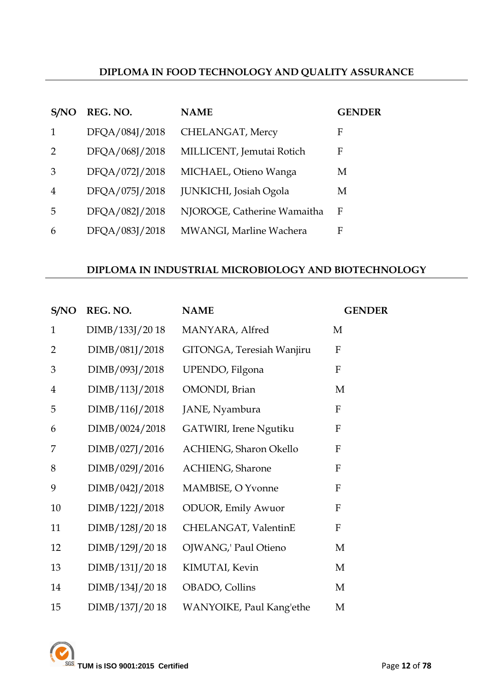### **DIPLOMA IN FOOD TECHNOLOGY AND QUALITY ASSURANCE**

| S/NO          | REG. NO.       | <b>NAME</b>                 | <b>GENDER</b> |
|---------------|----------------|-----------------------------|---------------|
|               | DFQA/084J/2018 | CHELANGAT, Mercy            | F             |
| $\mathcal{P}$ | DFQA/068J/2018 | MILLICENT, Jemutai Rotich   | F             |
| 3             | DFQA/072J/2018 | MICHAEL, Otieno Wanga       | M             |
| 4             | DFQA/075J/2018 | JUNKICHI, Josiah Ogola      | М             |
| 5             | DFQA/082J/2018 | NJOROGE, Catherine Wamaitha | F             |
| 6             | DFOA/083J/2018 | MWANGI, Marline Wachera     | F             |

### **DIPLOMA IN INDUSTRIAL MICROBIOLOGY AND BIOTECHNOLOGY**

| S/NO           | REG. NO.       | <b>NAME</b>                | <b>GENDER</b> |
|----------------|----------------|----------------------------|---------------|
| $\mathbf{1}$   | DIMB/133J/2018 | MANYARA, Alfred            | M             |
| $\overline{2}$ | DIMB/081J/2018 | GITONGA, Teresiah Wanjiru  | ${\bf F}$     |
| 3              | DIMB/093J/2018 | UPENDO, Filgona            | $\mathbf{F}$  |
| $\overline{4}$ | DIMB/113J/2018 | OMONDI, Brian              | M             |
| 5              | DIMB/116J/2018 | JANE, Nyambura             | $\mathbf F$   |
| 6              | DIMB/0024/2018 | GATWIRI, Irene Ngutiku     | $\mathbf F$   |
| 7              | DIMB/027J/2016 | ACHIENG, Sharon Okello     | $\mathbf{F}$  |
| 8              | DIMB/029J/2016 | ACHIENG, Sharone           | $\mathbf{F}$  |
| 9              | DIMB/042J/2018 | MAMBISE, O Yvonne          | F             |
| 10             | DIMB/122J/2018 | <b>ODUOR</b> , Emily Awuor | F             |
| 11             | DIMB/128J/2018 | CHELANGAT, ValentinE       | $\mathbf{F}$  |
| 12             | DIMB/129J/2018 | OJWANG,' Paul Otieno       | M             |
| 13             | DIMB/131J/2018 | KIMUTAI, Kevin             | M             |
| 14             | DIMB/134J/2018 | OBADO, Collins             | M             |
| 15             | DIMB/137J/2018 | WANYOIKE, Paul Kang'ethe   | M             |

**TUM is ISO 9001:2015 Certified** Page **12** of **78**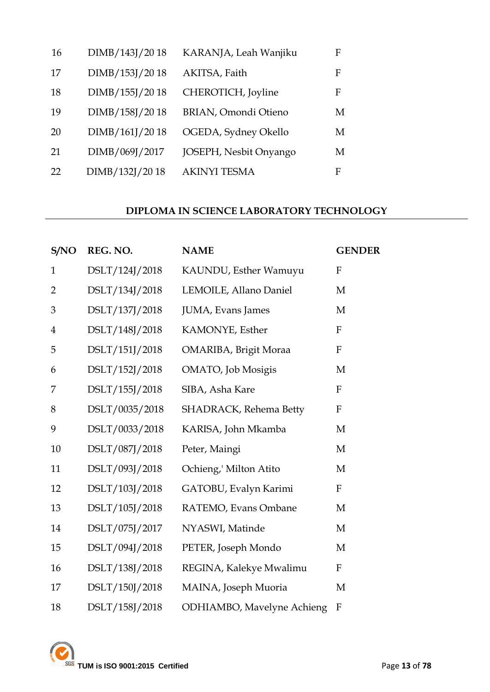| 16 | DIMB/143J/2018 | KARANJA, Leah Wanjiku       | F |
|----|----------------|-----------------------------|---|
| 17 | DIMB/153J/2018 | AKITSA, Faith               | F |
| 18 | DIMB/155J/2018 | CHEROTICH, Joyline          | F |
| 19 | DIMB/158J/2018 | <b>BRIAN, Omondi Otieno</b> | М |
| 20 | DIMB/161J/2018 | OGEDA, Sydney Okello        | M |
| 21 | DIMB/069J/2017 | JOSEPH, Nesbit Onyango      | M |
| 22 | DIMB/132J/2018 | <b>AKINYI TESMA</b>         | F |

#### **DIPLOMA IN SCIENCE LABORATORY TECHNOLOGY**

| S/NO           | REG. NO.       | <b>NAME</b>                        | <b>GENDER</b>             |
|----------------|----------------|------------------------------------|---------------------------|
| $\mathbf{1}$   | DSLT/124J/2018 | KAUNDU, Esther Wamuyu              | F                         |
| $\overline{2}$ | DSLT/134J/2018 | LEMOILE, Allano Daniel             | M                         |
| 3              | DSLT/137J/2018 | JUMA, Evans James                  | M                         |
| $\overline{4}$ | DSLT/148J/2018 | KAMONYE, Esther                    | $\mathbf{F}$              |
| 5              | DSLT/151J/2018 | OMARIBA, Brigit Moraa              | ${\bf F}$                 |
| 6              | DSLT/152J/2018 | OMATO, Job Mosigis                 | M                         |
| 7              | DSLT/155J/2018 | SIBA, Asha Kare                    | $\mathbf{F}$              |
| 8              | DSLT/0035/2018 | SHADRACK, Rehema Betty             | $\mathbf{F}$              |
| 9              | DSLT/0033/2018 | KARISA, John Mkamba                | M                         |
| 10             | DSLT/087J/2018 | Peter, Maingi                      | M                         |
| 11             | DSLT/093J/2018 | Ochieng,' Milton Atito             | M                         |
| 12             | DSLT/103J/2018 | GATOBU, Evalyn Karimi              | $\mathbf{F}$              |
| 13             | DSLT/105J/2018 | RATEMO, Evans Ombane               | M                         |
| 14             | DSLT/075J/2017 | NYASWI, Matinde                    | M                         |
| 15             | DSLT/094J/2018 | PETER, Joseph Mondo                | M                         |
| 16             | DSLT/138J/2018 | REGINA, Kalekye Mwalimu            | $\boldsymbol{\mathrm{F}}$ |
| 17             | DSLT/150J/2018 | MAINA, Joseph Muoria               | M                         |
| 18             | DSLT/158J/2018 | <b>ODHIAMBO</b> , Mavelyne Achieng | $\boldsymbol{\mathrm{F}}$ |

**TUM is ISO 9001:2015 Certified** Page 13 of 78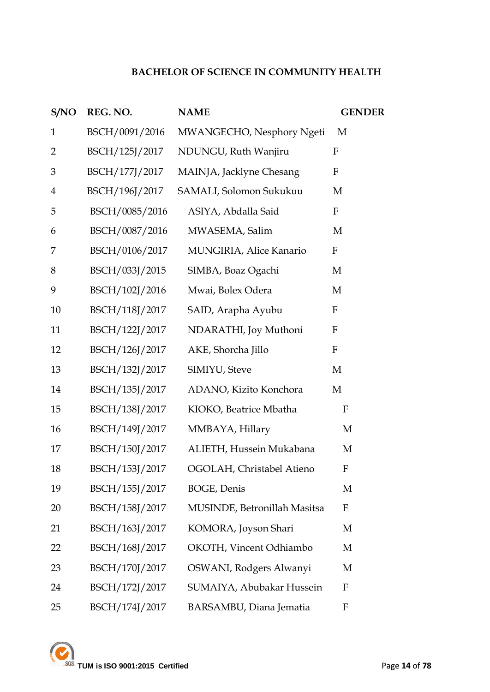## **BACHELOR OF SCIENCE IN COMMUNITY HEALTH**

| S/NO           | REG. NO.       | <b>NAME</b>                  | <b>GENDER</b>             |
|----------------|----------------|------------------------------|---------------------------|
| $\mathbf{1}$   | BSCH/0091/2016 | MWANGECHO, Nesphory Ngeti    | M                         |
| $\overline{2}$ | BSCH/125J/2017 | NDUNGU, Ruth Wanjiru         | F                         |
| 3              | BSCH/177J/2017 | MAINJA, Jacklyne Chesang     | F                         |
| $\overline{4}$ | BSCH/196J/2017 | SAMALI, Solomon Sukukuu      | M                         |
| 5              | BSCH/0085/2016 | ASIYA, Abdalla Said          | $\mathbf{F}$              |
| 6              | BSCH/0087/2016 | MWASEMA, Salim               | M                         |
| 7              | BSCH/0106/2017 | MUNGIRIA, Alice Kanario      | $\boldsymbol{\mathrm{F}}$ |
| 8              | BSCH/033J/2015 | SIMBA, Boaz Ogachi           | M                         |
| 9              | BSCH/102J/2016 | Mwai, Bolex Odera            | M                         |
| 10             | BSCH/118J/2017 | SAID, Arapha Ayubu           | $\mathbf F$               |
| 11             | BSCH/122J/2017 | NDARATHI, Joy Muthoni        | $\boldsymbol{F}$          |
| 12             | BSCH/126J/2017 | AKE, Shorcha Jillo           | $\boldsymbol{F}$          |
| 13             | BSCH/132J/2017 | SIMIYU, Steve                | M                         |
| 14             | BSCH/135J/2017 | ADANO, Kizito Konchora       | M                         |
| 15             | BSCH/138J/2017 | KIOKO, Beatrice Mbatha       | F                         |
| 16             | BSCH/149J/2017 | MMBAYA, Hillary              | M                         |
| 17             | BSCH/150J/2017 | ALIETH, Hussein Mukabana     | M                         |
| 18             | BSCH/153J/2017 | OGOLAH, Christabel Atieno    | F                         |
| 19             | BSCH/155J/2017 | BOGE, Denis                  | M                         |
| 20             | BSCH/158J/2017 | MUSINDE, Betronillah Masitsa | $\boldsymbol{F}$          |
| 21             | BSCH/163J/2017 | KOMORA, Joyson Shari         | M                         |
| 22             | BSCH/168J/2017 | OKOTH, Vincent Odhiambo      | M                         |
| 23             | BSCH/170J/2017 | OSWANI, Rodgers Alwanyi      | M                         |
| 24             | BSCH/172J/2017 | SUMAIYA, Abubakar Hussein    | $\mathbf{F}$              |
| 25             | BSCH/174J/2017 | BARSAMBU, Diana Jematia      | F                         |

**TUM is ISO 9001:2015 Certified** Page 14 of 78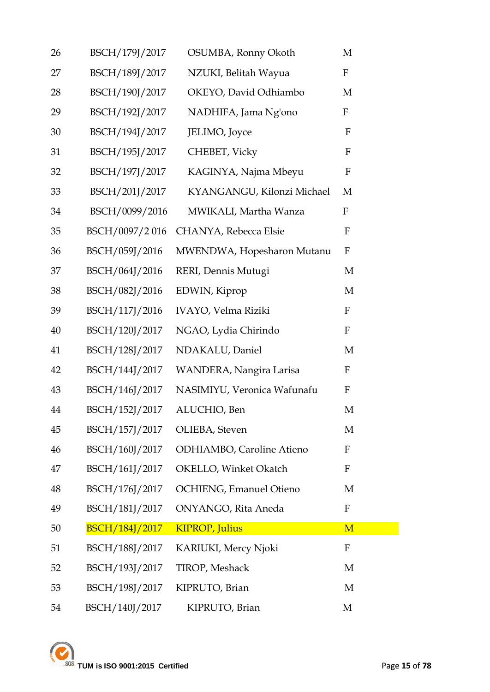| 26 | BSCH/179J/2017        | OSUMBA, Ronny Okoth            | M                |
|----|-----------------------|--------------------------------|------------------|
| 27 | BSCH/189J/2017        | NZUKI, Belitah Wayua           | $\rm F$          |
| 28 | BSCH/190J/2017        | OKEYO, David Odhiambo          | M                |
| 29 | BSCH/192J/2017        | NADHIFA, Jama Ng'ono           | $\mathbf F$      |
| 30 | BSCH/194J/2017        | JELIMO, Joyce                  | $\mathbf F$      |
| 31 | BSCH/195J/2017        | CHEBET, Vicky                  | ${\bf F}$        |
| 32 | BSCH/197J/2017        | KAGINYA, Najma Mbeyu           | ${\bf F}$        |
| 33 | BSCH/201J/2017        | KYANGANGU, Kilonzi Michael     | M                |
| 34 | BSCH/0099/2016        | MWIKALI, Martha Wanza          | $\mathbf F$      |
| 35 | BSCH/0097/2016        | CHANYA, Rebecca Elsie          | F                |
| 36 | BSCH/059J/2016        | MWENDWA, Hopesharon Mutanu     | ${\bf F}$        |
| 37 | BSCH/064J/2016        | RERI, Dennis Mutugi            | M                |
| 38 | BSCH/082J/2016        | EDWIN, Kiprop                  | M                |
| 39 | BSCH/117J/2016        | IVAYO, Velma Riziki            | $\boldsymbol{F}$ |
| 40 | BSCH/120J/2017        | NGAO, Lydia Chirindo           | $\mathbf F$      |
| 41 | BSCH/128J/2017        | NDAKALU, Daniel                | M                |
| 42 | BSCH/144J/2017        | WANDERA, Nangira Larisa        | $\mathbf F$      |
| 43 | BSCH/146J/2017        | NASIMIYU, Veronica Wafunafu    | F                |
| 44 | BSCH/152J/2017        | ALUCHIO, Ben                   | M                |
| 45 | BSCH/157J/2017        | OLIEBA, Steven                 | M                |
| 46 | BSCH/160J/2017        | ODHIAMBO, Caroline Atieno      | F                |
| 47 | BSCH/161J/2017        | OKELLO, Winket Okatch          | $\mathbf F$      |
| 48 | BSCH/176J/2017        | <b>OCHIENG, Emanuel Otieno</b> | M                |
| 49 | BSCH/181J/2017        | ONYANGO, Rita Aneda            | $\mathbf{F}$     |
| 50 | <b>BSCH/184J/2017</b> | <b>KIPROP, Julius</b>          | M                |
| 51 | BSCH/188J/2017        | <b>KARIUKI, Mercy Njoki</b>    | F                |
| 52 | BSCH/193J/2017        | TIROP, Meshack                 | M                |
| 53 | BSCH/198J/2017        | KIPRUTO, Brian                 | M                |
| 54 | BSCH/140J/2017        | KIPRUTO, Brian                 | M                |

TUM is ISO 9001:2015 Certified Page 15 of 78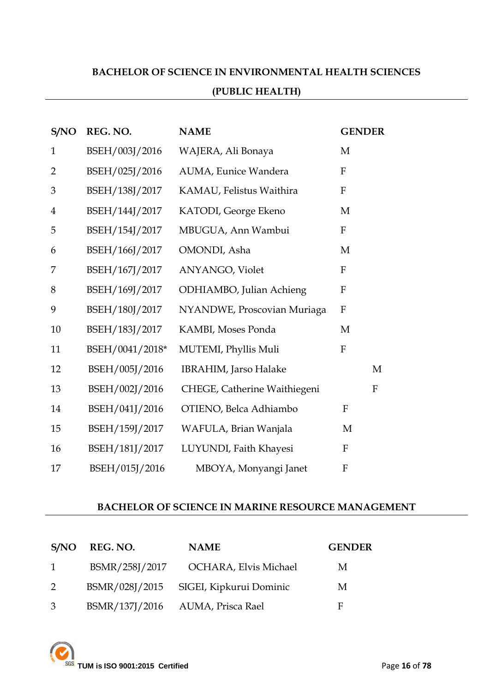## **BACHELOR OF SCIENCE IN ENVIRONMENTAL HEALTH SCIENCES**

#### **(PUBLIC HEALTH)**

| S/NO           | REG. NO.        | <b>NAME</b>                  | <b>GENDER</b>             |
|----------------|-----------------|------------------------------|---------------------------|
| $\mathbf{1}$   | BSEH/003J/2016  | WAJERA, Ali Bonaya           | M                         |
| $\overline{2}$ | BSEH/025J/2016  | AUMA, Eunice Wandera         | $\mathbf{F}$              |
| 3              | BSEH/138J/2017  | KAMAU, Felistus Waithira     | $\mathbf{F}$              |
| $\overline{4}$ | BSEH/144J/2017  | KATODI, George Ekeno         | M                         |
| 5              | BSEH/154J/2017  | MBUGUA, Ann Wambui           | $\boldsymbol{\mathrm{F}}$ |
| 6              | BSEH/166J/2017  | OMONDI, Asha                 | M                         |
| 7              | BSEH/167J/2017  | ANYANGO, Violet              | $\mathbf{F}$              |
| 8              | BSEH/169J/2017  | ODHIAMBO, Julian Achieng     | ${\bf F}$                 |
| 9              | BSEH/180J/2017  | NYANDWE, Proscovian Muriaga  | $\mathbf{F}$              |
| 10             | BSEH/183J/2017  | KAMBI, Moses Ponda           | M                         |
| 11             | BSEH/0041/2018* | MUTEMI, Phyllis Muli         | $\mathbf{F}$              |
| 12             | BSEH/005J/2016  | <b>IBRAHIM, Jarso Halake</b> | M                         |
| 13             | BSEH/002J/2016  | CHEGE, Catherine Waithiegeni | $\mathbf{F}$              |
| 14             | BSEH/041J/2016  | OTIENO, Belca Adhiambo       | $\mathbf F$               |
| 15             | BSEH/159J/2017  | WAFULA, Brian Wanjala        | M                         |
| 16             | BSEH/181J/2017  | LUYUNDI, Faith Khayesi       | $\rm F$                   |
| 17             | BSEH/015J/2016  | MBOYA, Monyangi Janet        | $\boldsymbol{\mathrm{F}}$ |

#### **BACHELOR OF SCIENCE IN MARINE RESOURCE MANAGEMENT**

|               | S/NO REG. NO. | <b>NAME</b>                            | <b>GENDER</b> |
|---------------|---------------|----------------------------------------|---------------|
| $\sim$ 1      |               | BSMR/258J/2017 OCHARA, Elvis Michael   | M             |
| $\mathcal{P}$ |               | BSMR/028J/2015 SIGEI, Kipkurui Dominic | M             |
| 3             |               | BSMR/137J/2016 AUMA, Prisca Rael       | F             |

**TUM is ISO 9001:2015 Certified Page 16** of **78**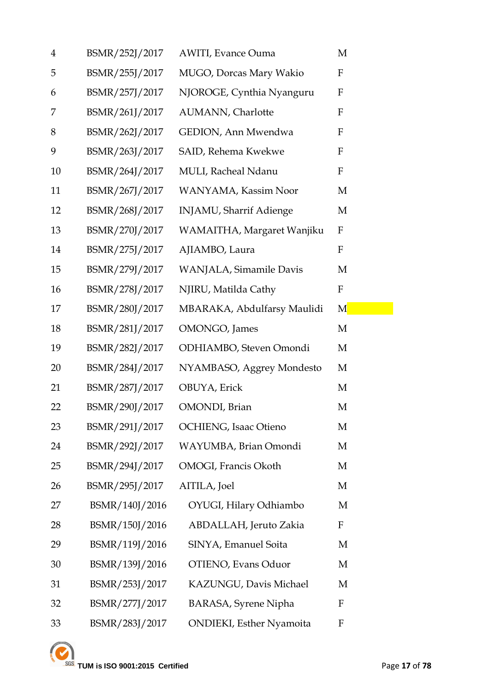| $\overline{4}$ | BSMR/252J/2017 | <b>AWITI, Evance Ouma</b>        | M           |
|----------------|----------------|----------------------------------|-------------|
| 5              | BSMR/255J/2017 | MUGO, Dorcas Mary Wakio          | F           |
| 6              | BSMR/257J/2017 | NJOROGE, Cynthia Nyanguru        | ${\bf F}$   |
| 7              | BSMR/261J/2017 | AUMANN, Charlotte                | F           |
| 8              | BSMR/262J/2017 | GEDION, Ann Mwendwa              | $\mathbf F$ |
| 9              | BSMR/263J/2017 | SAID, Rehema Kwekwe              | $\mathbf F$ |
| 10             | BSMR/264J/2017 | MULI, Racheal Ndanu              | $\mathbf F$ |
| 11             | BSMR/267J/2017 | WANYAMA, Kassim Noor             | M           |
| 12             | BSMR/268J/2017 | <b>INJAMU, Sharrif Adienge</b>   | M           |
| 13             | BSMR/270J/2017 | WAMAITHA, Margaret Wanjiku       | F           |
| 14             | BSMR/275J/2017 | AJIAMBO, Laura                   | F           |
| 15             | BSMR/279J/2017 | WANJALA, Simamile Davis          | M           |
| 16             | BSMR/278J/2017 | NJIRU, Matilda Cathy             | $\mathbf F$ |
| 17             | BSMR/280J/2017 | MBARAKA, Abdulfarsy Maulidi      | M           |
| 18             | BSMR/281J/2017 | OMONGO, James                    | M           |
| 19             | BSMR/282J/2017 | ODHIAMBO, Steven Omondi          | M           |
| 20             | BSMR/284J/2017 | NYAMBASO, Aggrey Mondesto        | M           |
| 21             | BSMR/287J/2017 | OBUYA, Erick                     | M           |
| 22             | BSMR/290J/2017 | OMONDI, Brian                    | M           |
| 23             | BSMR/291J/2017 | OCHIENG, Isaac Otieno            | M           |
| 24             | BSMR/292J/2017 | WAYUMBA, Brian Omondi            | M           |
| 25             | BSMR/294J/2017 | OMOGI, Francis Okoth             | M           |
| 26             | BSMR/295J/2017 | AITILA, Joel                     | M           |
| 27             | BSMR/140J/2016 | OYUGI, Hilary Odhiambo           | M           |
| 28             | BSMR/150J/2016 | ABDALLAH, Jeruto Zakia           | F           |
| 29             | BSMR/119J/2016 | SINYA, Emanuel Soita             | M           |
| 30             | BSMR/139J/2016 | OTIENO, Evans Oduor              | M           |
| 31             | BSMR/253J/2017 | KAZUNGU, Davis Michael           | M           |
| 32             | BSMR/277J/2017 | <b>BARASA, Syrene Nipha</b>      | F           |
| 33             | BSMR/283J/2017 | <b>ONDIEKI</b> , Esther Nyamoita | F           |

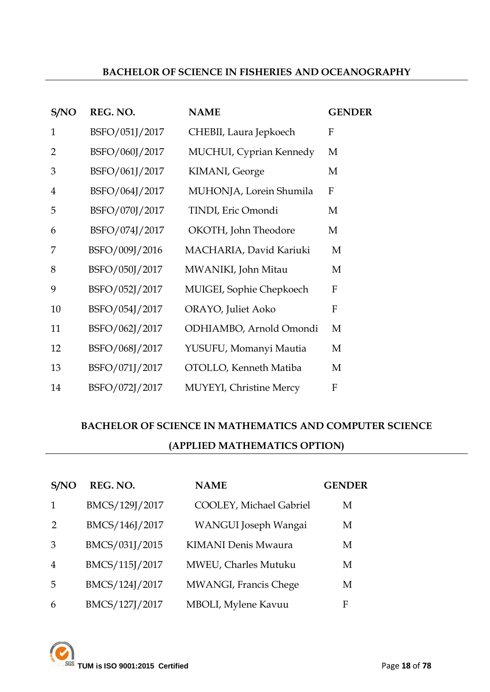#### **BACHELOR OF SCIENCE IN FISHERIES AND OCEANOGRAPHY**

| S/NO           | REG. NO.       | <b>NAME</b>                    | <b>GENDER</b> |
|----------------|----------------|--------------------------------|---------------|
| $\mathbf{1}$   | BSFO/051J/2017 | CHEBII, Laura Jepkoech         | F             |
| 2              | BSFO/060J/2017 | MUCHUI, Cyprian Kennedy        | M             |
| 3              | BSFO/061J/2017 | KIMANI, George                 | M             |
| $\overline{4}$ | BSFO/064J/2017 | MUHONJA, Lorein Shumila        | ${\bf F}$     |
| 5              | BSFO/070J/2017 | TINDI, Eric Omondi             | M             |
| 6              | BSFO/074J/2017 | OKOTH, John Theodore           | M             |
| 7              | BSFO/009J/2016 | MACHARIA, David Kariuki        | M             |
| 8              | BSFO/050J/2017 | MWANIKI, John Mitau            | M             |
| 9              | BSFO/052J/2017 | MUIGEI, Sophie Chepkoech       | F             |
| 10             | BSFO/054J/2017 | ORAYO, Juliet Aoko             | F             |
| 11             | BSFO/062J/2017 | ODHIAMBO, Arnold Omondi        | M             |
| 12             | BSFO/068J/2017 | YUSUFU, Momanyi Mautia         | M             |
| 13             | BSFO/071J/2017 | OTOLLO, Kenneth Matiba         | M             |
| 14             | BSFO/072J/2017 | <b>MUYEYI, Christine Mercy</b> | F             |

## **BACHELOR OF SCIENCE IN MATHEMATICS AND COMPUTER SCIENCE (APPLIED MATHEMATICS OPTION)**

| S/NO | REG. NO.       | <b>NAME</b>                | <b>GENDER</b> |
|------|----------------|----------------------------|---------------|
| 1    | BMCS/129J/2017 | COOLEY, Michael Gabriel    | M             |
| 2    | BMCS/146J/2017 | WANGUI Joseph Wangai       | М             |
| 3    | BMCS/031J/2015 | <b>KIMANI Denis Mwaura</b> | M             |
| 4    | BMCS/115J/2017 | MWEU, Charles Mutuku       | M             |
| 5    | BMCS/124J/2017 | MWANGI, Francis Chege      | М             |
| 6    | BMCS/127J/2017 | MBOLI, Mylene Kavuu        | F             |

**TUM is ISO 9001:2015 Certified** Page 18 of 78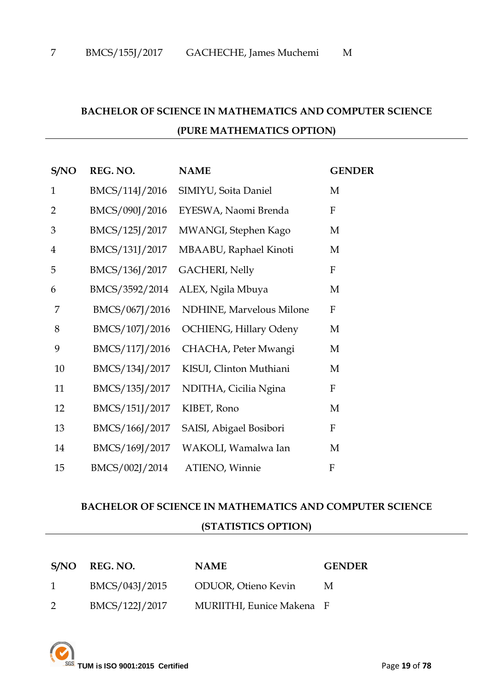## **BACHELOR OF SCIENCE IN MATHEMATICS AND COMPUTER SCIENCE (PURE MATHEMATICS OPTION)**

| S/NO           | REG. NO.       | <b>NAME</b>                   | <b>GENDER</b>             |
|----------------|----------------|-------------------------------|---------------------------|
| $\mathbf{1}$   | BMCS/114J/2016 | SIMIYU, Soita Daniel          | M                         |
| $\overline{2}$ | BMCS/090J/2016 | EYESWA, Naomi Brenda          | F                         |
| 3              | BMCS/125J/2017 | MWANGI, Stephen Kago          | M                         |
| $\overline{4}$ | BMCS/131J/2017 | MBAABU, Raphael Kinoti        | M                         |
| 5              | BMCS/136J/2017 | <b>GACHERI</b> , Nelly        | $\boldsymbol{\mathrm{F}}$ |
| 6              | BMCS/3592/2014 | ALEX, Ngila Mbuya             | M                         |
| 7              | BMCS/067J/2016 | NDHINE, Marvelous Milone      | $\boldsymbol{\mathrm{F}}$ |
| 8              | BMCS/107J/2016 | <b>OCHIENG, Hillary Odeny</b> | M                         |
| 9              | BMCS/117J/2016 | CHACHA, Peter Mwangi          | M                         |
| 10             | BMCS/134J/2017 | KISUI, Clinton Muthiani       | M                         |
| 11             | BMCS/135J/2017 | NDITHA, Cicilia Ngina         | F                         |
| 12             | BMCS/151J/2017 | KIBET, Rono                   | M                         |
| 13             | BMCS/166J/2017 | SAISI, Abigael Bosibori       | $\boldsymbol{F}$          |
| 14             | BMCS/169J/2017 | WAKOLI, Wamalwa Ian           | M                         |
| 15             | BMCS/002J/2014 | ATIENO, Winnie                | F                         |

#### **BACHELOR OF SCIENCE IN MATHEMATICS AND COMPUTER SCIENCE**

#### **(STATISTICS OPTION)**

| S/NO REG. NO.  | <b>NAME</b>                 | <b>GENDER</b> |
|----------------|-----------------------------|---------------|
| BMCS/043J/2015 | <b>ODUOR</b> , Otieno Kevin | M             |
| BMCS/122J/2017 | MURIITHI, Eunice Makena F   |               |

**TUM is ISO 9001:2015 Certified** Page **19** of **78**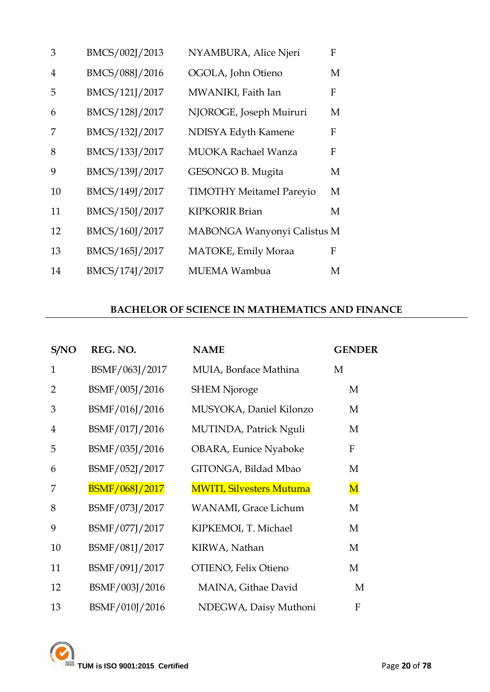| 3  | BMCS/002J/2013 | NYAMBURA, Alice Njeri           | F |
|----|----------------|---------------------------------|---|
| 4  | BMCS/088J/2016 | OGOLA, John Otieno              | M |
| 5  | BMCS/121J/2017 | MWANIKI, Faith Ian              | F |
| 6  | BMCS/128J/2017 | NJOROGE, Joseph Muiruri         | M |
|    | BMCS/132J/2017 | NDISYA Edyth Kamene             | F |
| 8  | BMCS/133J/2017 | <b>MUOKA Rachael Wanza</b>      | F |
| 9  | BMCS/139J/2017 | GESONGO B. Mugita               | M |
| 10 | BMCS/149J/2017 | <b>TIMOTHY MeitameI Pareyio</b> | М |
| 11 | BMCS/150J/2017 | <b>KIPKORIR Brian</b>           | М |
| 12 | BMCS/160J/2017 | MABONGA Wanyonyi Calistus M     |   |
| 13 | BMCS/165J/2017 | MATOKE, Emily Moraa             | F |
| 14 | BMCS/174J/2017 | MUEMA Wambua                    | M |

## **BACHELOR OF SCIENCE IN MATHEMATICS AND FINANCE**

| S/NO           | REG. NO.              | <b>NAME</b>                     | <b>GENDER</b>           |
|----------------|-----------------------|---------------------------------|-------------------------|
| $\mathbf{1}$   | BSMF/063J/2017        | MUIA, Bonface Mathina           | M                       |
| $\overline{2}$ | BSMF/005J/2016        | <b>SHEM Njoroge</b>             | M                       |
| 3              | BSMF/016J/2016        | MUSYOKA, Daniel Kilonzo         | M                       |
| 4              | BSMF/017J/2016        | MUTINDA, Patrick Nguli          | M                       |
| 5              | BSMF/035J/2016        | <b>OBARA, Eunice Nyaboke</b>    | ${\bf F}$               |
| 6              | BSMF/052J/2017        | GITONGA, Bildad Mbao            | M                       |
| 7              | <b>BSMF/068J/2017</b> | <b>MWITI, Silvesters Mutuma</b> | $\overline{\mathbf{M}}$ |
| 8              | BSMF/073J/2017        | <b>WANAMI</b> , Grace Lichum    | M                       |
| 9              | BSMF/077J/2017        | KIPKEMOI, T. Michael            | M                       |
| 10             | BSMF/081J/2017        | KIRWA, Nathan                   | M                       |
| 11             | BSMF/091J/2017        | OTIENO, Felix Otieno            | M                       |
| 12             | BSMF/003J/2016        | MAINA, Githae David             | M                       |
| 13             | BSMF/010J/2016        | NDEGWA, Daisy Muthoni           | F                       |

TUM is ISO 9001:2015 Certified Page 20 of 78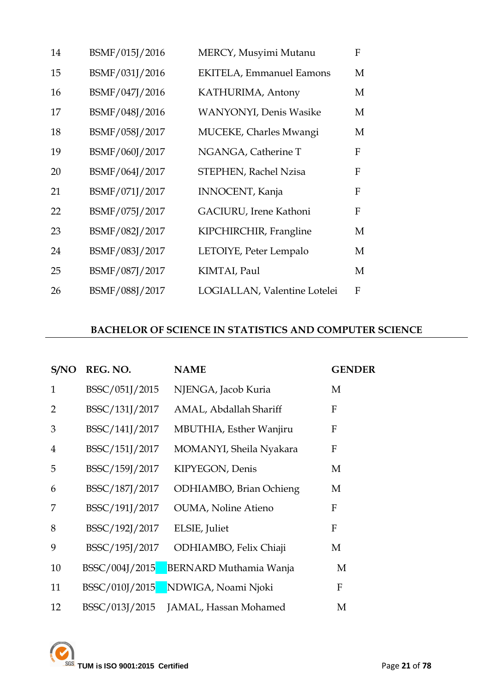| 14 | BSMF/015J/2016 | MERCY, Musyimi Mutanu           | F            |
|----|----------------|---------------------------------|--------------|
| 15 | BSMF/031J/2016 | <b>EKITELA, Emmanuel Eamons</b> | M            |
| 16 | BSMF/047J/2016 | KATHURIMA, Antony               | M            |
| 17 | BSMF/048J/2016 | <b>WANYONYI</b> , Denis Wasike  | M            |
| 18 | BSMF/058J/2017 | MUCEKE, Charles Mwangi          | M            |
| 19 | BSMF/060J/2017 | NGANGA, Catherine T             | F            |
| 20 | BSMF/064J/2017 | STEPHEN, Rachel Nzisa           | F            |
| 21 | BSMF/071J/2017 | <b>INNOCENT</b> , Kanja         | $\mathbf{F}$ |
| 22 | BSMF/075J/2017 | GACIURU, Irene Kathoni          | F            |
| 23 | BSMF/082J/2017 | KIPCHIRCHIR, Frangline          | M            |
| 24 | BSMF/083J/2017 | LETOIYE, Peter Lempalo          | M            |
| 25 | BSMF/087J/2017 | KIMTAI, Paul                    | M            |
| 26 | BSMF/088J/2017 | LOGIALLAN, Valentine Lotelei    | F            |

## **BACHELOR OF SCIENCE IN STATISTICS AND COMPUTER SCIENCE**

| S/NO           | REG. NO.       | <b>NAME</b>                        | <b>GENDER</b> |
|----------------|----------------|------------------------------------|---------------|
| $\mathbf{1}$   | BSSC/051J/2015 | NJENGA, Jacob Kuria                | M             |
| $\overline{2}$ | BSSC/131J/2017 | AMAL, Abdallah Shariff             | F             |
| 3              | BSSC/141J/2017 | MBUTHIA, Esther Wanjiru            | $\mathbf{F}$  |
| $\overline{4}$ | BSSC/151J/2017 | MOMANYI, Sheila Nyakara            | F             |
| 5              | BSSC/159J/2017 | KIPYEGON, Denis                    | M             |
| 6              | BSSC/187J/2017 | ODHIAMBO, Brian Ochieng            | М             |
| 7              | BSSC/191J/2017 | <b>OUMA, Noline Atieno</b>         | F             |
| 8              | BSSC/192J/2017 | ELSIE, Juliet                      | $\mathbf{F}$  |
| 9              | BSSC/195J/2017 | ODHIAMBO, Felix Chiaji             | M             |
| 10             | BSSC/004J/2015 | <b>BERNARD Muthamia Wanja</b>      | M             |
| 11             |                | BSSC/010J/2015 NDWIGA, Noami Njoki | F             |
| 12             | BSSC/013J/2015 | JAMAL, Hassan Mohamed              | M             |

TUM is ISO 9001:2015 Certified Page 21 of 78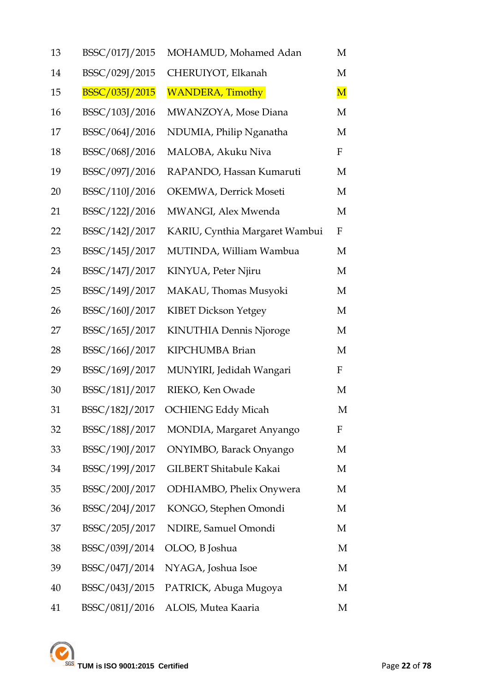| 13 | BSSC/017J/2015 | MOHAMUD, Mohamed Adan          | M           |
|----|----------------|--------------------------------|-------------|
| 14 | BSSC/029J/2015 | CHERUIYOT, Elkanah             | M           |
| 15 | BSSC/035J/2015 | <b>WANDERA, Timothy</b>        | $\mathbf M$ |
| 16 | BSSC/103J/2016 | MWANZOYA, Mose Diana           | M           |
| 17 | BSSC/064J/2016 | NDUMIA, Philip Nganatha        | M           |
| 18 | BSSC/068J/2016 | MALOBA, Akuku Niva             | F           |
| 19 | BSSC/097J/2016 | RAPANDO, Hassan Kumaruti       | M           |
| 20 | BSSC/110J/2016 | OKEMWA, Derrick Moseti         | M           |
| 21 | BSSC/122J/2016 | MWANGI, Alex Mwenda            | M           |
| 22 | BSSC/142J/2017 | KARIU, Cynthia Margaret Wambui | F           |
| 23 | BSSC/145J/2017 | MUTINDA, William Wambua        | M           |
| 24 | BSSC/147J/2017 | KINYUA, Peter Njiru            | M           |
| 25 | BSSC/149J/2017 | MAKAU, Thomas Musyoki          | M           |
| 26 | BSSC/160J/2017 | <b>KIBET Dickson Yetgey</b>    | M           |
| 27 | BSSC/165J/2017 | KINUTHIA Dennis Njoroge        | M           |
| 28 | BSSC/166J/2017 | KIPCHUMBA Brian                | M           |
| 29 | BSSC/169J/2017 | MUNYIRI, Jedidah Wangari       | $\mathbf F$ |
| 30 | BSSC/181J/2017 | RIEKO, Ken Owade               | M           |
| 31 | BSSC/182J/2017 | <b>OCHIENG Eddy Micah</b>      | M           |
| 32 | BSSC/188J/2017 | MONDIA, Margaret Anyango       | F           |
| 33 | BSSC/190J/2017 | ONYIMBO, Barack Onyango        | М           |
| 34 | BSSC/199J/2017 | GILBERT Shitabule Kakai        | М           |
| 35 | BSSC/200J/2017 | ODHIAMBO, Phelix Onywera       | M           |
| 36 | BSSC/204J/2017 | KONGO, Stephen Omondi          | M           |
| 37 | BSSC/205J/2017 | NDIRE, Samuel Omondi           | М           |
| 38 | BSSC/039J/2014 | OLOO, B Joshua                 | M           |
| 39 | BSSC/047J/2014 | NYAGA, Joshua Isoe             | M           |
| 40 | BSSC/043J/2015 | PATRICK, Abuga Mugoya          | М           |
| 41 | BSSC/081J/2016 | ALOIS, Mutea Kaaria            | М           |

**TUM** is ISO 9001:2015 Certified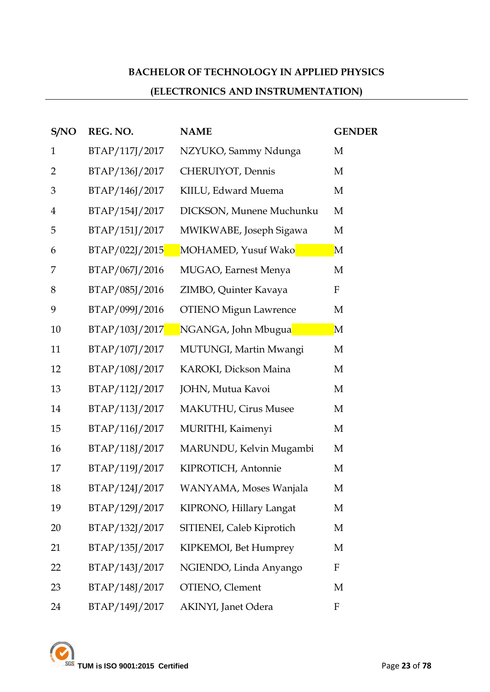## **BACHELOR OF TECHNOLOGY IN APPLIED PHYSICS**

## **(ELECTRONICS AND INSTRUMENTATION)**

| S/NO           | REG. NO.       | <b>NAME</b>                  | <b>GENDER</b> |
|----------------|----------------|------------------------------|---------------|
| $\mathbf{1}$   | BTAP/117J/2017 | NZYUKO, Sammy Ndunga         | M             |
| $\overline{2}$ | BTAP/136J/2017 | CHERUIYOT, Dennis            | M             |
| 3              | BTAP/146J/2017 | KIILU, Edward Muema          | M             |
| $\overline{4}$ | BTAP/154J/2017 | DICKSON, Munene Muchunku     | M             |
| 5              | BTAP/151J/2017 | MWIKWABE, Joseph Sigawa      | M             |
| 6              | BTAP/022J/2015 | MOHAMED, Yusuf Wako          | $\mathbf M$   |
| 7              | BTAP/067J/2016 | MUGAO, Earnest Menya         | M             |
| 8              | BTAP/085J/2016 | ZIMBO, Quinter Kavaya        | F             |
| 9              | BTAP/099J/2016 | <b>OTIENO Migun Lawrence</b> | M             |
| 10             | BTAP/103J/2017 | NGANGA, John Mbugua          | $\mathbf M$   |
| 11             | BTAP/107J/2017 | MUTUNGI, Martin Mwangi       | M             |
| 12             | BTAP/108J/2017 | KAROKI, Dickson Maina        | M             |
| 13             | BTAP/112J/2017 | JOHN, Mutua Kavoi            | M             |
| 14             | BTAP/113J/2017 | <b>MAKUTHU, Cirus Musee</b>  | M             |
| 15             | BTAP/116J/2017 | MURITHI, Kaimenyi            | M             |
| 16             | BTAP/118J/2017 | MARUNDU, Kelvin Mugambi      | M             |
| 17             | BTAP/119J/2017 | KIPROTICH, Antonnie          | M             |
| 18             | BTAP/124J/2017 | WANYAMA, Moses Wanjala       | M             |
| 19             | BTAP/129J/2017 | KIPRONO, Hillary Langat      | M             |
| 20             | BTAP/132J/2017 | SITIENEI, Caleb Kiprotich    | M             |
| 21             | BTAP/135J/2017 | KIPKEMOI, Bet Humprey        | M             |
| 22             | BTAP/143J/2017 | NGIENDO, Linda Anyango       | $\mathbf{F}$  |
| 23             | BTAP/148J/2017 | OTIENO, Clement              | M             |
| 24             | BTAP/149J/2017 | AKINYI, Janet Odera          | F             |

**TUM is ISO 9001:2015 Certified Page 23 of 78**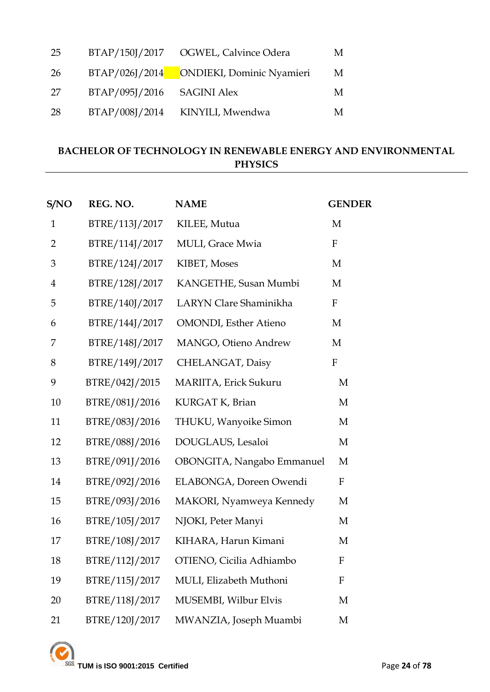| 25 |                            | BTAP/150J/2017 OGWEL, Calvince Odera     | M |
|----|----------------------------|------------------------------------------|---|
| 26 |                            | BTAP/026J/2014 ONDIEKI, Dominic Nyamieri | M |
| 27 | BTAP/095J/2016 SAGINI Alex |                                          | M |
| 28 | BTAP/008J/2014             | KINYILI, Mwendwa                         | M |

## **BACHELOR OF TECHNOLOGY IN RENEWABLE ENERGY AND ENVIRONMENTAL PHYSICS**

| S/NO           | REG. NO.       | <b>NAME</b>                   | <b>GENDER</b>             |
|----------------|----------------|-------------------------------|---------------------------|
| $\mathbf{1}$   | BTRE/113J/2017 | KILEE, Mutua                  | M                         |
| $\overline{2}$ | BTRE/114J/2017 | MULI, Grace Mwia              | $\mathbf F$               |
| 3              | BTRE/124J/2017 | KIBET, Moses                  | M                         |
| $\overline{4}$ | BTRE/128J/2017 | KANGETHE, Susan Mumbi         | M                         |
| 5              | BTRE/140J/2017 | LARYN Clare Shaminikha        | $\mathbf F$               |
| 6              | BTRE/144J/2017 | <b>OMONDI</b> , Esther Atieno | M                         |
| 7              | BTRE/148J/2017 | MANGO, Otieno Andrew          | M                         |
| 8              | BTRE/149J/2017 | CHELANGAT, Daisy              | $\boldsymbol{\mathrm{F}}$ |
| 9              | BTRE/042J/2015 | MARIITA, Erick Sukuru         | M                         |
| 10             | BTRE/081J/2016 | KURGAT K, Brian               | M                         |
| 11             | BTRE/083J/2016 | THUKU, Wanyoike Simon         | M                         |
| 12             | BTRE/088J/2016 | DOUGLAUS, Lesaloi             | M                         |
| 13             | BTRE/091J/2016 | OBONGITA, Nangabo Emmanuel    | M                         |
| 14             | BTRE/092J/2016 | ELABONGA, Doreen Owendi       | $\mathbf F$               |
| 15             | BTRE/093J/2016 | MAKORI, Nyamweya Kennedy      | M                         |
| 16             | BTRE/105J/2017 | NJOKI, Peter Manyi            | M                         |
| 17             | BTRE/108J/2017 | KIHARA, Harun Kimani          | M                         |
| 18             | BTRE/112J/2017 | OTIENO, Cicilia Adhiambo      | ${\bf F}$                 |
| 19             | BTRE/115J/2017 | MULI, Elizabeth Muthoni       | F                         |
| 20             | BTRE/118J/2017 | MUSEMBI, Wilbur Elvis         | M                         |
| 21             | BTRE/120J/2017 | MWANZIA, Joseph Muambi        | M                         |

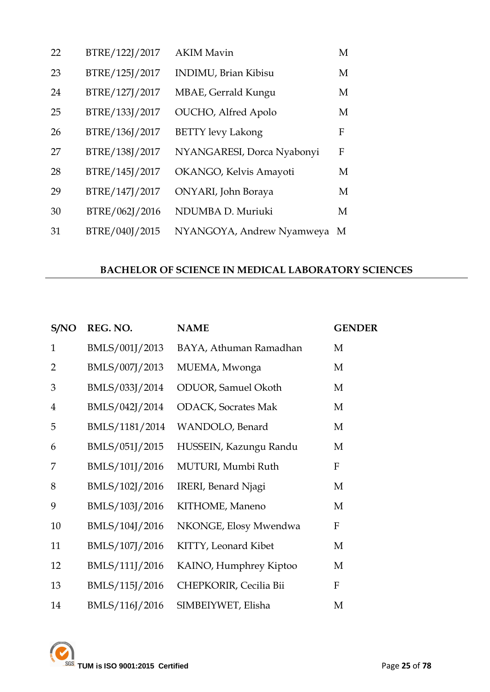| 22 | BTRE/122J/2017 | <b>AKIM Mavin</b>            | M |
|----|----------------|------------------------------|---|
| 23 | BTRE/125J/2017 | <b>INDIMU</b> , Brian Kibisu | M |
| 24 | BTRE/127J/2017 | MBAE, Gerrald Kungu          | M |
| 25 | BTRE/133J/2017 | <b>OUCHO</b> , Alfred Apolo  | M |
| 26 | BTRE/136J/2017 | <b>BETTY</b> levy Lakong     | F |
| 27 | BTRE/138J/2017 | NYANGARESI, Dorca Nyabonyi   | F |
| 28 | BTRE/145J/2017 | OKANGO, Kelvis Amayoti       | M |
| 29 | BTRE/147J/2017 | ONYARI, John Boraya          | M |
| 30 | BTRE/062J/2016 | NDUMBA D. Muriuki            | M |
| 31 | BTRE/040J/2015 | NYANGOYA, Andrew Nyamweya M  |   |

## **BACHELOR OF SCIENCE IN MEDICAL LABORATORY SCIENCES**

| S/NO           | REG. NO.       | <b>NAME</b>                 | <b>GENDER</b>    |
|----------------|----------------|-----------------------------|------------------|
| $\mathbf{1}$   | BMLS/001J/2013 | BAYA, Athuman Ramadhan      | M                |
| $\overline{2}$ | BMLS/007J/2013 | MUEMA, Mwonga               | M                |
| 3              | BMLS/033J/2014 | <b>ODUOR</b> , Samuel Okoth | M                |
| $\overline{4}$ | BMLS/042J/2014 | <b>ODACK, Socrates Mak</b>  | M                |
| 5              | BMLS/1181/2014 | WANDOLO, Benard             | M                |
| 6              | BMLS/051J/2015 | HUSSEIN, Kazungu Randu      | M                |
| 7              | BMLS/101J/2016 | MUTURI, Mumbi Ruth          | F                |
| 8              | BMLS/102J/2016 | IRERI, Benard Njagi         | M                |
| 9              | BMLS/103J/2016 | KITHOME, Maneno             | M                |
| 10             | BMLS/104J/2016 | NKONGE, Elosy Mwendwa       | $\boldsymbol{F}$ |
| 11             | BMLS/107J/2016 | KITTY, Leonard Kibet        | M                |
| 12             | BMLS/111J/2016 | KAINO, Humphrey Kiptoo      | M                |
| 13             | BMLS/115J/2016 | CHEPKORIR, Cecilia Bii      | F                |
| 14             | BMLS/116J/2016 | SIMBEIYWET, Elisha          | М                |

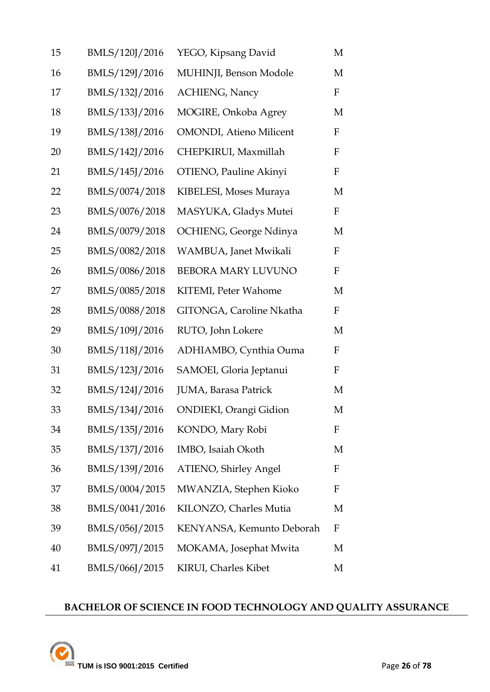| 15 | BMLS/120J/2016 | YEGO, Kipsang David             | M                |
|----|----------------|---------------------------------|------------------|
| 16 | BMLS/129J/2016 | MUHINJI, Benson Modole          | M                |
| 17 | BMLS/132J/2016 | <b>ACHIENG</b> , Nancy          | $\mathbf F$      |
| 18 | BMLS/133J/2016 | MOGIRE, Onkoba Agrey            | M                |
| 19 | BMLS/138J/2016 | <b>OMONDI</b> , Atieno Milicent | $\boldsymbol{F}$ |
| 20 | BMLS/142J/2016 | CHEPKIRUI, Maxmillah            | $\boldsymbol{F}$ |
| 21 | BMLS/145J/2016 | OTIENO, Pauline Akinyi          | $\boldsymbol{F}$ |
| 22 | BMLS/0074/2018 | KIBELESI, Moses Muraya          | M                |
| 23 | BMLS/0076/2018 | MASYUKA, Gladys Mutei           | $\mathbf F$      |
| 24 | BMLS/0079/2018 | OCHIENG, George Ndinya          | M                |
| 25 | BMLS/0082/2018 | WAMBUA, Janet Mwikali           | ${\bf F}$        |
| 26 | BMLS/0086/2018 | BEBORA MARY LUVUNO              | ${\bf F}$        |
| 27 | BMLS/0085/2018 | KITEMI, Peter Wahome            | M                |
| 28 | BMLS/0088/2018 | GITONGA, Caroline Nkatha        | $\mathbf F$      |
| 29 | BMLS/109J/2016 | RUTO, John Lokere               | M                |
| 30 | BMLS/118J/2016 | ADHIAMBO, Cynthia Ouma          | ${\bf F}$        |
| 31 | BMLS/123J/2016 | SAMOEI, Gloria Jeptanui         | $\mathbf F$      |
| 32 | BMLS/124J/2016 | JUMA, Barasa Patrick            | M                |
| 33 | BMLS/134J/2016 | ONDIEKI, Orangi Gidion          | М                |
| 34 | BMLS/135J/2016 | KONDO, Mary Robi                | F                |
| 35 | BMLS/137J/2016 | IMBO, Isaiah Okoth              | M                |
| 36 | BMLS/139J/2016 | <b>ATIENO, Shirley Angel</b>    | F                |
| 37 | BMLS/0004/2015 | MWANZIA, Stephen Kioko          | $\boldsymbol{F}$ |
| 38 | BMLS/0041/2016 | KILONZO, Charles Mutia          | M                |
| 39 | BMLS/056J/2015 | KENYANSA, Kemunto Deborah       | $\boldsymbol{F}$ |
| 40 | BMLS/097J/2015 | MOKAMA, Josephat Mwita          | M                |
| 41 | BMLS/066J/2015 | KIRUI, Charles Kibet            | М                |

## **BACHELOR OF SCIENCE IN FOOD TECHNOLOGY AND QUALITY ASSURANCE**

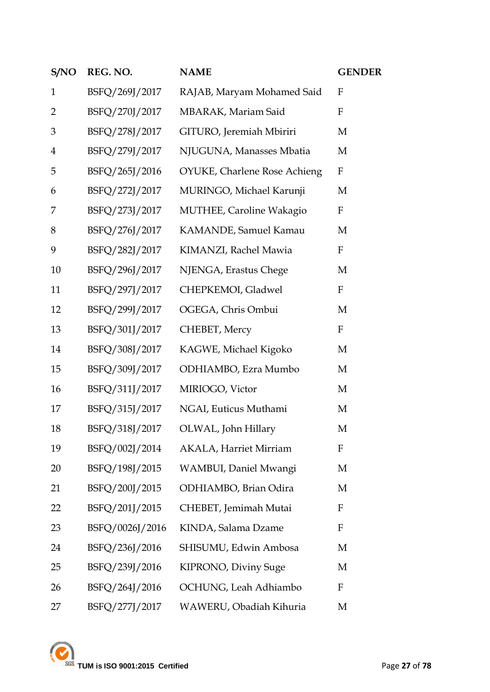| S/NO           | REG. NO.        | <b>NAME</b>                         | <b>GENDER</b> |
|----------------|-----------------|-------------------------------------|---------------|
| $\mathbf{1}$   | BSFQ/269J/2017  | RAJAB, Maryam Mohamed Said          | $\mathbf{F}$  |
| $\overline{2}$ | BSFQ/270J/2017  | MBARAK, Mariam Said                 | $\mathbf F$   |
| 3              | BSFQ/278J/2017  | GITURO, Jeremiah Mbiriri            | M             |
| $\overline{4}$ | BSFQ/279J/2017  | NJUGUNA, Manasses Mbatia            | M             |
| 5              | BSFQ/265J/2016  | <b>OYUKE, Charlene Rose Achieng</b> | F             |
| 6              | BSFQ/272J/2017  | MURINGO, Michael Karunji            | M             |
| 7              | BSFQ/273J/2017  | <b>MUTHEE, Caroline Wakagio</b>     | F             |
| 8              | BSFQ/276J/2017  | KAMANDE, Samuel Kamau               | M             |
| 9              | BSFQ/282J/2017  | KIMANZI, Rachel Mawia               | F             |
| 10             | BSFQ/296J/2017  | NJENGA, Erastus Chege               | M             |
| 11             | BSFQ/297J/2017  | CHEPKEMOI, Gladwel                  | $\mathbf F$   |
| 12             | BSFQ/299J/2017  | OGEGA, Chris Ombui                  | M             |
| 13             | BSFQ/301J/2017  | CHEBET, Mercy                       | $\mathbf F$   |
| 14             | BSFQ/308J/2017  | KAGWE, Michael Kigoko               | M             |
| 15             | BSFQ/309J/2017  | ODHIAMBO, Ezra Mumbo                | M             |
| 16             | BSFQ/311J/2017  | MIRIOGO, Victor                     | M             |
| 17             | BSFQ/315J/2017  | NGAI, Euticus Muthami               | M             |
| 18             | BSFQ/318J/2017  | OLWAL, John Hillary                 | M             |
| 19             | BSFQ/002J/2014  | <b>AKALA, Harriet Mirriam</b>       | $\mathbf{F}$  |
| 20             | BSFQ/198J/2015  | WAMBUI, Daniel Mwangi               | M             |
| 21             | BSFQ/200J/2015  | ODHIAMBO, Brian Odira               | M             |
| 22             | BSFQ/201J/2015  | CHEBET, Jemimah Mutai               | F             |
| 23             | BSFQ/0026J/2016 | KINDA, Salama Dzame                 | $\mathbf{F}$  |
| 24             | BSFQ/236J/2016  | SHISUMU, Edwin Ambosa               | M             |
| 25             | BSFQ/239J/2016  | KIPRONO, Diviny Suge                | M             |
| 26             | BSFQ/264J/2016  | OCHUNG, Leah Adhiambo               | $\mathbf{F}$  |
| 27             | BSFQ/277J/2017  | WAWERU, Obadiah Kihuria             | M             |

**TUM is ISO 9001:2015 Certified** Page 27 of 78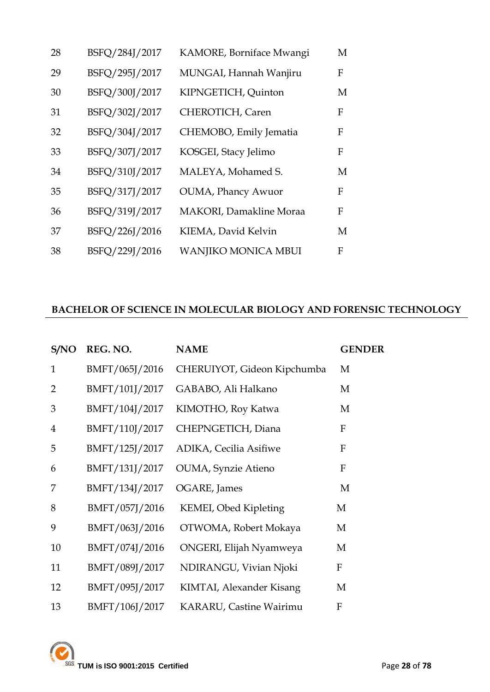| 28 | BSFQ/284J/2017 | KAMORE, Borniface Mwangi        | M |
|----|----------------|---------------------------------|---|
| 29 | BSFQ/295J/2017 | MUNGAI, Hannah Wanjiru          | F |
| 30 | BSFQ/300J/2017 | KIPNGETICH, Quinton             | M |
| 31 | BSFQ/302J/2017 | CHEROTICH, Caren                | F |
| 32 | BSFQ/304J/2017 | CHEMOBO, Emily Jematia          | F |
| 33 | BSFQ/307J/2017 | KOSGEI, Stacy Jelimo            | F |
| 34 | BSFQ/310J/2017 | MALEYA, Mohamed S.              | M |
| 35 | BSFQ/317J/2017 | <b>OUMA</b> , Phancy Awuor      | F |
| 36 | BSFQ/319J/2017 | <b>MAKORI</b> , Damakline Moraa | F |
| 37 | BSFQ/226J/2016 | KIEMA, David Kelvin             | М |
| 38 | BSFQ/229J/2016 | <b>WANJIKO MONICA MBUI</b>      | F |

#### **BACHELOR OF SCIENCE IN MOLECULAR BIOLOGY AND FORENSIC TECHNOLOGY**

| S/NO           | REG. NO.       | <b>NAME</b>                 | <b>GENDER</b> |
|----------------|----------------|-----------------------------|---------------|
| $\mathbf{1}$   | BMFT/065J/2016 | CHERUIYOT, Gideon Kipchumba | M             |
| 2              | BMFT/101J/2017 | GABABO, Ali Halkano         | M             |
| 3              | BMFT/104J/2017 | KIMOTHO, Roy Katwa          | M             |
| $\overline{4}$ | BMFT/110J/2017 | CHEPNGETICH, Diana          | F             |
| 5              | BMFT/125J/2017 | ADIKA, Cecilia Asifiwe      | F             |
| 6              | BMFT/131J/2017 | OUMA, Synzie Atieno         | F             |
| 7              | BMFT/134J/2017 | OGARE, James                | M             |
| 8              | BMFT/057J/2016 | KEMEI, Obed Kipleting       | M             |
| 9              | BMFT/063J/2016 | OTWOMA, Robert Mokaya       | М             |
| 10             | BMFT/074J/2016 | ONGERI, Elijah Nyamweya     | М             |
| 11             | BMFT/089J/2017 | NDIRANGU, Vivian Njoki      | F             |
| 12             | BMFT/095J/2017 | KIMTAI, Alexander Kisang    | M             |
| 13             | BMFT/106J/2017 | KARARU, Castine Wairimu     | F             |

TUM is ISO 9001:2015 Certified Page 28 of 78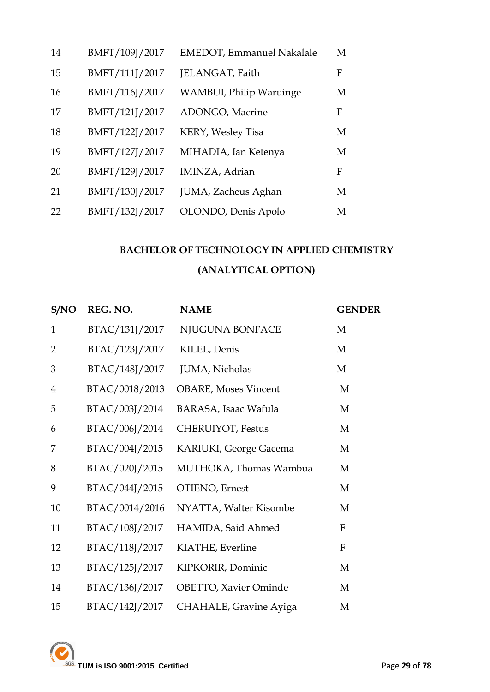| 14 | BMFT/109J/2017 | <b>EMEDOT</b> , Emmanuel Nakalale | M |
|----|----------------|-----------------------------------|---|
| 15 | BMFT/111J/2017 | JELANGAT, Faith                   | F |
| 16 | BMFT/116J/2017 | <b>WAMBUI, Philip Waruinge</b>    | M |
| 17 | BMFT/121J/2017 | ADONGO, Macrine                   | F |
| 18 | BMFT/122J/2017 | KERY, Wesley Tisa                 | M |
| 19 | BMFT/127J/2017 | MIHADIA, Ian Ketenya              | M |
| 20 | BMFT/129J/2017 | IMINZA, Adrian                    | F |
| 21 | BMFT/130J/2017 | JUMA, Zacheus Aghan               | M |
| 22 | BMFT/132J/2017 | OLONDO, Denis Apolo               | M |

# **BACHELOR OF TECHNOLOGY IN APPLIED CHEMISTRY (ANALYTICAL OPTION)**

| S/NO           | REG. NO.       | <b>NAME</b>                  | <b>GENDER</b>             |
|----------------|----------------|------------------------------|---------------------------|
| $\mathbf{1}$   | BTAC/131J/2017 | NJUGUNA BONFACE              | M                         |
| $\overline{2}$ | BTAC/123J/2017 | KILEL, Denis                 | M                         |
| 3              | BTAC/148J/2017 | JUMA, Nicholas               | M                         |
| $\overline{4}$ | BTAC/0018/2013 | <b>OBARE, Moses Vincent</b>  | M                         |
| 5              | BTAC/003J/2014 | <b>BARASA, Isaac Wafula</b>  | M                         |
| 6              | BTAC/006J/2014 | CHERUIYOT, Festus            | M                         |
| 7              | BTAC/004J/2015 | KARIUKI, George Gacema       | M                         |
| 8              | BTAC/020J/2015 | MUTHOKA, Thomas Wambua       | M                         |
| 9              | BTAC/044J/2015 | OTIENO, Ernest               | M                         |
| 10             | BTAC/0014/2016 | NYATTA, Walter Kisombe       | M                         |
| 11             | BTAC/108J/2017 | HAMIDA, Said Ahmed           | $\mathbf{F}$              |
| 12             | BTAC/118J/2017 | KIATHE, Everline             | $\boldsymbol{\mathrm{F}}$ |
| 13             | BTAC/125J/2017 | KIPKORIR, Dominic            | M                         |
| 14             | BTAC/136J/2017 | <b>OBETTO, Xavier Ominde</b> | M                         |
| 15             | BTAC/142J/2017 | CHAHALE, Gravine Ayiga       | M                         |

**TUM is ISO 9001:2015 Certified** Page 29 of 78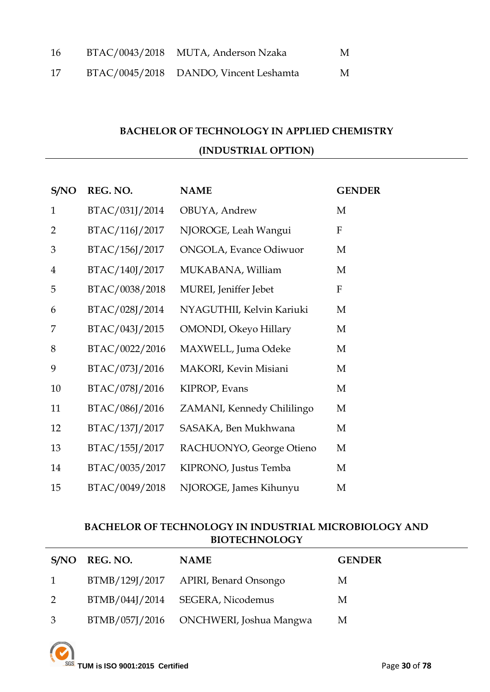| 16 | BTAC/0043/2018 MUTA, Anderson Nzaka    | M |
|----|----------------------------------------|---|
| 17 | BTAC/0045/2018 DANDO, Vincent Leshamta | M |

## **BACHELOR OF TECHNOLOGY IN APPLIED CHEMISTRY (INDUSTRIAL OPTION)**

| S/NO           | REG. NO.       | <b>NAME</b>                    | <b>GENDER</b> |
|----------------|----------------|--------------------------------|---------------|
| $\mathbf{1}$   | BTAC/031J/2014 | OBUYA, Andrew                  | M             |
| 2              | BTAC/116J/2017 | NJOROGE, Leah Wangui           | F             |
| 3              | BTAC/156J/2017 | <b>ONGOLA</b> , Evance Odiwuor | M             |
| $\overline{4}$ | BTAC/140J/2017 | MUKABANA, William              | M             |
| 5              | BTAC/0038/2018 | MUREI, Jeniffer Jebet          | F             |
| 6              | BTAC/028J/2014 | NYAGUTHII, Kelvin Kariuki      | M             |
| 7              | BTAC/043J/2015 | OMONDI, Okeyo Hillary          | M             |
| 8              | BTAC/0022/2016 | MAXWELL, Juma Odeke            | M             |
| 9              | BTAC/073J/2016 | MAKORI, Kevin Misiani          | M             |
| 10             | BTAC/078J/2016 | KIPROP, Evans                  | M             |
| 11             | BTAC/086J/2016 | ZAMANI, Kennedy Chililingo     | M             |
| 12             | BTAC/137J/2017 | SASAKA, Ben Mukhwana           | M             |
| 13             | BTAC/155J/2017 | RACHUONYO, George Otieno       | M             |
| 14             | BTAC/0035/2017 | KIPRONO, Justus Temba          | M             |
| 15             | BTAC/0049/2018 | NJOROGE, James Kihunyu         | M             |

## **BACHELOR OF TECHNOLOGY IN INDUSTRIAL MICROBIOLOGY AND BIOTECHNOLOGY**

|                | S/NO REG. NO. | <b>NAME</b>                            | <b>GENDER</b> |
|----------------|---------------|----------------------------------------|---------------|
| $1 \quad$      |               | BTMB/129J/2017 APIRI, Benard Onsongo   | М             |
| 2              |               | BTMB/044J/2014 SEGERA, Nicodemus       | М             |
| 3 <sup>1</sup> |               | BTMB/057J/2016 ONCHWERI, Joshua Mangwa | M             |

**TUM is ISO 9001:2015 Certified** Page **30** of **78**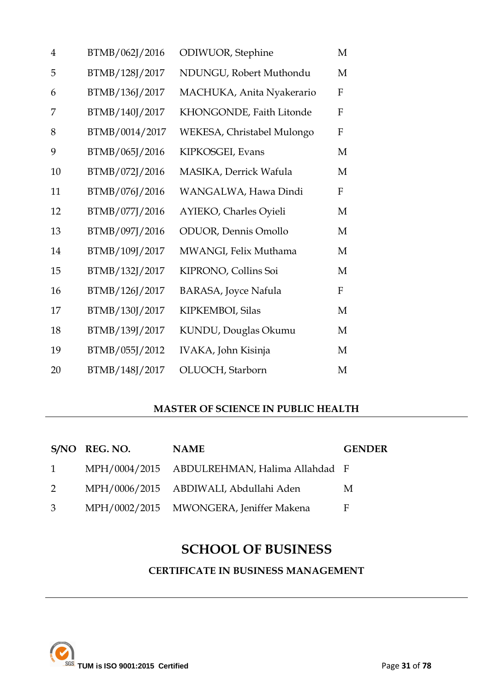| $\overline{4}$ | BTMB/062J/2016 | ODIWUOR, Stephine           | M                |
|----------------|----------------|-----------------------------|------------------|
| 5              | BTMB/128J/2017 | NDUNGU, Robert Muthondu     | M                |
| 6              | BTMB/136J/2017 | MACHUKA, Anita Nyakerario   | F                |
| 7              | BTMB/140J/2017 | KHONGONDE, Faith Litonde    | F                |
| 8              | BTMB/0014/2017 | WEKESA, Christabel Mulongo  | $\mathbf{F}$     |
| 9              | BTMB/065J/2016 | KIPKOSGEI, Evans            | M                |
| 10             | BTMB/072J/2016 | MASIKA, Derrick Wafula      | M                |
| 11             | BTMB/076J/2016 | WANGALWA, Hawa Dindi        | $\boldsymbol{F}$ |
| 12             | BTMB/077J/2016 | AYIEKO, Charles Oyieli      | M                |
| 13             | BTMB/097J/2016 | ODUOR, Dennis Omollo        | M                |
| 14             | BTMB/109J/2017 | MWANGI, Felix Muthama       | M                |
| 15             | BTMB/132J/2017 | KIPRONO, Collins Soi        | M                |
| 16             | BTMB/126J/2017 | <b>BARASA, Joyce Nafula</b> | $\mathbf{F}$     |
| 17             | BTMB/130J/2017 | KIPKEMBOI, Silas            | M                |
| 18             | BTMB/139J/2017 | KUNDU, Douglas Okumu        | M                |
| 19             | BTMB/055J/2012 | IVAKA, John Kisinja         | M                |
| 20             | BTMB/148J/2017 | OLUOCH, Starborn            | M                |

## **MASTER OF SCIENCE IN PUBLIC HEALTH**

|           | S/NO REG. NO. | <b>NAME</b>                                  | <b>GENDER</b> |
|-----------|---------------|----------------------------------------------|---------------|
| $1 \quad$ |               | MPH/0004/2015 ABDULREHMAN, Halima Allahdad F |               |
| 2         |               | MPH/0006/2015 ABDIWALI, Abdullahi Aden       | M             |
| 3         |               | MPH/0002/2015 MWONGERA, Jeniffer Makena      | F             |

# **SCHOOL OF BUSINESS**

**CERTIFICATE IN BUSINESS MANAGEMENT**

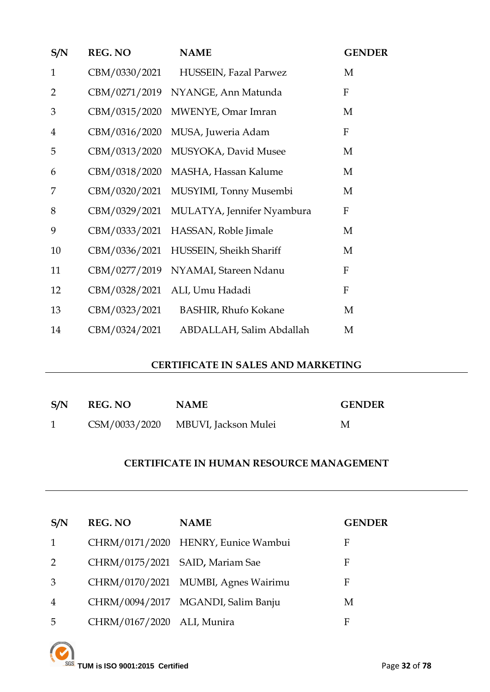| S/N            | <b>REG. NO</b> | <b>NAME</b>                 | <b>GENDER</b> |
|----------------|----------------|-----------------------------|---------------|
| $\mathbf{1}$   | CBM/0330/2021  | HUSSEIN, Fazal Parwez       | M             |
| 2              | CBM/0271/2019  | NYANGE, Ann Matunda         | $\mathbf{F}$  |
| 3              | CBM/0315/2020  | MWENYE, Omar Imran          | M             |
| $\overline{4}$ | CBM/0316/2020  | MUSA, Juweria Adam          | $\mathbf F$   |
| 5              | CBM/0313/2020  | MUSYOKA, David Musee        | M             |
| 6              | CBM/0318/2020  | MASHA, Hassan Kalume        | M             |
| 7              | CBM/0320/2021  | MUSYIMI, Tonny Musembi      | M             |
| 8              | CBM/0329/2021  | MULATYA, Jennifer Nyambura  | F             |
| 9              | CBM/0333/2021  | HASSAN, Roble Jimale        | M             |
| 10             | CBM/0336/2021  | HUSSEIN, Sheikh Shariff     | M             |
| 11             | CBM/0277/2019  | NYAMAI, Stareen Ndanu       | $\mathbf F$   |
| 12             | CBM/0328/2021  | ALI, Umu Hadadi             | $\mathbf F$   |
| 13             | CBM/0323/2021  | <b>BASHIR, Rhufo Kokane</b> | M             |
| 14             | CBM/0324/2021  | ABDALLAH, Salim Abdallah    | M             |

#### **CERTIFICATE IN SALES AND MARKETING**

| S/N | <b>REG. NO</b> | <b>NAME</b>                        | <b>GENDER</b> |
|-----|----------------|------------------------------------|---------------|
|     |                | CSM/0033/2020 MBUVI, Jackson Mulei | М             |

#### **CERTIFICATE IN HUMAN RESOURCE MANAGEMENT**

| S/N            | <b>REG. NO</b>                  | <b>NAME</b>                         | <b>GENDER</b> |
|----------------|---------------------------------|-------------------------------------|---------------|
| 1              |                                 | CHRM/0171/2020 HENRY, Eunice Wambui | F             |
| 2              | CHRM/0175/2021 SAID, Mariam Sae |                                     | F             |
| 3              |                                 | CHRM/0170/2021 MUMBI, Agnes Wairimu | F             |
| $\overline{4}$ |                                 | CHRM/0094/2017 MGANDI, Salim Banju  | М             |
| 5              | CHRM/0167/2020 ALI, Munira      |                                     | F             |

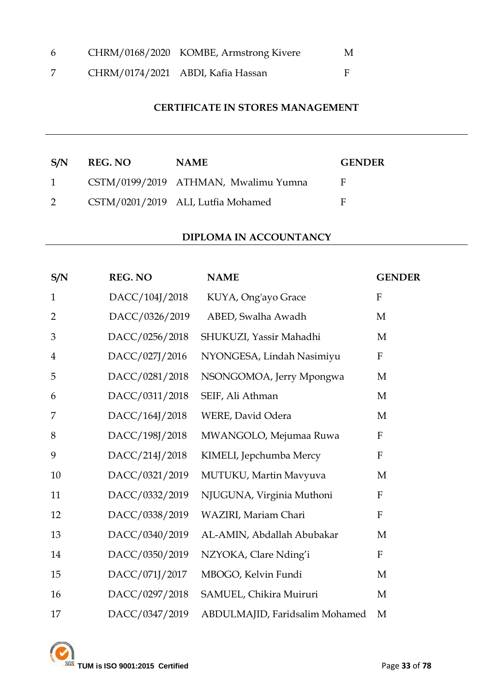| 6 | CHRM/0168/2020 KOMBE, Armstrong Kivere | M |
|---|----------------------------------------|---|
|   | CHRM/0174/2021 ABDI, Kafia Hassan      |   |

## **CERTIFICATE IN STORES MANAGEMENT**

| S/N          | <b>REG. NO</b> | <b>NAME</b>                          | <b>GENDER</b> |
|--------------|----------------|--------------------------------------|---------------|
| $\mathbf{1}$ |                | CSTM/0199/2019 ATHMAN, Mwalimu Yumna | F             |
|              |                | CSTM/0201/2019 ALI, Lutfia Mohamed   | E             |

#### **DIPLOMA IN ACCOUNTANCY**

| S/N            | <b>REG. NO</b> | <b>NAME</b>                    | <b>GENDER</b> |
|----------------|----------------|--------------------------------|---------------|
| $\mathbf{1}$   | DACC/104J/2018 | KUYA, Ong'ayo Grace            | ${\bf F}$     |
| $\overline{2}$ | DACC/0326/2019 | ABED, Swalha Awadh             | M             |
| 3              | DACC/0256/2018 | SHUKUZI, Yassir Mahadhi        | M             |
| $\overline{4}$ | DACC/027J/2016 | NYONGESA, Lindah Nasimiyu      | $\mathbf F$   |
| 5              | DACC/0281/2018 | NSONGOMOA, Jerry Mpongwa       | M             |
| 6              | DACC/0311/2018 | SEIF, Ali Athman               | M             |
| 7              | DACC/164J/2018 | WERE, David Odera              | M             |
| 8              | DACC/198J/2018 | MWANGOLO, Mejumaa Ruwa         | ${\bf F}$     |
| 9              | DACC/214J/2018 | KIMELI, Jepchumba Mercy        | $\mathbf{F}$  |
| 10             | DACC/0321/2019 | MUTUKU, Martin Mavyuva         | M             |
| 11             | DACC/0332/2019 | NJUGUNA, Virginia Muthoni      | ${\bf F}$     |
| 12             | DACC/0338/2019 | WAZIRI, Mariam Chari           | $\mathbf{F}$  |
| 13             | DACC/0340/2019 | AL-AMIN, Abdallah Abubakar     | M             |
| 14             | DACC/0350/2019 | NZYOKA, Clare Nding'i          | $\mathbf{F}$  |
| 15             | DACC/071J/2017 | MBOGO, Kelvin Fundi            | M             |
| 16             | DACC/0297/2018 | SAMUEL, Chikira Muiruri        | M             |
| 17             | DACC/0347/2019 | ABDULMAJID, Faridsalim Mohamed | M             |

**EXAMPLE 1899 SISO 9001:2015 Certified** Page 33 of 78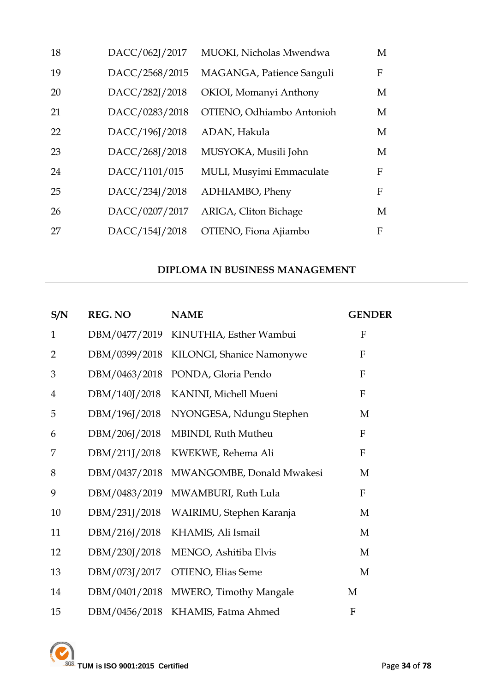| 18 | DACC/062J/2017 | MUOKI, Nicholas Mwendwa   | M |
|----|----------------|---------------------------|---|
| 19 | DACC/2568/2015 | MAGANGA, Patience Sanguli | F |
| 20 | DACC/282J/2018 | OKIOI, Momanyi Anthony    | M |
| 21 | DACC/0283/2018 | OTIENO, Odhiambo Antonioh | M |
| 22 | DACC/196J/2018 | ADAN, Hakula              | M |
| 23 | DACC/268J/2018 | MUSYOKA, Musili John      | M |
| 24 | DACC/1101/015  | MULI, Musyimi Emmaculate  | F |
| 25 | DACC/234J/2018 | ADHIAMBO, Pheny           | F |
| 26 | DACC/0207/2017 | ARIGA, Cliton Bichage     | M |
| 27 | DACC/154J/2018 | OTIENO, Fiona Ajiambo     | F |

## **DIPLOMA IN BUSINESS MANAGEMENT**

| S/N            | <b>REG. NO</b> | <b>NAME</b>               | <b>GENDER</b>             |
|----------------|----------------|---------------------------|---------------------------|
| $\mathbf{1}$   | DBM/0477/2019  | KINUTHIA, Esther Wambui   | F                         |
| $\overline{2}$ | DBM/0399/2018  | KILONGI, Shanice Namonywe | $\mathbf{F}$              |
| 3              | DBM/0463/2018  | PONDA, Gloria Pendo       | $\mathbf{F}$              |
| $\overline{4}$ | DBM/140J/2018  | KANINI, Michell Mueni     | $\mathbf{F}$              |
| 5              | DBM/196J/2018  | NYONGESA, Ndungu Stephen  | M                         |
| 6              | DBM/206J/2018  | MBINDI, Ruth Mutheu       | $\boldsymbol{\mathrm{F}}$ |
| 7              | DBM/211J/2018  | KWEKWE, Rehema Ali        | $\mathbf{F}$              |
| 8              | DBM/0437/2018  | MWANGOMBE, Donald Mwakesi | M                         |
| 9              | DBM/0483/2019  | MWAMBURI, Ruth Lula       | $\mathbf F$               |
| 10             | DBM/231J/2018  | WAIRIMU, Stephen Karanja  | M                         |
| 11             | DBM/216J/2018  | KHAMIS, Ali Ismail        | M                         |
| 12             | DBM/230J/2018  | MENGO, Ashitiba Elvis     | M                         |
| 13             | DBM/073J/2017  | OTIENO, Elias Seme        | M                         |
| 14             | DBM/0401/2018  | MWERO, Timothy Mangale    | M                         |
| 15             | DBM/0456/2018  | KHAMIS, Fatma Ahmed       | F                         |

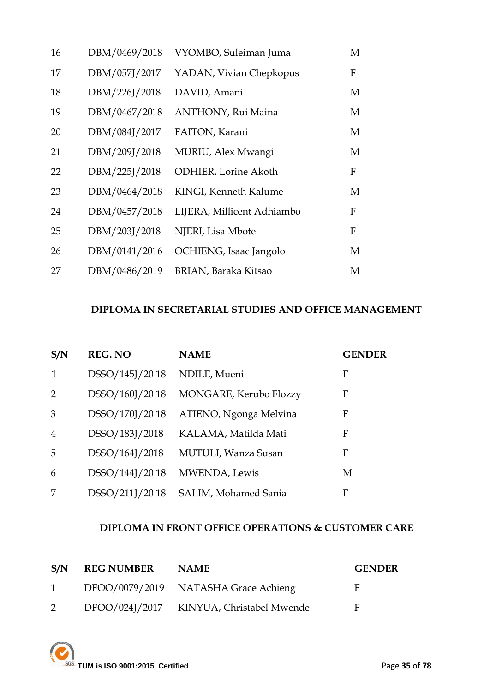| 16 | DBM/0469/2018 | VYOMBO, Suleiman Juma        | М                |
|----|---------------|------------------------------|------------------|
| 17 | DBM/057J/2017 | YADAN, Vivian Chepkopus      | F                |
| 18 | DBM/226J/2018 | DAVID, Amani                 | M                |
| 19 | DBM/0467/2018 | <b>ANTHONY, Rui Maina</b>    | M                |
| 20 | DBM/084J/2017 | FAITON, Karani               | M                |
| 21 | DBM/209J/2018 | MURIU, Alex Mwangi           | M                |
| 22 | DBM/225J/2018 | <b>ODHIER</b> , Lorine Akoth | F                |
| 23 | DBM/0464/2018 | KINGI, Kenneth Kalume        | M                |
| 24 | DBM/0457/2018 | LIJERA, Millicent Adhiambo   | $\boldsymbol{F}$ |
| 25 | DBM/203J/2018 | NJERI, Lisa Mbote            | F                |
| 26 | DBM/0141/2016 | OCHIENG, Isaac Jangolo       | M                |
| 27 | DBM/0486/2019 | BRIAN, Baraka Kitsao         | М                |

## **DIPLOMA IN SECRETARIAL STUDIES AND OFFICE MANAGEMENT**

| S/N           | <b>REG. NO</b> | <b>NAME</b>                | <b>GENDER</b> |
|---------------|----------------|----------------------------|---------------|
| 1             | DSSO/145J/2018 | NDILE, Mueni               | F             |
| $\mathcal{P}$ | DSSO/160J/2018 | MONGARE, Kerubo Flozzy     | F             |
| 3             | DSSO/170J/2018 | ATIENO, Ngonga Melvina     | F             |
| 4             | DSSO/183J/2018 | KALAMA, Matilda Mati       | F             |
| 5             | DSSO/164J/2018 | <b>MUTULI, Wanza Susan</b> | F             |
| 6             | DSSO/144J/2018 | MWENDA, Lewis              | M             |
|               | DSSO/211J/2018 | SALIM, Mohamed Sania       | F             |

## **DIPLOMA IN FRONT OFFICE OPERATIONS & CUSTOMER CARE**

| S/N          | <b>REG NUMBER</b> | <b>NAME</b>                              | <b>GENDER</b> |
|--------------|-------------------|------------------------------------------|---------------|
| $\mathbf{1}$ |                   | DFOO/0079/2019 NATASHA Grace Achieng     | E             |
|              |                   | DFOO/024J/2017 KINYUA, Christabel Mwende | E             |

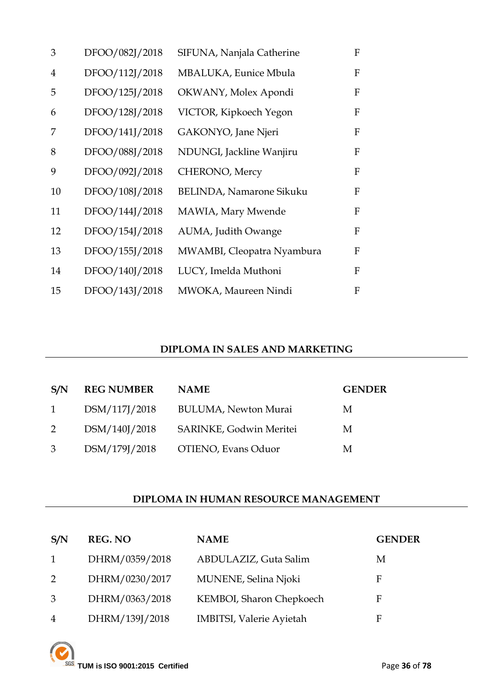| 3              | DFOO/082J/2018 | SIFUNA, Nanjala Catherine       | F |
|----------------|----------------|---------------------------------|---|
| $\overline{4}$ | DFOO/112J/2018 | MBALUKA, Eunice Mbula           | F |
| 5              | DFOO/125J/2018 | OKWANY, Molex Apondi            | F |
| 6              | DFOO/128J/2018 | VICTOR, Kipkoech Yegon          | F |
| 7              | DFOO/141J/2018 | GAKONYO, Jane Njeri             | F |
| 8              | DFOO/088J/2018 | NDUNGI, Jackline Wanjiru        | F |
| 9              | DFOO/092J/2018 | CHERONO, Mercy                  | F |
| 10             | DFOO/108J/2018 | <b>BELINDA, Namarone Sikuku</b> | F |
| 11             | DFOO/144J/2018 | MAWIA, Mary Mwende              | F |
| 12             | DFOO/154J/2018 | AUMA, Judith Owange             | F |
| 13             | DFOO/155J/2018 | MWAMBI, Cleopatra Nyambura      | F |
| 14             | DFOO/140J/2018 | LUCY, Imelda Muthoni            | F |
| 15             | DFOO/143J/2018 | MWOKA, Maureen Nindi            | F |

## **DIPLOMA IN SALES AND MARKETING**

| S/N            | <b>REG NUMBER</b> | <b>NAME</b>                 | <b>GENDER</b> |
|----------------|-------------------|-----------------------------|---------------|
| $\overline{1}$ | DSM/117J/2018     | <b>BULUMA, Newton Murai</b> | M             |
| 2              | DSM/140J/2018     | SARINKE, Godwin Meritei     | M             |
| 3              | DSM/179J/2018     | OTIENO, Evans Oduor         | M             |

## **DIPLOMA IN HUMAN RESOURCE MANAGEMENT**

| S/N            | <b>REG. NO</b> | <b>NAME</b>                     | <b>GENDER</b> |
|----------------|----------------|---------------------------------|---------------|
| 1              | DHRM/0359/2018 | ABDULAZIZ, Guta Salim           | М             |
| 2              | DHRM/0230/2017 | MUNENE, Selina Njoki            | F             |
| 3              | DHRM/0363/2018 | KEMBOI, Sharon Chepkoech        | F             |
| $\overline{4}$ | DHRM/139J/2018 | <b>IMBITSI, Valerie Ayietah</b> | F             |

**TUM** is ISO 9001:2015 Certified Page 36 of 78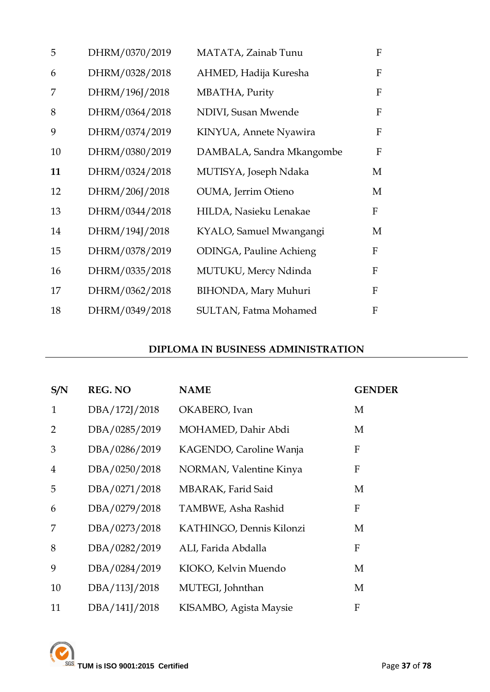| 5  | DHRM/0370/2019 | MATATA, Zainab Tunu            | F |
|----|----------------|--------------------------------|---|
| 6  | DHRM/0328/2018 | AHMED, Hadija Kuresha          | F |
| 7  | DHRM/196J/2018 | MBATHA, Purity                 | F |
| 8  | DHRM/0364/2018 | NDIVI, Susan Mwende            | F |
| 9  | DHRM/0374/2019 | KINYUA, Annete Nyawira         | F |
| 10 | DHRM/0380/2019 | DAMBALA, Sandra Mkangombe      | F |
| 11 | DHRM/0324/2018 | MUTISYA, Joseph Ndaka          | M |
| 12 | DHRM/206J/2018 | OUMA, Jerrim Otieno            | M |
| 13 | DHRM/0344/2018 | HILDA, Nasieku Lenakae         | F |
| 14 | DHRM/194J/2018 | KYALO, Samuel Mwangangi        | M |
| 15 | DHRM/0378/2019 | <b>ODINGA, Pauline Achieng</b> | F |
| 16 | DHRM/0335/2018 | MUTUKU, Mercy Ndinda           | F |
| 17 | DHRM/0362/2018 | <b>BIHONDA</b> , Mary Muhuri   | F |
| 18 | DHRM/0349/2018 | <b>SULTAN, Fatma Mohamed</b>   | F |

## **DIPLOMA IN BUSINESS ADMINISTRATION**

| S/N            | <b>REG. NO</b> | <b>NAME</b>              | <b>GENDER</b>    |
|----------------|----------------|--------------------------|------------------|
| $\mathbf{1}$   | DBA/172J/2018  | OKABERO, Ivan            | M                |
| 2              | DBA/0285/2019  | MOHAMED, Dahir Abdi      | M                |
| 3              | DBA/0286/2019  | KAGENDO, Caroline Wanja  | F                |
| $\overline{4}$ | DBA/0250/2018  | NORMAN, Valentine Kinya  | $\mathbf{F}$     |
| 5              | DBA/0271/2018  | MBARAK, Farid Said       | M                |
| 6              | DBA/0279/2018  | TAMBWE, Asha Rashid      | F                |
| 7              | DBA/0273/2018  | KATHINGO, Dennis Kilonzi | M                |
| 8              | DBA/0282/2019  | ALI, Farida Abdalla      | $\mathbf{F}$     |
| 9              | DBA/0284/2019  | KIOKO, Kelvin Muendo     | M                |
| 10             | DBA/113J/2018  | MUTEGI, Johnthan         | M                |
| 11             | DBA/141J/2018  | KISAMBO, Agista Maysie   | $\boldsymbol{F}$ |

**TUM is ISO 9001:2015 Certified** Page 37 of 78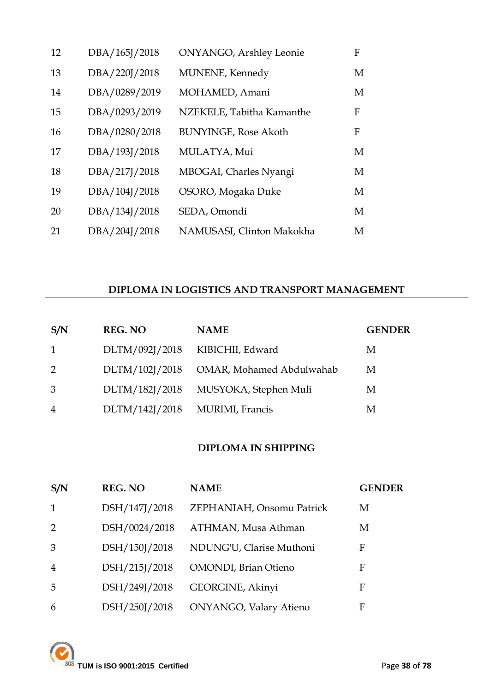| 12 | DBA/165J/2018 | <b>ONYANGO</b> , Arshley Leonie | F |
|----|---------------|---------------------------------|---|
| 13 | DBA/220J/2018 | MUNENE, Kennedy                 | M |
| 14 | DBA/0289/2019 | MOHAMED, Amani                  | M |
| 15 | DBA/0293/2019 | NZEKELE, Tabitha Kamanthe       | F |
| 16 | DBA/0280/2018 | <b>BUNYINGE, Rose Akoth</b>     | F |
| 17 | DBA/193J/2018 | MULATYA, Mui                    | M |
| 18 | DBA/217J/2018 | MBOGAI, Charles Nyangi          | M |
| 19 | DBA/104J/2018 | OSORO, Mogaka Duke              | M |
| 20 | DBA/134J/2018 | SEDA, Omondi                    | M |
| 21 | DBA/204J/2018 | NAMUSASI, Clinton Makokha       | М |

### **DIPLOMA IN LOGISTICS AND TRANSPORT MANAGEMENT**

| S/N            | <b>REG. NO</b> | <b>NAME</b>                          | <b>GENDER</b> |
|----------------|----------------|--------------------------------------|---------------|
| $\overline{1}$ | DLTM/092J/2018 | KIBICHII, Edward                     | M             |
| 2              | DLTM/102J/2018 | OMAR, Mohamed Abdulwahab             | М             |
| 3              |                | DLTM/182J/2018 MUSYOKA, Stephen Muli | M             |
| $\overline{4}$ | DLTM/142J/2018 | MURIMI, Francis                      | M             |

#### **DIPLOMA IN SHIPPING**

| S/N            | <b>REG. NO</b> | <b>NAME</b>                   | <b>GENDER</b> |
|----------------|----------------|-------------------------------|---------------|
| $\mathbf{1}$   | DSH/147J/2018  | ZEPHANIAH, Onsomu Patrick     | M             |
| 2              | DSH/0024/2018  | ATHMAN, Musa Athman           | M             |
| 3              | DSH/150J/2018  | NDUNG'U, Clarise Muthoni      | F             |
| $\overline{4}$ | DSH/215J/2018  | <b>OMONDI</b> , Brian Otieno  | F             |
| 5              | DSH/249J/2018  | GEORGINE, Akinyi              | F             |
| 6              | DSH/250J/2018  | <b>ONYANGO, Valary Atieno</b> | F             |

**TUM is ISO 9001:2015 Certified** Page 38 of 78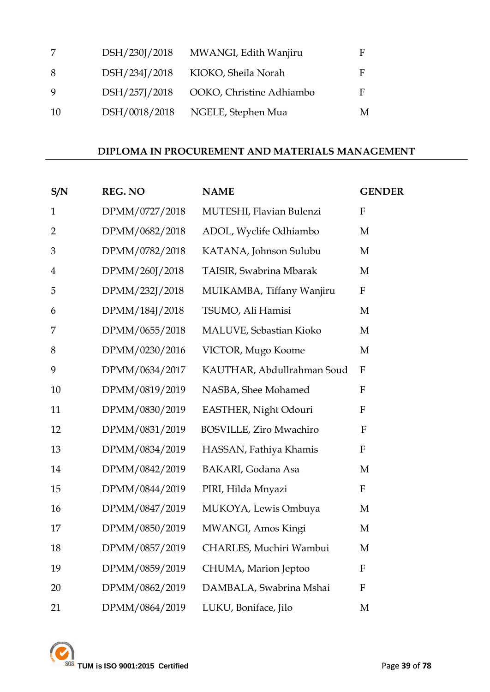| 7   | DSH/230J/2018 | MWANGI, Edith Wanjiru    | F |
|-----|---------------|--------------------------|---|
| 8   | DSH/234J/2018 | KIOKO, Sheila Norah      | F |
| 9   | DSH/257J/2018 | OOKO, Christine Adhiambo | F |
| -10 | DSH/0018/2018 | NGELE, Stephen Mua       | M |

#### **DIPLOMA IN PROCUREMENT AND MATERIALS MANAGEMENT**

| S/N            | <b>REG. NO</b> | <b>NAME</b>                | <b>GENDER</b>             |
|----------------|----------------|----------------------------|---------------------------|
| $\mathbf{1}$   | DPMM/0727/2018 | MUTESHI, Flavian Bulenzi   | ${\bf F}$                 |
| $\overline{2}$ | DPMM/0682/2018 | ADOL, Wyclife Odhiambo     | M                         |
| 3              | DPMM/0782/2018 | KATANA, Johnson Sulubu     | $\mathbf M$               |
| $\overline{4}$ | DPMM/260J/2018 | TAISIR, Swabrina Mbarak    | M                         |
| 5              | DPMM/232J/2018 | MUIKAMBA, Tiffany Wanjiru  | $\mathbf F$               |
| 6              | DPMM/184J/2018 | TSUMO, Ali Hamisi          | $\mathbf{M}$              |
| 7              | DPMM/0655/2018 | MALUVE, Sebastian Kioko    | M                         |
| 8              | DPMM/0230/2016 | VICTOR, Mugo Koome         | M                         |
| 9              | DPMM/0634/2017 | KAUTHAR, Abdullrahman Soud | ${\rm F}$                 |
| 10             | DPMM/0819/2019 | NASBA, Shee Mohamed        | ${\bf F}$                 |
| 11             | DPMM/0830/2019 | EASTHER, Night Odouri      | $\mathbf F$               |
| 12             | DPMM/0831/2019 | BOSVILLE, Ziro Mwachiro    | $\mathbf{F}$              |
| 13             | DPMM/0834/2019 | HASSAN, Fathiya Khamis     | $\boldsymbol{F}$          |
| 14             | DPMM/0842/2019 | <b>BAKARI</b> , Godana Asa | M                         |
| 15             | DPMM/0844/2019 | PIRI, Hilda Mnyazi         | $\boldsymbol{\mathrm{F}}$ |
| 16             | DPMM/0847/2019 | MUKOYA, Lewis Ombuya       | M                         |
| 17             | DPMM/0850/2019 | MWANGI, Amos Kingi         | M                         |
| 18             | DPMM/0857/2019 | CHARLES, Muchiri Wambui    | M                         |
| 19             | DPMM/0859/2019 | CHUMA, Marion Jeptoo       | $\boldsymbol{F}$          |
| 20             | DPMM/0862/2019 | DAMBALA, Swabrina Mshai    | $\mathbf{F}$              |
| 21             | DPMM/0864/2019 | LUKU, Boniface, Jilo       | M                         |

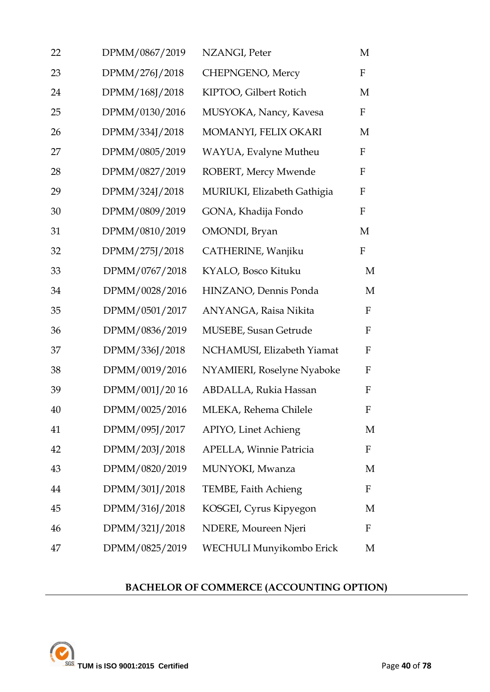| 22 | DPMM/0867/2019 | NZANGI, Peter               | M                |
|----|----------------|-----------------------------|------------------|
| 23 | DPMM/276J/2018 | CHEPNGENO, Mercy            | F                |
| 24 | DPMM/168J/2018 | KIPTOO, Gilbert Rotich      | M                |
| 25 | DPMM/0130/2016 | MUSYOKA, Nancy, Kavesa      | $\mathbf F$      |
| 26 | DPMM/334J/2018 | MOMANYI, FELIX OKARI        | M                |
| 27 | DPMM/0805/2019 | WAYUA, Evalyne Mutheu       | $\mathbf F$      |
| 28 | DPMM/0827/2019 | ROBERT, Mercy Mwende        | ${\bf F}$        |
| 29 | DPMM/324J/2018 | MURIUKI, Elizabeth Gathigia | ${\bf F}$        |
| 30 | DPMM/0809/2019 | GONA, Khadija Fondo         | ${\bf F}$        |
| 31 | DPMM/0810/2019 | OMONDI, Bryan               | M                |
| 32 | DPMM/275J/2018 | CATHERINE, Wanjiku          | $\boldsymbol{F}$ |
| 33 | DPMM/0767/2018 | KYALO, Bosco Kituku         | M                |
| 34 | DPMM/0028/2016 | HINZANO, Dennis Ponda       | M                |
| 35 | DPMM/0501/2017 | ANYANGA, Raisa Nikita       | $\mathbf F$      |
| 36 | DPMM/0836/2019 | MUSEBE, Susan Getrude       | F                |
| 37 | DPMM/336J/2018 | NCHAMUSI, Elizabeth Yiamat  | F                |
| 38 | DPMM/0019/2016 | NYAMIERI, Roselyne Nyaboke  | F                |
| 39 | DPMM/001J/2016 | ABDALLA, Rukia Hassan       | F                |
| 40 | DPMM/0025/2016 | MLEKA, Rehema Chilele       | F                |
| 41 | DPMM/095J/2017 | APIYO, Linet Achieng        | M                |
| 42 | DPMM/203J/2018 | APELLA, Winnie Patricia     | $\mathbf F$      |
| 43 | DPMM/0820/2019 | MUNYOKI, Mwanza             | M                |
| 44 | DPMM/301J/2018 | TEMBE, Faith Achieng        | $\mathbf F$      |
| 45 | DPMM/316J/2018 | KOSGEI, Cyrus Kipyegon      | M                |
| 46 | DPMM/321J/2018 | NDERE, Moureen Njeri        | $\mathbf F$      |
| 47 | DPMM/0825/2019 | WECHULI Munyikombo Erick    | M                |

## **BACHELOR OF COMMERCE (ACCOUNTING OPTION)**

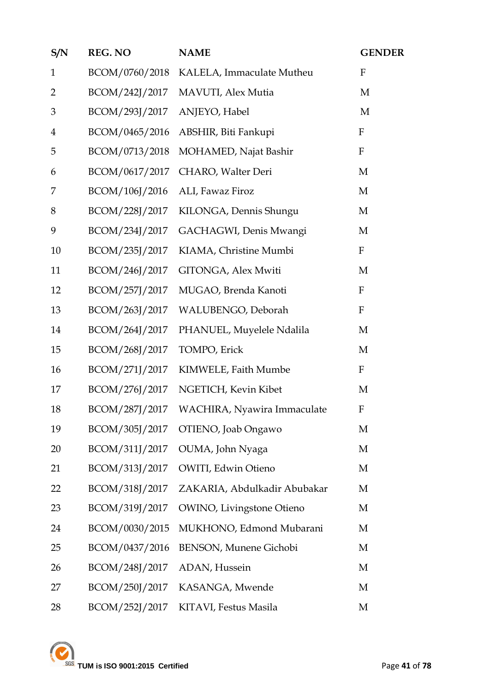| S/N            | <b>REG. NO</b> | <b>NAME</b>                        | <b>GENDER</b>             |
|----------------|----------------|------------------------------------|---------------------------|
| $\mathbf{1}$   | BCOM/0760/2018 | KALELA, Immaculate Mutheu          | $\mathbf F$               |
| $\overline{2}$ | BCOM/242J/2017 | MAVUTI, Alex Mutia                 | M                         |
| 3              | BCOM/293J/2017 | ANJEYO, Habel                      | M                         |
| $\overline{4}$ | BCOM/0465/2016 | ABSHIR, Biti Fankupi               | ${\bf F}$                 |
| 5              | BCOM/0713/2018 | MOHAMED, Najat Bashir              | $\boldsymbol{\mathrm{F}}$ |
| 6              | BCOM/0617/2017 | CHARO, Walter Deri                 | M                         |
| 7              | BCOM/106J/2016 | ALI, Fawaz Firoz                   | M                         |
| 8              | BCOM/228J/2017 | KILONGA, Dennis Shungu             | M                         |
| 9              | BCOM/234J/2017 | GACHAGWI, Denis Mwangi             | M                         |
| 10             | BCOM/235J/2017 | KIAMA, Christine Mumbi             | $\boldsymbol{\mathrm{F}}$ |
| 11             | BCOM/246J/2017 | GITONGA, Alex Mwiti                | M                         |
| 12             | BCOM/257J/2017 | MUGAO, Brenda Kanoti               | $\mathbf{F}$              |
| 13             | BCOM/263J/2017 | WALUBENGO, Deborah                 | $\boldsymbol{\mathrm{F}}$ |
| 14             | BCOM/264J/2017 | PHANUEL, Muyelele Ndalila          | M                         |
| 15             | BCOM/268J/2017 | TOMPO, Erick                       | M                         |
| 16             | BCOM/271J/2017 | KIMWELE, Faith Mumbe               | $\boldsymbol{\mathrm{F}}$ |
| 17             | BCOM/276J/2017 | NGETICH, Kevin Kibet               | M                         |
| 18             | BCOM/287J/2017 | WACHIRA, Nyawira Immaculate        | $\mathbf F$               |
| 19             |                | BCOM/305J/2017 OTIENO, Joab Ongawo | M                         |
| 20             | BCOM/311J/2017 | OUMA, John Nyaga                   | M                         |
| 21             | BCOM/313J/2017 | OWITI, Edwin Otieno                | M                         |
| 22             | BCOM/318J/2017 | ZAKARIA, Abdulkadir Abubakar       | M                         |
| 23             | BCOM/319J/2017 | <b>OWINO</b> , Livingstone Otieno  | M                         |
| 24             | BCOM/0030/2015 | MUKHONO, Edmond Mubarani           | M                         |
| 25             | BCOM/0437/2016 | <b>BENSON, Munene Gichobi</b>      | M                         |
| 26             | BCOM/248J/2017 | ADAN, Hussein                      | M                         |
| 27             | BCOM/250J/2017 | KASANGA, Mwende                    | M                         |
| 28             | BCOM/252J/2017 | KITAVI, Festus Masila              | M                         |

TUM is ISO 9001:2015 Certified Page 41 of 78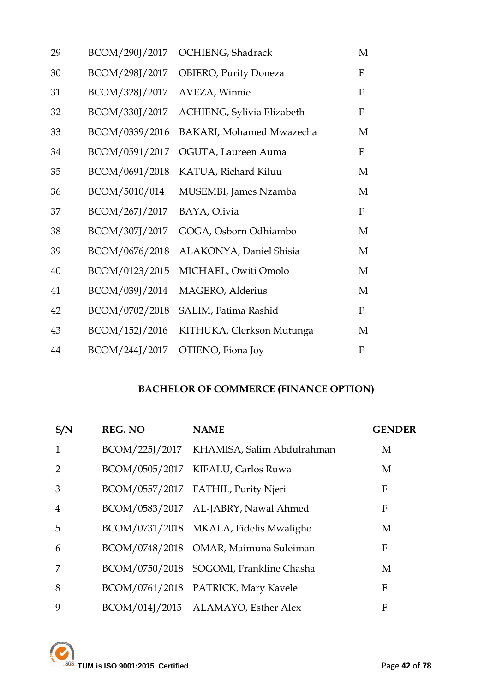| 29 | BCOM/290J/2017 | OCHIENG, Shadrack               | M            |
|----|----------------|---------------------------------|--------------|
| 30 | BCOM/298J/2017 | <b>OBIERO, Purity Doneza</b>    | F            |
| 31 | BCOM/328J/2017 | AVEZA, Winnie                   | $\mathbf{F}$ |
| 32 | BCOM/330J/2017 | ACHIENG, Sylivia Elizabeth      | F            |
| 33 | BCOM/0339/2016 | <b>BAKARI, Mohamed Mwazecha</b> | M            |
| 34 | BCOM/0591/2017 | OGUTA, Laureen Auma             | F            |
| 35 | BCOM/0691/2018 | KATUA, Richard Kiluu            | M            |
| 36 | BCOM/5010/014  | MUSEMBI, James Nzamba           | M            |
| 37 | BCOM/267J/2017 | BAYA, Olivia                    | F            |
| 38 | BCOM/307J/2017 | GOGA, Osborn Odhiambo           | M            |
| 39 | BCOM/0676/2018 | ALAKONYA, Daniel Shisia         | M            |
| 40 | BCOM/0123/2015 | MICHAEL, Owiti Omolo            | M            |
| 41 | BCOM/039J/2014 | MAGERO, Alderius                | M            |
| 42 | BCOM/0702/2018 | SALIM, Fatima Rashid            | F            |
| 43 | BCOM/152J/2016 | KITHUKA, Clerkson Mutunga       | M            |
| 44 | BCOM/244J/2017 | OTIENO, Fiona Joy               | F            |

## **BACHELOR OF COMMERCE (FINANCE OPTION)**

| S/N            | <b>REG. NO</b> | <b>NAME</b>                               | <b>GENDER</b> |
|----------------|----------------|-------------------------------------------|---------------|
| $\mathbf{1}$   |                | BCOM/225J/2017 KHAMISA, Salim Abdulrahman | M             |
| $\mathcal{D}$  |                | BCOM/0505/2017 KIFALU, Carlos Ruwa        | M             |
| 3              |                | BCOM/0557/2017 FATHIL, Purity Njeri       | F             |
| $\overline{4}$ |                | BCOM/0583/2017 AL-JABRY, Nawal Ahmed      | F             |
| 5              |                | BCOM/0731/2018 MKALA, Fidelis Mwaligho    | M             |
| 6              |                | BCOM/0748/2018 OMAR, Maimuna Suleiman     | F             |
| 7              |                | BCOM/0750/2018 SOGOMI, Frankline Chasha   | M             |
| 8              |                | BCOM/0761/2018 PATRICK, Mary Kavele       | F             |
| 9              |                | BCOM/014J/2015 ALAMAYO, Esther Alex       | F             |

TUM is ISO 9001:2015 Certified Page 42 of 78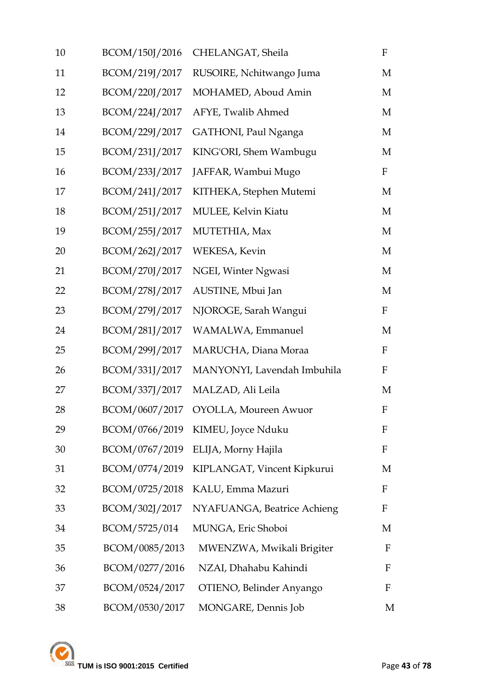| 10 | BCOM/150J/2016 | CHELANGAT, Sheila                 | $\boldsymbol{\mathrm{F}}$ |
|----|----------------|-----------------------------------|---------------------------|
| 11 | BCOM/219J/2017 | RUSOIRE, Nchitwango Juma          | М                         |
| 12 | BCOM/220J/2017 | MOHAMED, Aboud Amin               | М                         |
| 13 | BCOM/224J/2017 | AFYE, Twalib Ahmed                | М                         |
| 14 | BCOM/229J/2017 | GATHONI, Paul Nganga              | M                         |
| 15 | BCOM/231J/2017 | KING'ORI, Shem Wambugu            | М                         |
| 16 | BCOM/233J/2017 | JAFFAR, Wambui Mugo               | $\mathbf F$               |
| 17 | BCOM/241J/2017 | KITHEKA, Stephen Mutemi           | M                         |
| 18 | BCOM/251J/2017 | MULEE, Kelvin Kiatu               | M                         |
| 19 | BCOM/255J/2017 | MUTETHIA, Max                     | M                         |
| 20 | BCOM/262J/2017 | WEKESA, Kevin                     | M                         |
| 21 | BCOM/270J/2017 | NGEI, Winter Ngwasi               | M                         |
| 22 | BCOM/278J/2017 | AUSTINE, Mbui Jan                 | M                         |
| 23 | BCOM/279J/2017 | NJOROGE, Sarah Wangui             | $\mathbf F$               |
| 24 | BCOM/281J/2017 | WAMALWA, Emmanuel                 | M                         |
| 25 | BCOM/299J/2017 | MARUCHA, Diana Moraa              | $\mathbf F$               |
| 26 | BCOM/331J/2017 | MANYONYI, Lavendah Imbuhila       | $\mathbf F$               |
| 27 | BCOM/337J/2017 | MALZAD, Ali Leila                 | M                         |
| 28 | BCOM/0607/2017 | <b>OYOLLA</b> , Moureen Awuor     | F                         |
| 29 |                | BCOM/0766/2019 KIMEU, Joyce Nduku | F                         |
| 30 | BCOM/0767/2019 | ELIJA, Morny Hajila               | F                         |
| 31 | BCOM/0774/2019 | KIPLANGAT, Vincent Kipkurui       | M                         |
| 32 | BCOM/0725/2018 | KALU, Emma Mazuri                 | F                         |
| 33 | BCOM/302J/2017 | NYAFUANGA, Beatrice Achieng       | F                         |
| 34 | BCOM/5725/014  | MUNGA, Eric Shoboi                | M                         |
| 35 | BCOM/0085/2013 | MWENZWA, Mwikali Brigiter         | F                         |
| 36 | BCOM/0277/2016 | NZAI, Dhahabu Kahindi             | F                         |
| 37 | BCOM/0524/2017 | OTIENO, Belinder Anyango          | F                         |
| 38 | BCOM/0530/2017 | MONGARE, Dennis Job               | M                         |
|    |                |                                   |                           |

**TUM is ISO 9001:2015 Certified** Page 43 of 78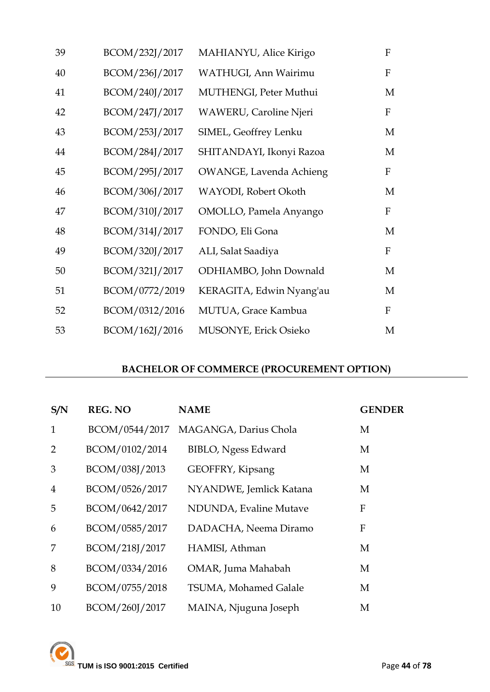| 39 | BCOM/232J/2017 | MAHIANYU, Alice Kirigo         | ${\bf F}$    |
|----|----------------|--------------------------------|--------------|
| 40 | BCOM/236J/2017 | WATHUGI, Ann Wairimu           | $\mathbf F$  |
| 41 | BCOM/240J/2017 | MUTHENGI, Peter Muthui         | M            |
| 42 | BCOM/247J/2017 | <b>WAWERU, Caroline Njeri</b>  | $\mathbf F$  |
| 43 | BCOM/253J/2017 | SIMEL, Geoffrey Lenku          | M            |
| 44 | BCOM/284J/2017 | SHITANDAYI, Ikonyi Razoa       | M            |
| 45 | BCOM/295J/2017 | <b>OWANGE, Lavenda Achieng</b> | $\mathbf F$  |
| 46 | BCOM/306J/2017 | WAYODI, Robert Okoth           | М            |
| 47 | BCOM/310J/2017 | OMOLLO, Pamela Anyango         | $\mathbf F$  |
| 48 | BCOM/314J/2017 | FONDO, Eli Gona                | M            |
| 49 | BCOM/320J/2017 | ALI, Salat Saadiya             | $\mathbf F$  |
| 50 | BCOM/321J/2017 | ODHIAMBO, John Downald         | М            |
| 51 | BCOM/0772/2019 | KERAGITA, Edwin Nyang'au       | M            |
| 52 | BCOM/0312/2016 | MUTUA, Grace Kambua            | $\mathbf{F}$ |
| 53 | BCOM/162J/2016 | MUSONYE, Erick Osieko          | M            |

## **BACHELOR OF COMMERCE (PROCUREMENT OPTION)**

| S/N            | <b>REG. NO</b> | <b>NAME</b>                | <b>GENDER</b> |
|----------------|----------------|----------------------------|---------------|
| $\mathbf{1}$   | BCOM/0544/2017 | MAGANGA, Darius Chola      | M             |
| 2              | BCOM/0102/2014 | <b>BIBLO, Ngess Edward</b> | M             |
| 3              | BCOM/038J/2013 | GEOFFRY, Kipsang           | M             |
| $\overline{4}$ | BCOM/0526/2017 | NYANDWE, Jemlick Katana    | M             |
| 5              | BCOM/0642/2017 | NDUNDA, Evaline Mutave     | F             |
| 6              | BCOM/0585/2017 | DADACHA, Neema Diramo      | F             |
| 7              | BCOM/218J/2017 | HAMISI, Athman             | M             |
| 8              | BCOM/0334/2016 | OMAR, Juma Mahabah         | M             |
| 9              | BCOM/0755/2018 | TSUMA, Mohamed Galale      | M             |
| 10             | BCOM/260J/2017 | MAINA, Njuguna Joseph      | M             |

**TUM** is ISO 9001:2015 Certified **Page 44** of 78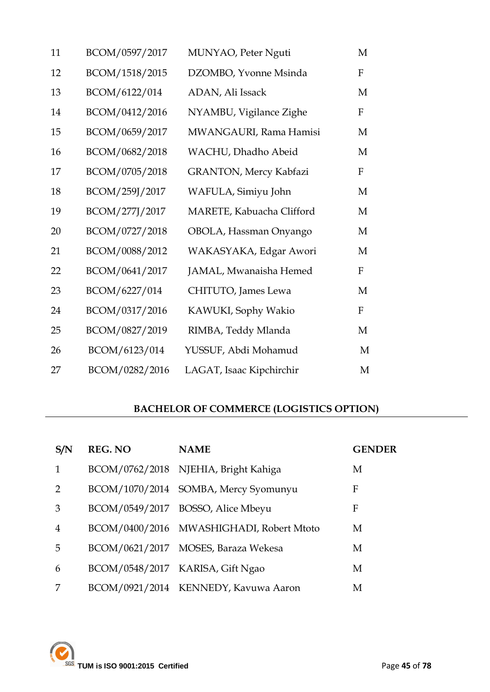| 11 | BCOM/0597/2017 | MUNYAO, Peter Nguti           | M           |
|----|----------------|-------------------------------|-------------|
| 12 | BCOM/1518/2015 | DZOMBO, Yvonne Msinda         | ${\bf F}$   |
| 13 | BCOM/6122/014  | ADAN, Ali Issack              | M           |
| 14 | BCOM/0412/2016 | NYAMBU, Vigilance Zighe       | F           |
| 15 | BCOM/0659/2017 | MWANGAURI, Rama Hamisi        | M           |
| 16 | BCOM/0682/2018 | WACHU, Dhadho Abeid           | M           |
| 17 | BCOM/0705/2018 | <b>GRANTON, Mercy Kabfazi</b> | $\mathbf F$ |
| 18 | BCOM/259J/2017 | WAFULA, Simiyu John           | M           |
| 19 | BCOM/277J/2017 | MARETE, Kabuacha Clifford     | M           |
| 20 | BCOM/0727/2018 | OBOLA, Hassman Onyango        | M           |
| 21 | BCOM/0088/2012 | WAKASYAKA, Edgar Awori        | M           |
| 22 | BCOM/0641/2017 | JAMAL, Mwanaisha Hemed        | $\mathbf F$ |
| 23 | BCOM/6227/014  | CHITUTO, James Lewa           | M           |
| 24 | BCOM/0317/2016 | KAWUKI, Sophy Wakio           | $\mathbf F$ |
| 25 | BCOM/0827/2019 | RIMBA, Teddy Mlanda           | M           |
| 26 | BCOM/6123/014  | YUSSUF, Abdi Mohamud          | M           |
| 27 | BCOM/0282/2016 | LAGAT, Isaac Kipchirchir      | M           |
|    |                |                               |             |

## **BACHELOR OF COMMERCE (LOGISTICS OPTION)**

| S/N            | <b>REG. NO</b> | <b>NAME</b>                              | <b>GENDER</b> |
|----------------|----------------|------------------------------------------|---------------|
| 1              |                | BCOM/0762/2018 NJEHIA, Bright Kahiga     | M             |
| $\mathcal{P}$  |                | BCOM/1070/2014 SOMBA, Mercy Syomunyu     | F             |
| 3              |                | BCOM/0549/2017 BOSSO, Alice Mbeyu        | F             |
| $\overline{4}$ |                | BCOM/0400/2016 MWASHIGHADI, Robert Mtoto | M             |
| 5              |                | BCOM/0621/2017 MOSES, Baraza Wekesa      | M             |
| 6              |                | BCOM/0548/2017 KARISA, Gift Ngao         | М             |
|                |                | BCOM/0921/2014 KENNEDY, Kavuwa Aaron     | М             |

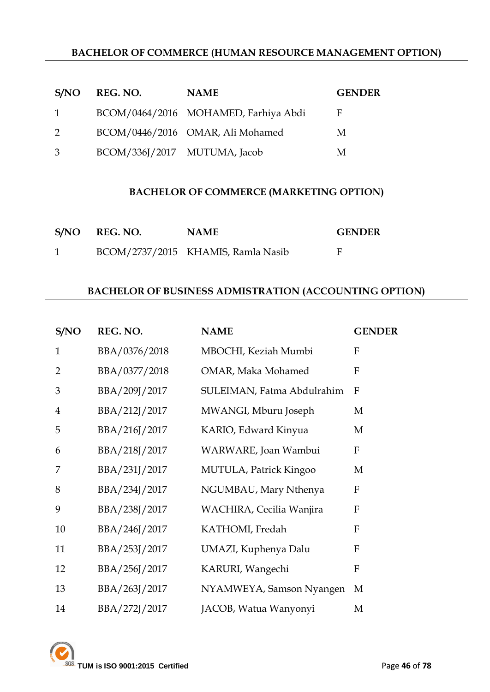## **BACHELOR OF COMMERCE (HUMAN RESOURCE MANAGEMENT OPTION)**

|              | S/NO REG. NO.                | <b>NAME</b>                          | <b>GENDER</b> |
|--------------|------------------------------|--------------------------------------|---------------|
| $\mathbf{1}$ |                              | BCOM/0464/2016 MOHAMED, Farhiya Abdi | F             |
| 2            |                              | BCOM/0446/2016 OMAR, Ali Mohamed     | M             |
| 3            | BCOM/336J/2017 MUTUMA, Jacob |                                      | M             |

#### **BACHELOR OF COMMERCE (MARKETING OPTION)**

| S/NO REG. NO. | <b>NAME</b>                        | <b>GENDER</b> |
|---------------|------------------------------------|---------------|
|               | BCOM/2737/2015 KHAMIS, Ramla Nasib |               |

#### **BACHELOR OF BUSINESS ADMISTRATION (ACCOUNTING OPTION)**

| S/NO           | REG. NO.      | <b>NAME</b>                   | <b>GENDER</b> |
|----------------|---------------|-------------------------------|---------------|
| $\mathbf{1}$   | BBA/0376/2018 | MBOCHI, Keziah Mumbi          | F             |
| $\overline{2}$ | BBA/0377/2018 | OMAR, Maka Mohamed            | F             |
| 3              | BBA/209J/2017 | SULEIMAN, Fatma Abdulrahim    | F             |
| $\overline{4}$ | BBA/212J/2017 | MWANGI, Mburu Joseph          | M             |
| 5              | BBA/216J/2017 | KARIO, Edward Kinyua          | M             |
| 6              | BBA/218J/2017 | WARWARE, Joan Wambui          | ${\bf F}$     |
| 7              | BBA/231J/2017 | <b>MUTULA, Patrick Kingoo</b> | M             |
| 8              | BBA/234J/2017 | NGUMBAU, Mary Nthenya         | $\mathbf{F}$  |
| 9              | BBA/238J/2017 | WACHIRA, Cecilia Wanjira      | F             |
| 10             | BBA/246J/2017 | KATHOMI, Fredah               | F             |
| 11             | BBA/253J/2017 | UMAZI, Kuphenya Dalu          | ${\bf F}$     |
| 12             | BBA/256J/2017 | KARURI, Wangechi              | ${\bf F}$     |
| 13             | BBA/263J/2017 | NYAMWEYA, Samson Nyangen      | M             |
| 14             | BBA/272J/2017 | JACOB, Watua Wanyonyi         | M             |

**TUM is ISO 9001:2015 Certified Page 46** of **78**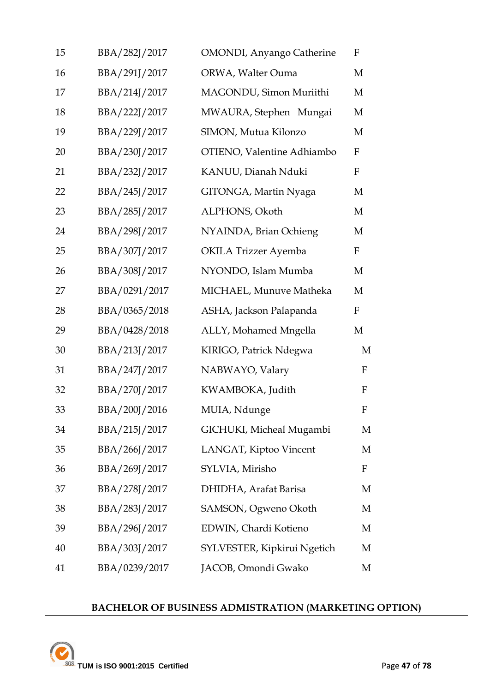| 15 | BBA/282J/2017 | <b>OMONDI</b> , Anyango Catherine | $\mathbf F$  |
|----|---------------|-----------------------------------|--------------|
| 16 | BBA/291J/2017 | ORWA, Walter Ouma                 | M            |
| 17 | BBA/214J/2017 | MAGONDU, Simon Muriithi           | M            |
| 18 | BBA/222J/2017 | MWAURA, Stephen Mungai            | M            |
| 19 | BBA/229J/2017 | SIMON, Mutua Kilonzo              | M            |
| 20 | BBA/230J/2017 | OTIENO, Valentine Adhiambo        | $\mathbf F$  |
| 21 | BBA/232J/2017 | KANUU, Dianah Nduki               | $\mathbf F$  |
| 22 | BBA/245J/2017 | GITONGA, Martin Nyaga             | M            |
| 23 | BBA/285J/2017 | ALPHONS, Okoth                    | M            |
| 24 | BBA/298J/2017 | NYAINDA, Brian Ochieng            | M            |
| 25 | BBA/307J/2017 | <b>OKILA Trizzer Ayemba</b>       | $\mathbf{F}$ |
| 26 | BBA/308J/2017 | NYONDO, Islam Mumba               | M            |
| 27 | BBA/0291/2017 | MICHAEL, Munuve Matheka           | M            |
| 28 | BBA/0365/2018 | ASHA, Jackson Palapanda           | $\mathbf{F}$ |
| 29 | BBA/0428/2018 | ALLY, Mohamed Mngella             | M            |
| 30 | BBA/213J/2017 | KIRIGO, Patrick Ndegwa            | M            |
| 31 | BBA/247J/2017 | NABWAYO, Valary                   | $\mathbf F$  |
| 32 | BBA/270J/2017 | KWAMBOKA, Judith                  | $\mathbf F$  |
| 33 | BBA/200J/2016 | MUIA, Ndunge                      | $\mathbf F$  |
| 34 | BBA/215J/2017 | GICHUKI, Micheal Mugambi          | M            |
| 35 | BBA/266J/2017 | LANGAT, Kiptoo Vincent            | M            |
| 36 | BBA/269J/2017 | SYLVIA, Mirisho                   | $\mathbf F$  |
| 37 | BBA/278J/2017 | DHIDHA, Arafat Barisa             | M            |
| 38 | BBA/283J/2017 | SAMSON, Ogweno Okoth              | M            |
| 39 | BBA/296J/2017 | EDWIN, Chardi Kotieno             | M            |
| 40 | BBA/303J/2017 | SYLVESTER, Kipkirui Ngetich       | M            |
| 41 | BBA/0239/2017 | JACOB, Omondi Gwako               | M            |

## **BACHELOR OF BUSINESS ADMISTRATION (MARKETING OPTION)**

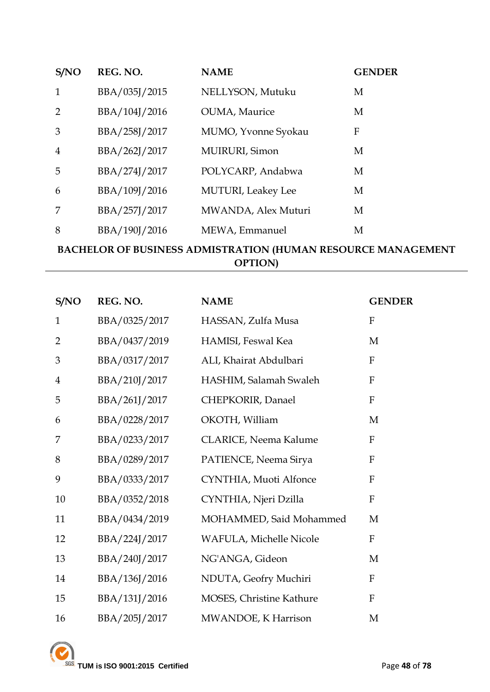| S/NO           | REG. NO.      | <b>NAME</b>                | <b>GENDER</b> |
|----------------|---------------|----------------------------|---------------|
| $\mathbf{1}$   | BBA/035J/2015 | NELLYSON, Mutuku           | M             |
| 2              | BBA/104J/2016 | <b>OUMA</b> , Maurice      | M             |
| 3              | BBA/258J/2017 | MUMO, Yvonne Syokau        | F             |
| $\overline{4}$ | BBA/262J/2017 | MUIRURI, Simon             | M             |
| 5              | BBA/274J/2017 | POLYCARP, Andabwa          | M             |
| 6              | BBA/109J/2016 | <b>MUTURI</b> , Leakey Lee | M             |
| 7              | BBA/257J/2017 | MWANDA, Alex Muturi        | M             |
| 8              | BBA/190J/2016 | MEWA, Emmanuel             | М             |

## **BACHELOR OF BUSINESS ADMISTRATION (HUMAN RESOURCE MANAGEMENT OPTION)**

| S/NO           | REG. NO.      | <b>NAME</b>              | <b>GENDER</b>             |
|----------------|---------------|--------------------------|---------------------------|
| $\mathbf{1}$   | BBA/0325/2017 | HASSAN, Zulfa Musa       | ${\bf F}$                 |
| $\overline{2}$ | BBA/0437/2019 | HAMISI, Feswal Kea       | M                         |
| 3              | BBA/0317/2017 | ALI, Khairat Abdulbari   | $\mathbf{F}$              |
| $\overline{4}$ | BBA/210J/2017 | HASHIM, Salamah Swaleh   | ${\bf F}$                 |
| 5              | BBA/261J/2017 | CHEPKORIR, Danael        | $\boldsymbol{\mathrm{F}}$ |
| 6              | BBA/0228/2017 | OKOTH, William           | M                         |
| 7              | BBA/0233/2017 | CLARICE, Neema Kalume    | $\boldsymbol{\mathrm{F}}$ |
| 8              | BBA/0289/2017 | PATIENCE, Neema Sirya    | $\mathbf{F}$              |
| 9              | BBA/0333/2017 | CYNTHIA, Muoti Alfonce   | $\boldsymbol{\mathrm{F}}$ |
| 10             | BBA/0352/2018 | CYNTHIA, Njeri Dzilla    | $\mathbf{F}$              |
| 11             | BBA/0434/2019 | MOHAMMED, Said Mohammed  | M                         |
| 12             | BBA/224J/2017 | WAFULA, Michelle Nicole  | $\mathbf F$               |
| 13             | BBA/240J/2017 | NG'ANGA, Gideon          | M                         |
| 14             | BBA/136J/2016 | NDUTA, Geofry Muchiri    | $\mathbf{F}$              |
| 15             | BBA/131J/2016 | MOSES, Christine Kathure | ${\bf F}$                 |
| 16             | BBA/205J/2017 | MWANDOE, K Harrison      | M                         |

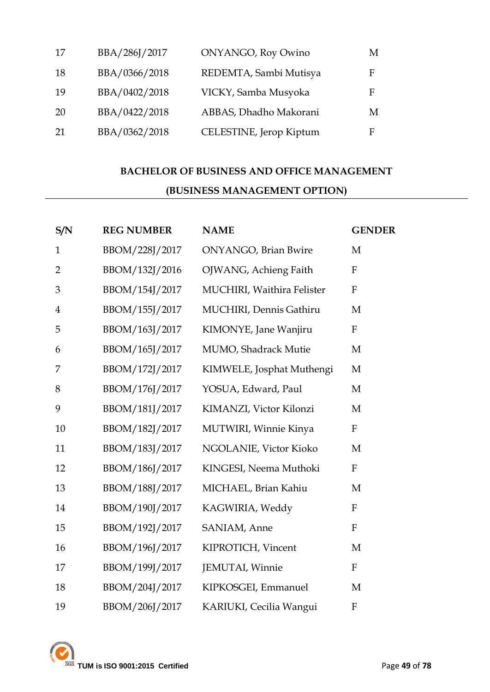| 17  | BBA/286J/2017 | <b>ONYANGO, Roy Owino</b> | M |
|-----|---------------|---------------------------|---|
| 18  | BBA/0366/2018 | REDEMTA, Sambi Mutisya    | F |
| -19 | BBA/0402/2018 | VICKY, Samba Musyoka      | F |
| -20 | BBA/0422/2018 | ABBAS, Dhadho Makorani    | M |
| 21  | BBA/0362/2018 | CELESTINE, Jerop Kiptum   | F |

# **BACHELOR OF BUSINESS AND OFFICE MANAGEMENT (BUSINESS MANAGEMENT OPTION)**

| S/N            | <b>REG NUMBER</b> | <b>NAME</b>                  | <b>GENDER</b>    |
|----------------|-------------------|------------------------------|------------------|
| $\mathbf{1}$   | BBOM/228J/2017    | <b>ONYANGO</b> , Brian Bwire | M                |
| $\overline{2}$ | BBOM/132J/2016    | OJWANG, Achieng Faith        | $\mathbf{F}$     |
| 3              | BBOM/154J/2017    | MUCHIRI, Waithira Felister   | $\mathbf{F}$     |
| $\overline{4}$ | BBOM/155J/2017    | MUCHIRI, Dennis Gathiru      | M                |
| 5              | BBOM/163J/2017    | KIMONYE, Jane Wanjiru        | $\mathbf F$      |
| 6              | BBOM/165J/2017    | MUMO, Shadrack Mutie         | M                |
| 7              | BBOM/172J/2017    | KIMWELE, Josphat Muthengi    | M                |
| 8              | BBOM/176J/2017    | YOSUA, Edward, Paul          | M                |
| 9              | BBOM/181J/2017    | KIMANZI, Victor Kilonzi      | M                |
| 10             | BBOM/182J/2017    | MUTWIRI, Winnie Kinya        | $\mathbf F$      |
| 11             | BBOM/183J/2017    | NGOLANIE, Victor Kioko       | M                |
| 12             | BBOM/186J/2017    | KINGESI, Neema Muthoki       | $\mathbf{F}$     |
| 13             | BBOM/188J/2017    | MICHAEL, Brian Kahiu         | M                |
| 14             | BBOM/190J/2017    | KAGWIRIA, Weddy              | $\mathbf{F}$     |
| 15             | BBOM/192J/2017    | SANIAM, Anne                 | $\boldsymbol{F}$ |
| 16             | BBOM/196J/2017    | KIPROTICH, Vincent           | M                |
| 17             | BBOM/199J/2017    | JEMUTAI, Winnie              | $\mathbf F$      |
| 18             | BBOM/204J/2017    | KIPKOSGEI, Emmanuel          | M                |
| 19             | BBOM/206J/2017    | KARIUKI, Cecilia Wangui      | $\mathbf{F}$     |

**TUM is ISO 9001:2015 Certified Page 49 of 78**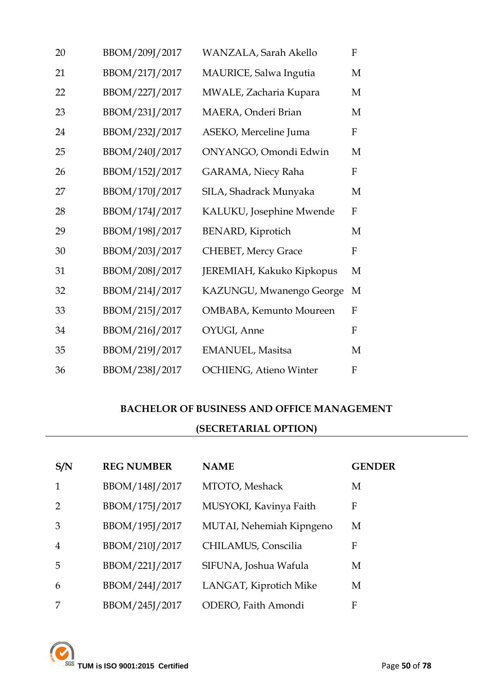| 20 | BBOM/209J/2017 | WANZALA, Sarah Akello         | F            |
|----|----------------|-------------------------------|--------------|
| 21 | BBOM/217J/2017 | MAURICE, Salwa Ingutia        | M            |
| 22 | BBOM/227J/2017 | MWALE, Zacharia Kupara        | M            |
| 23 | BBOM/231J/2017 | MAERA, Onderi Brian           | M            |
| 24 | BBOM/232J/2017 | ASEKO, Merceline Juma         | $\mathbf{F}$ |
| 25 | BBOM/240J/2017 | ONYANGO, Omondi Edwin         | M            |
| 26 | BBOM/152J/2017 | GARAMA, Niecy Raha            | $\mathbf{F}$ |
| 27 | BBOM/170J/2017 | SILA, Shadrack Munyaka        | M            |
| 28 | BBOM/174J/2017 | KALUKU, Josephine Mwende      | $\mathbf{F}$ |
| 29 | BBOM/198J/2017 | <b>BENARD, Kiprotich</b>      | M            |
| 30 | BBOM/203J/2017 | <b>CHEBET, Mercy Grace</b>    | F            |
| 31 | BBOM/208J/2017 | JEREMIAH, Kakuko Kipkopus     | M            |
| 32 | BBOM/214J/2017 | KAZUNGU, Mwanengo George      | M            |
| 33 | BBOM/215J/2017 | OMBABA, Kemunto Moureen       | $\mathbf{F}$ |
| 34 | BBOM/216J/2017 | OYUGI, Anne                   | F            |
| 35 | BBOM/219J/2017 | EMANUEL, Masitsa              | M            |
| 36 | BBOM/238J/2017 | <b>OCHIENG, Atieno Winter</b> | $\mathbf{F}$ |

# **BACHELOR OF BUSINESS AND OFFICE MANAGEMENT**

## **(SECRETARIAL OPTION)**

| S/N            | <b>REG NUMBER</b> | <b>NAME</b>              | <b>GENDER</b> |
|----------------|-------------------|--------------------------|---------------|
|                | BBOM/148J/2017    | MTOTO, Meshack           | М             |
|                | BBOM/175J/2017    | MUSYOKI, Kavinya Faith   | F             |
| 3              | BBOM/195J/2017    | MUTAI, Nehemiah Kipngeno | М             |
| $\overline{4}$ | BBOM/210J/2017    | CHILAMUS, Conscilia      | F             |
| 5              | BBOM/221J/2017    | SIFUNA, Joshua Wafula    | М             |
| 6              | BBOM/244J/2017    | LANGAT, Kiprotich Mike   | M             |
|                | BBOM/245J/2017    | ODERO, Faith Amondi      | F             |

TUM is ISO 9001:2015 Certified Page 50 of 78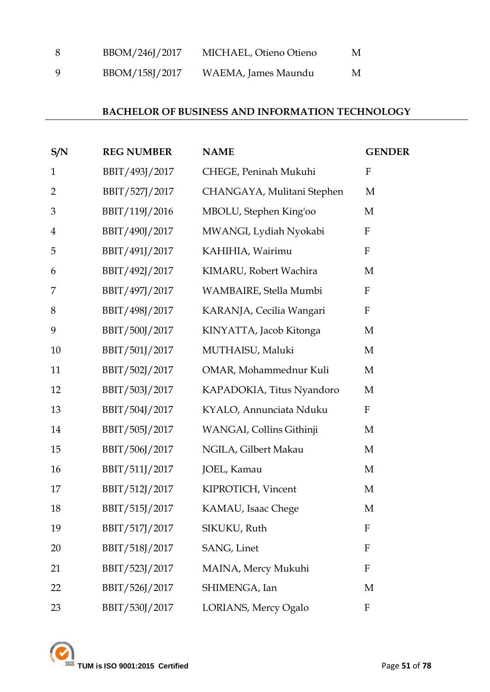| -8  | BBOM/246J/2017 | MICHAEL, Otieno Otieno | M |
|-----|----------------|------------------------|---|
| - Q | BBOM/158J/2017 | WAEMA, James Maundu    | M |

#### **BACHELOR OF BUSINESS AND INFORMATION TECHNOLOGY**

| S/N            | <b>REG NUMBER</b> | <b>NAME</b>                | <b>GENDER</b>    |
|----------------|-------------------|----------------------------|------------------|
| $\mathbf{1}$   | BBIT/493J/2017    | CHEGE, Peninah Mukuhi      | $\mathbf F$      |
| $\overline{2}$ | BBIT/527J/2017    | CHANGAYA, Mulitani Stephen | M                |
| 3              | BBIT/119J/2016    | MBOLU, Stephen King'oo     | M                |
| $\overline{4}$ | BBIT/490J/2017    | MWANGI, Lydiah Nyokabi     | F                |
| 5              | BBIT/491J/2017    | KAHIHIA, Wairimu           | ${\bf F}$        |
| 6              | BBIT/492J/2017    | KIMARU, Robert Wachira     | M                |
| 7              | BBIT/497J/2017    | WAMBAIRE, Stella Mumbi     | $\mathbf F$      |
| 8              | BBIT/498J/2017    | KARANJA, Cecilia Wangari   | $\mathbf{F}$     |
| 9              | BBIT/500J/2017    | KINYATTA, Jacob Kitonga    | M                |
| 10             | BBIT/501J/2017    | MUTHAISU, Maluki           | M                |
| 11             | BBIT/502J/2017    | OMAR, Mohammednur Kuli     | M                |
| 12             | BBIT/503J/2017    | KAPADOKIA, Titus Nyandoro  | M                |
| 13             | BBIT/504J/2017    | KYALO, Annunciata Nduku    | $\mathbf F$      |
| 14             | BBIT/505J/2017    | WANGAI, Collins Githinji   | M                |
| 15             | BBIT/506J/2017    | NGILA, Gilbert Makau       | M                |
| 16             | BBIT/511J/2017    | JOEL, Kamau                | M                |
| 17             | BBIT/512J/2017    | KIPROTICH, Vincent         | M                |
| 18             | BBIT/515J/2017    | KAMAU, Isaac Chege         | M                |
| 19             | BBIT/517J/2017    | SIKUKU, Ruth               | $\mathbf{F}$     |
| 20             | BBIT/518J/2017    | SANG, Linet                | $\mathbf{F}$     |
| 21             | BBIT/523J/2017    | MAINA, Mercy Mukuhi        | $\mathbf{F}$     |
| 22             | BBIT/526J/2017    | SHIMENGA, Ian              | M                |
| 23             | BBIT/530J/2017    | LORIANS, Mercy Ogalo       | $\boldsymbol{F}$ |

**EXAMPLE 1899 SOMETHER 20001:2015 Certified** Page 51 of **78**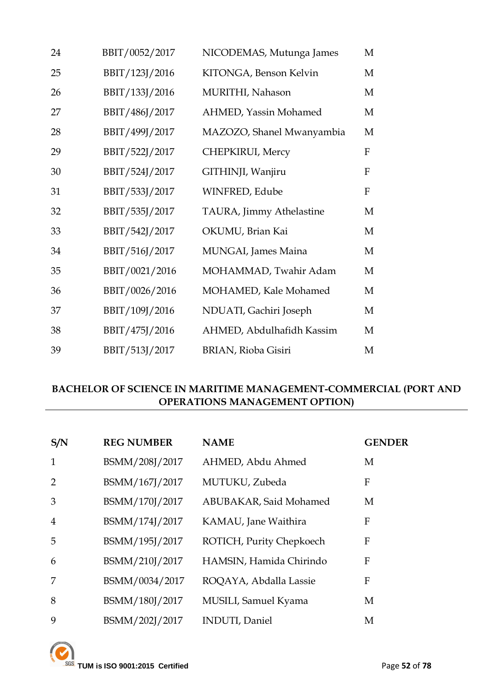| 24 | BBIT/0052/2017 | NICODEMAS, Mutunga James  | M            |
|----|----------------|---------------------------|--------------|
| 25 | BBIT/123J/2016 | KITONGA, Benson Kelvin    | M            |
| 26 | BBIT/133J/2016 | MURITHI, Nahason          | M            |
| 27 | BBIT/486J/2017 | AHMED, Yassin Mohamed     | M            |
| 28 | BBIT/499J/2017 | MAZOZO, Shanel Mwanyambia | M            |
| 29 | BBIT/522J/2017 | CHEPKIRUI, Mercy          | F            |
| 30 | BBIT/524J/2017 | GITHINJI, Wanjiru         | $\mathbf{F}$ |
| 31 | BBIT/533J/2017 | WINFRED, Edube            | $\mathbf{F}$ |
| 32 | BBIT/535J/2017 | TAURA, Jimmy Athelastine  | M            |
| 33 | BBIT/542J/2017 | OKUMU, Brian Kai          | M            |
| 34 | BBIT/516J/2017 | MUNGAI, James Maina       | M            |
| 35 | BBIT/0021/2016 | MOHAMMAD, Twahir Adam     | M            |
| 36 | BBIT/0026/2016 | MOHAMED, Kale Mohamed     | M            |
| 37 | BBIT/109J/2016 | NDUATI, Gachiri Joseph    | М            |
| 38 | BBIT/475J/2016 | AHMED, Abdulhafidh Kassim | M            |
| 39 | BBIT/513J/2017 | BRIAN, Rioba Gisiri       | M            |

## **BACHELOR OF SCIENCE IN MARITIME MANAGEMENT-COMMERCIAL (PORT AND OPERATIONS MANAGEMENT OPTION)**

| S/N            | <b>REG NUMBER</b> | <b>NAME</b>              | <b>GENDER</b> |
|----------------|-------------------|--------------------------|---------------|
| $\mathbf{1}$   | BSMM/208J/2017    | AHMED, Abdu Ahmed        | M             |
| 2              | BSMM/167J/2017    | MUTUKU, Zubeda           | F             |
| 3              | BSMM/170J/2017    | ABUBAKAR, Said Mohamed   | M             |
| $\overline{4}$ | BSMM/174J/2017    | KAMAU, Jane Waithira     | F             |
| 5              | BSMM/195J/2017    | ROTICH, Purity Chepkoech | F             |
| 6              | BSMM/210J/2017    | HAMSIN, Hamida Chirindo  | F             |
| 7              | BSMM/0034/2017    | ROQAYA, Abdalla Lassie   | F             |
| 8              | BSMM/180J/2017    | MUSILI, Samuel Kyama     | M             |
| 9              | BSMM/202J/2017    | <b>INDUTI</b> , Daniel   | M             |

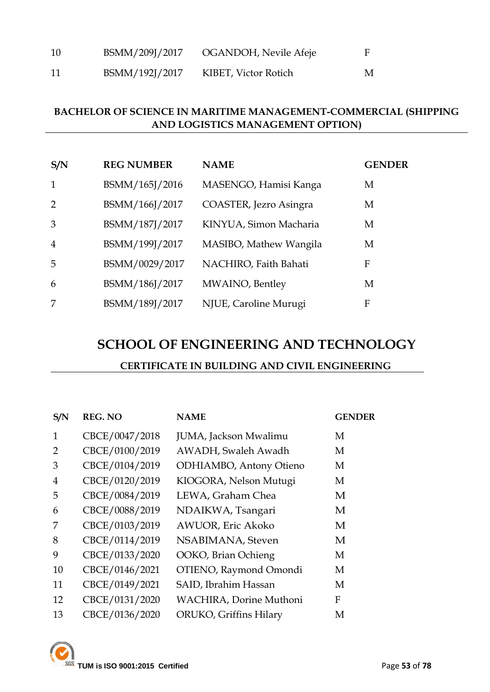| 10 | BSMM/209J/2017 | OGANDOH, Nevile Afeje |   |
|----|----------------|-----------------------|---|
| 11 | BSMM/192J/2017 | KIBET, Victor Rotich  | M |

#### **BACHELOR OF SCIENCE IN MARITIME MANAGEMENT-COMMERCIAL (SHIPPING AND LOGISTICS MANAGEMENT OPTION)**

| S/N            | <b>REG NUMBER</b> | <b>NAME</b>            | <b>GENDER</b> |
|----------------|-------------------|------------------------|---------------|
| $\mathbf{1}$   | BSMM/165J/2016    | MASENGO, Hamisi Kanga  | M             |
| 2              | BSMM/166J/2017    | COASTER, Jezro Asingra | M             |
| 3              | BSMM/187J/2017    | KINYUA, Simon Macharia | M             |
| $\overline{4}$ | BSMM/199J/2017    | MASIBO, Mathew Wangila | M             |
| 5              | BSMM/0029/2017    | NACHIRO, Faith Bahati  | F             |
| 6              | BSMM/186J/2017    | MWAINO, Bentley        | M             |
| 7              | BSMM/189J/2017    | NJUE, Caroline Murugi  | F             |

## **SCHOOL OF ENGINEERING AND TECHNOLOGY**

#### **CERTIFICATE IN BUILDING AND CIVIL ENGINEERING**

| S/N            | <b>REG. NO</b> | <b>NAME</b>             | <b>GENDER</b> |
|----------------|----------------|-------------------------|---------------|
| 1              | CBCE/0047/2018 | JUMA, Jackson Mwalimu   | M             |
| $\overline{2}$ | CBCE/0100/2019 | AWADH, Swaleh Awadh     | M             |
| 3              | CBCE/0104/2019 | ODHIAMBO, Antony Otieno | М             |
| $\overline{4}$ | CBCE/0120/2019 | KIOGORA, Nelson Mutugi  | M             |
| 5              | CBCE/0084/2019 | LEWA, Graham Chea       | M             |
| 6              | CBCE/0088/2019 | NDAIKWA, Tsangari       | M             |
| 7              | CBCE/0103/2019 | AWUOR, Eric Akoko       | M             |
| 8              | CBCE/0114/2019 | NSABIMANA, Steven       | M             |
| 9              | CBCE/0133/2020 | OOKO, Brian Ochieng     | М             |
| 10             | CBCE/0146/2021 | OTIENO, Raymond Omondi  | M             |
| 11             | CBCE/0149/2021 | SAID, Ibrahim Hassan    | M             |
| 12             | CBCE/0131/2020 | WACHIRA, Dorine Muthoni | F             |
| 13             | CBCE/0136/2020 | ORUKO, Griffins Hilary  | М             |

**TUM is ISO 9001:2015 Certified** Page **53** of **78**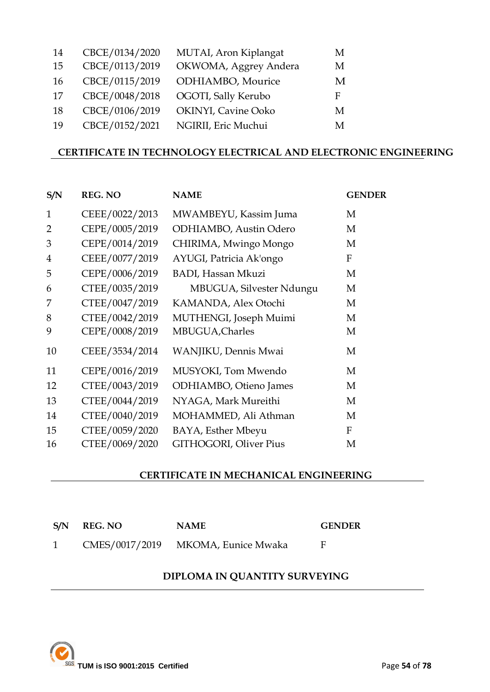| CBCE/0134/2020 | MUTAI, Aron Kiplangat | M |
|----------------|-----------------------|---|
| CBCE/0113/2019 | OKWOMA, Aggrey Andera | M |
| CBCE/0115/2019 | ODHIAMBO, Mourice     | M |
| CBCE/0048/2018 | OGOTI, Sally Kerubo   | F |
| CBCE/0106/2019 | OKINYI, Cavine Ooko   | M |
| CBCE/0152/2021 | NGIRII, Eric Muchui   | M |
|                |                       |   |

#### **CERTIFICATE IN TECHNOLOGY ELECTRICAL AND ELECTRONIC ENGINEERING**

| S/N            | <b>REG. NO</b> | <b>NAME</b>               | <b>GENDER</b> |
|----------------|----------------|---------------------------|---------------|
| $\mathbf{1}$   | CEEE/0022/2013 | MWAMBEYU, Kassim Juma     | M             |
| $\overline{2}$ | CEPE/0005/2019 | ODHIAMBO, Austin Odero    | M             |
| 3              | CEPE/0014/2019 | CHIRIMA, Mwingo Mongo     | M             |
| $\overline{4}$ | CEEE/0077/2019 | AYUGI, Patricia Ak'ongo   | F             |
| 5              | CEPE/0006/2019 | <b>BADI, Hassan Mkuzi</b> | M             |
| 6              | CTEE/0035/2019 | MBUGUA, Silvester Ndungu  | M             |
| 7              | CTEE/0047/2019 | KAMANDA, Alex Otochi      | M             |
| 8              | CTEE/0042/2019 | MUTHENGI, Joseph Muimi    | М             |
| 9              | CEPE/0008/2019 | MBUGUA, Charles           | M             |
| 10             | CEEE/3534/2014 | WANJIKU, Dennis Mwai      | M             |
| 11             | CEPE/0016/2019 | MUSYOKI, Tom Mwendo       | M             |
| 12             | CTEE/0043/2019 | ODHIAMBO, Otieno James    | M             |
| 13             | CTEE/0044/2019 | NYAGA, Mark Mureithi      | M             |
| 14             | CTEE/0040/2019 | MOHAMMED, Ali Athman      | M             |
| 15             | CTEE/0059/2020 | BAYA, Esther Mbeyu        | $\mathbf F$   |
| 16             | CTEE/0069/2020 | GITHOGORI, Oliver Pius    | M             |

#### **CERTIFICATE IN MECHANICAL ENGINEERING**

| S/N REG. NO | <b>NAME</b>                        | <b>GENDER</b> |
|-------------|------------------------------------|---------------|
|             | CMES/0017/2019 MKOMA, Eunice Mwaka |               |

#### **DIPLOMA IN QUANTITY SURVEYING**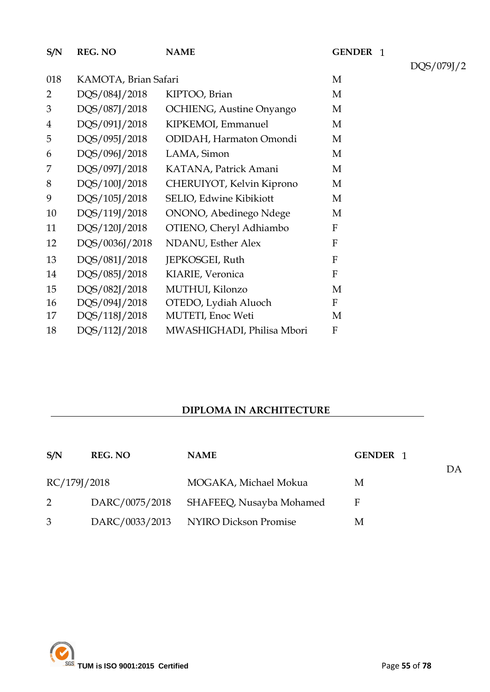GENDER 1 018 KAMOTA, Brian Safari M DQS/084J/2018 KIPTOO, Brian M DQS/087J/2018 OCHIENG, Austine Onyango M DQS/091J/2018 KIPKEMOI, Emmanuel M DQS/095J/2018 ODIDAH, Harmaton Omondi M DQS/096J/2018 LAMA, Simon M DQS/097J/2018 KATANA, Patrick Amani M DQS/100J/2018 CHERUIYOT, Kelvin Kiprono M DQS/105J/2018 SELIO, Edwine Kibikiott M DQS/119J/2018 ONONO, Abedinego Ndege M DQS/120J/2018 OTIENO, Cheryl Adhiambo F DQS/0036J/2018 NDANU, Esther Alex F DQS/082J/2018 MUTHUI, Kilonzo M DQS/094J/2018 OTEDO, Lydiah Aluoch F DQS/118J/2018 MUTETI, Enoc Weti M **S/N REG. NO NAME**  DQS/081J/2018 JEPKOSGEI, Ruth F DQS/085J/2018 KIARIE, Veronica F DQS/112J/2018 MWASHIGHADI, Philisa Mbori F

#### **DIPLOMA IN ARCHITECTURE**

| S/N          | <b>REG. NO</b> | <b>NAME</b>                             | GENDER 1 |    |
|--------------|----------------|-----------------------------------------|----------|----|
| RC/179J/2018 |                | MOGAKA, Michael Mokua                   | M        | DA |
| $\mathbf{2}$ |                | DARC/0075/2018 SHAFEEQ, Nusayba Mohamed | F        |    |
| 3            |                | DARC/0033/2013 NYIRO Dickson Promise    | M        |    |

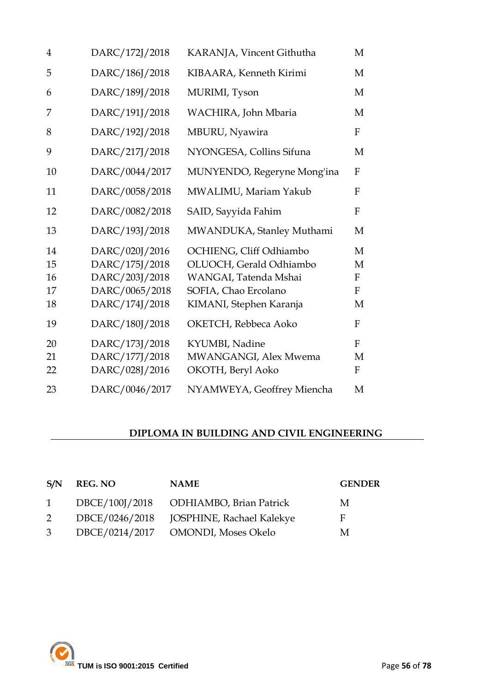| $\overline{4}$             | DARC/172J/2018                                                                         | KARANJA, Vincent Githutha                                                                                                      | M                               |
|----------------------------|----------------------------------------------------------------------------------------|--------------------------------------------------------------------------------------------------------------------------------|---------------------------------|
| 5                          | DARC/186J/2018                                                                         | KIBAARA, Kenneth Kirimi                                                                                                        | M                               |
| 6                          | DARC/189J/2018                                                                         | MURIMI, Tyson                                                                                                                  | M                               |
| 7                          | DARC/191J/2018                                                                         | WACHIRA, John Mbaria                                                                                                           | M                               |
| 8                          | DARC/192J/2018                                                                         | MBURU, Nyawira                                                                                                                 | ${\bf F}$                       |
| 9                          | DARC/217J/2018                                                                         | NYONGESA, Collins Sifuna                                                                                                       | M                               |
| 10                         | DARC/0044/2017                                                                         | MUNYENDO, Regeryne Mong'ina                                                                                                    | ${\bf F}$                       |
| 11                         | DARC/0058/2018                                                                         | MWALIMU, Mariam Yakub                                                                                                          | F                               |
| 12                         | DARC/0082/2018                                                                         | SAID, Sayyida Fahim                                                                                                            | $\mathbf{F}$                    |
| 13                         | DARC/193J/2018                                                                         | MWANDUKA, Stanley Muthami                                                                                                      | M                               |
| 14<br>15<br>16<br>17<br>18 | DARC/020J/2016<br>DARC/175J/2018<br>DARC/203J/2018<br>DARC/0065/2018<br>DARC/174J/2018 | OCHIENG, Cliff Odhiambo<br>OLUOCH, Gerald Odhiambo<br>WANGAI, Tatenda Mshai<br>SOFIA, Chao Ercolano<br>KIMANI, Stephen Karanja | M<br>M<br>F<br>$\mathbf F$<br>M |
| 19                         | DARC/180J/2018                                                                         | OKETCH, Rebbeca Aoko                                                                                                           | $\boldsymbol{F}$                |
| 20<br>21<br>22             | DARC/173J/2018<br>DARC/177J/2018<br>DARC/028J/2016                                     | KYUMBI, Nadine<br>MWANGANGI, Alex Mwema<br>OKOTH, Beryl Aoko                                                                   | F<br>M<br>F                     |
| 23                         | DARC/0046/2017                                                                         | NYAMWEYA, Geoffrey Miencha                                                                                                     | M                               |

## **DIPLOMA IN BUILDING AND CIVIL ENGINEERING**

| S/N            | REG. NO | <b>NAME</b>                              | <b>GENDER</b> |
|----------------|---------|------------------------------------------|---------------|
|                |         | 1 DBCE/100J/2018 ODHIAMBO, Brian Patrick | M             |
| $\overline{2}$ |         |                                          | F             |
|                |         | 3 DBCE/0214/2017 OMONDI, Moses Okelo     | M             |

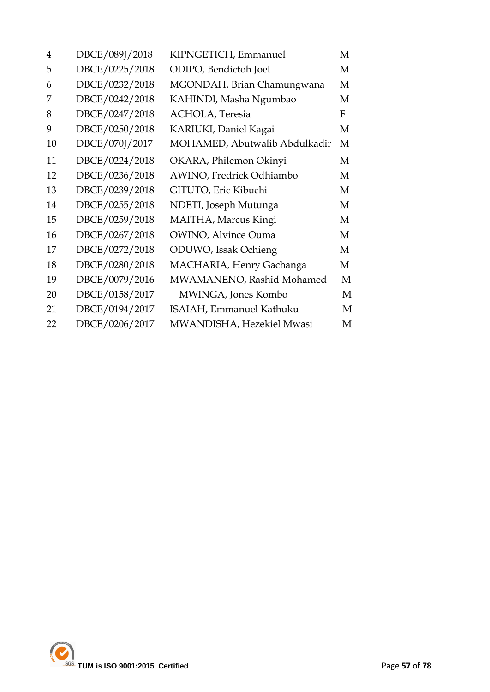| 4  | DBCE/089J/2018 | KIPNGETICH, Emmanuel          | M |
|----|----------------|-------------------------------|---|
| 5  | DBCE/0225/2018 | ODIPO, Bendictoh Joel         | M |
| 6  | DBCE/0232/2018 | MGONDAH, Brian Chamungwana    | M |
| 7  | DBCE/0242/2018 | KAHINDI, Masha Ngumbao        | M |
| 8  | DBCE/0247/2018 | <b>ACHOLA</b> , Teresia       | F |
| 9  | DBCE/0250/2018 | KARIUKI, Daniel Kagai         | М |
| 10 | DBCE/070J/2017 | MOHAMED, Abutwalib Abdulkadir | M |
| 11 | DBCE/0224/2018 | OKARA, Philemon Okinyi        | M |
| 12 | DBCE/0236/2018 | AWINO, Fredrick Odhiambo      | M |
| 13 | DBCE/0239/2018 | GITUTO, Eric Kibuchi          | M |
| 14 | DBCE/0255/2018 | NDETI, Joseph Mutunga         | М |
| 15 | DBCE/0259/2018 | MAITHA, Marcus Kingi          | M |
| 16 | DBCE/0267/2018 | <b>OWINO, Alvince Ouma</b>    | M |
| 17 | DBCE/0272/2018 | ODUWO, Issak Ochieng          | M |
| 18 | DBCE/0280/2018 | MACHARIA, Henry Gachanga      | M |
| 19 | DBCE/0079/2016 | MWAMANENO, Rashid Mohamed     | М |
| 20 | DBCE/0158/2017 | MWINGA, Jones Kombo           | M |
| 21 | DBCE/0194/2017 | ISAIAH, Emmanuel Kathuku      | М |
| 22 | DBCE/0206/2017 | MWANDISHA, Hezekiel Mwasi     | M |

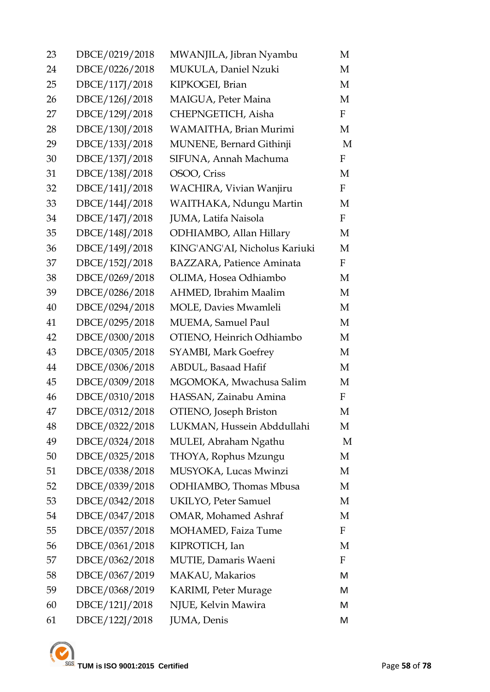| 23 | DBCE/0219/2018 | MWANJILA, Jibran Nyambu          | M            |
|----|----------------|----------------------------------|--------------|
| 24 | DBCE/0226/2018 | MUKULA, Daniel Nzuki             | M            |
| 25 | DBCE/117J/2018 | KIPKOGEI, Brian                  | M            |
| 26 | DBCE/126J/2018 | MAIGUA, Peter Maina              | М            |
| 27 | DBCE/129J/2018 | CHEPNGETICH, Aisha               | F            |
| 28 | DBCE/130J/2018 | WAMAITHA, Brian Murimi           | M            |
| 29 | DBCE/133J/2018 | MUNENE, Bernard Githinji         | M            |
| 30 | DBCE/137J/2018 | SIFUNA, Annah Machuma            | $\mathbf F$  |
| 31 | DBCE/138J/2018 | OSOO, Criss                      | M            |
| 32 | DBCE/141J/2018 | WACHIRA, Vivian Wanjiru          | F            |
| 33 | DBCE/144J/2018 | WAITHAKA, Ndungu Martin          | M            |
| 34 | DBCE/147J/2018 | JUMA, Latifa Naisola             | $\mathbf F$  |
| 35 | DBCE/148J/2018 | ODHIAMBO, Allan Hillary          | M            |
| 36 | DBCE/149J/2018 | KING'ANG'AI, Nicholus Kariuki    | M            |
| 37 | DBCE/152J/2018 | <b>BAZZARA, Patience Aminata</b> | $\mathbf{F}$ |
| 38 | DBCE/0269/2018 | OLIMA, Hosea Odhiambo            | M            |
| 39 | DBCE/0286/2018 | AHMED, Ibrahim Maalim            | M            |
| 40 | DBCE/0294/2018 | <b>MOLE</b> , Davies Mwamleli    | M            |
| 41 | DBCE/0295/2018 | <b>MUEMA</b> , Samuel Paul       | M            |
| 42 | DBCE/0300/2018 | OTIENO, Heinrich Odhiambo        | M            |
| 43 | DBCE/0305/2018 | <b>SYAMBI, Mark Goefrey</b>      | M            |
| 44 | DBCE/0306/2018 | ABDUL, Basaad Hafif              | M            |
| 45 | DBCE/0309/2018 | MGOMOKA, Mwachusa Salim          | M            |
| 46 | DBCE/0310/2018 | HASSAN, Zainabu Amina            | $\mathbf F$  |
| 47 | DBCE/0312/2018 | OTIENO, Joseph Briston           | М            |
| 48 | DBCE/0322/2018 | LUKMAN, Hussein Abddullahi       | М            |
| 49 | DBCE/0324/2018 | MULEI, Abraham Ngathu            | M            |
| 50 | DBCE/0325/2018 | THOYA, Rophus Mzungu             | M            |
| 51 | DBCE/0338/2018 | MUSYOKA, Lucas Mwinzi            | M            |
| 52 | DBCE/0339/2018 | ODHIAMBO, Thomas Mbusa           | M            |
| 53 | DBCE/0342/2018 | <b>UKILYO, Peter Samuel</b>      | M            |
| 54 | DBCE/0347/2018 | <b>OMAR, Mohamed Ashraf</b>      | M            |
| 55 | DBCE/0357/2018 | MOHAMED, Faiza Tume              | F            |
| 56 | DBCE/0361/2018 | KIPROTICH, Ian                   | M            |
| 57 | DBCE/0362/2018 | MUTIE, Damaris Waeni             | F            |
| 58 | DBCE/0367/2019 | MAKAU, Makarios                  | M            |
| 59 | DBCE/0368/2019 | <b>KARIMI, Peter Murage</b>      | M            |
| 60 | DBCE/121J/2018 | NJUE, Kelvin Mawira              | М            |
| 61 | DBCE/122J/2018 | JUMA, Denis                      | M            |
|    |                |                                  |              |

TUM is ISO 9001:2015 Certified Page 58 of 78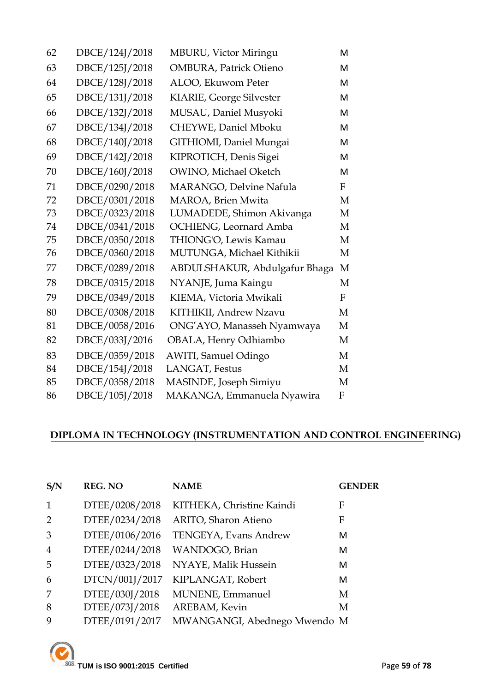| 62 | DBCE/124J/2018 | MBURU, Victor Miringu         | M            |
|----|----------------|-------------------------------|--------------|
| 63 | DBCE/125J/2018 | <b>OMBURA, Patrick Otieno</b> | M            |
| 64 | DBCE/128J/2018 | ALOO, Ekuwom Peter            | M            |
| 65 | DBCE/131J/2018 | KIARIE, George Silvester      | M            |
| 66 | DBCE/132J/2018 | MUSAU, Daniel Musyoki         | M            |
| 67 | DBCE/134J/2018 | CHEYWE, Daniel Mboku          | M            |
| 68 | DBCE/140J/2018 | GITHIOMI, Daniel Mungai       | M            |
| 69 | DBCE/142J/2018 | KIPROTICH, Denis Sigei        | M            |
| 70 | DBCE/160J/2018 | OWINO, Michael Oketch         | M            |
| 71 | DBCE/0290/2018 | MARANGO, Delvine Nafula       | $\mathbf{F}$ |
| 72 | DBCE/0301/2018 | MAROA, Brien Mwita            | M            |
| 73 | DBCE/0323/2018 | LUMADEDE, Shimon Akivanga     | M            |
| 74 | DBCE/0341/2018 | OCHIENG, Leornard Amba        | M            |
| 75 | DBCE/0350/2018 | THIONG'O, Lewis Kamau         | M            |
| 76 | DBCE/0360/2018 | MUTUNGA, Michael Kithikii     | M            |
| 77 | DBCE/0289/2018 | ABDULSHAKUR, Abdulgafur Bhaga | M            |
| 78 | DBCE/0315/2018 | NYANJE, Juma Kaingu           | M            |
| 79 | DBCE/0349/2018 | KIEMA, Victoria Mwikali       | F            |
| 80 | DBCE/0308/2018 | KITHIKII, Andrew Nzavu        | M            |
| 81 | DBCE/0058/2016 | ONG'AYO, Manasseh Nyamwaya    | M            |
| 82 | DBCE/033J/2016 | OBALA, Henry Odhiambo         | M            |
| 83 | DBCE/0359/2018 | <b>AWITI, Samuel Odingo</b>   | M            |
| 84 | DBCE/154J/2018 | LANGAT, Festus                | M            |
| 85 | DBCE/0358/2018 | MASINDE, Joseph Simiyu        | M            |
| 86 | DBCE/105J/2018 | MAKANGA, Emmanuela Nyawira    | F            |

## **DIPLOMA IN TECHNOLOGY (INSTRUMENTATION AND CONTROL ENGINEERING)**

| S/N            | <b>REG. NO</b> | <b>NAME</b>                  | <b>GENDER</b> |
|----------------|----------------|------------------------------|---------------|
| $\mathbf{1}$   | DTEE/0208/2018 | KITHEKA, Christine Kaindi    | F             |
| 2              | DTEE/0234/2018 | <b>ARITO, Sharon Atieno</b>  | F             |
| 3              | DTEE/0106/2016 | TENGEYA, Evans Andrew        | М             |
| $\overline{4}$ | DTEE/0244/2018 | WANDOGO, Brian               | М             |
| 5              | DTEE/0323/2018 | NYAYE, Malik Hussein         | М             |
| 6              | DTCN/001J/2017 | KIPLANGAT, Robert            | М             |
| 7              | DTEE/030J/2018 | MUNENE, Emmanuel             | M             |
| 8              | DTEE/073J/2018 | AREBAM, Kevin                | M             |
| 9              | DTEE/0191/2017 | MWANGANGI, Abednego Mwendo M |               |

TUM is ISO 9001:2015 Certified Page 59 of 78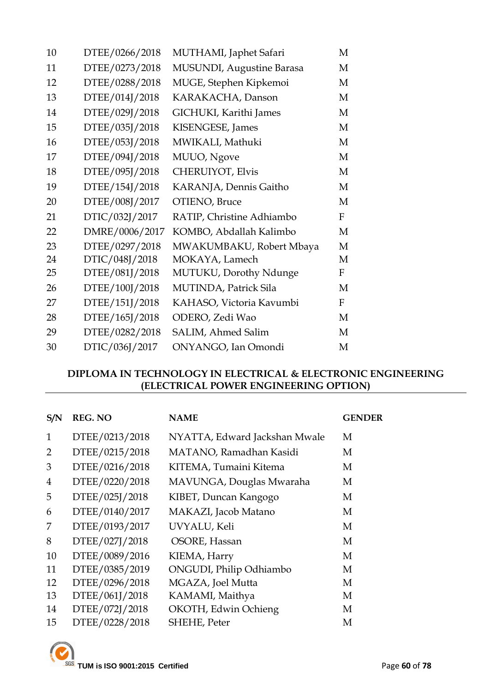| 10 | DTEE/0266/2018 | MUTHAMI, Japhet Safari    | M            |
|----|----------------|---------------------------|--------------|
| 11 | DTEE/0273/2018 | MUSUNDI, Augustine Barasa | M            |
| 12 | DTEE/0288/2018 | MUGE, Stephen Kipkemoi    | M            |
| 13 | DTEE/014J/2018 | KARAKACHA, Danson         | M            |
| 14 | DTEE/029J/2018 | GICHUKI, Karithi James    | M            |
| 15 | DTEE/035J/2018 | KISENGESE, James          | M            |
| 16 | DTEE/053J/2018 | MWIKALI, Mathuki          | M            |
| 17 | DTEE/094J/2018 | MUUO, Ngove               | M            |
| 18 | DTEE/095J/2018 | <b>CHERUIYOT, Elvis</b>   | M            |
| 19 | DTEE/154J/2018 | KARANJA, Dennis Gaitho    | M            |
| 20 | DTEE/008J/2017 | OTIENO, Bruce             | M            |
| 21 | DTIC/032J/2017 | RATIP, Christine Adhiambo | $\mathbf{F}$ |
| 22 | DMRE/0006/2017 | KOMBO, Abdallah Kalimbo   | M            |
| 23 | DTEE/0297/2018 | MWAKUMBAKU, Robert Mbaya  | M            |
| 24 | DTIC/048J/2018 | MOKAYA, Lamech            | M            |
| 25 | DTEE/081J/2018 | MUTUKU, Dorothy Ndunge    | $F_{\rm}$    |
| 26 | DTEE/100J/2018 | MUTINDA, Patrick Sila     | M            |
| 27 | DTEE/151J/2018 | KAHASO, Victoria Kavumbi  | F            |
| 28 | DTEE/165J/2018 | ODERO, Zedi Wao           | M            |
| 29 | DTEE/0282/2018 | SALIM, Ahmed Salim        | M            |
| 30 | DTIC/036J/2017 | ONYANGO, Ian Omondi       | M            |

#### **DIPLOMA IN TECHNOLOGY IN ELECTRICAL & ELECTRONIC ENGINEERING (ELECTRICAL POWER ENGINEERING OPTION)**

| S/N            | <b>REG. NO</b> | <b>NAME</b>                   | <b>GENDER</b> |
|----------------|----------------|-------------------------------|---------------|
| $\mathbf{1}$   | DTEE/0213/2018 | NYATTA, Edward Jackshan Mwale | М             |
| 2              | DTEE/0215/2018 | MATANO, Ramadhan Kasidi       | M             |
| 3              | DTEE/0216/2018 | KITEMA, Tumaini Kitema        | M             |
| $\overline{4}$ | DTEE/0220/2018 | MAVUNGA, Douglas Mwaraha      | M             |
| 5              | DTEE/025J/2018 | KIBET, Duncan Kangogo         | M             |
| 6              | DTEE/0140/2017 | MAKAZI, Jacob Matano          | M             |
| 7              | DTEE/0193/2017 | UVYALU, Keli                  | M             |
| 8              | DTEE/027J/2018 | OSORE, Hassan                 | M             |
| 10             | DTEE/0089/2016 | KIEMA, Harry                  | M             |
| 11             | DTEE/0385/2019 | ONGUDI, Philip Odhiambo       | M             |
| 12             | DTEE/0296/2018 | MGAZA, Joel Mutta             | M             |
| 13             | DTEE/061J/2018 | KAMAMI, Maithya               | M             |
| 14             | DTEE/072J/2018 | OKOTH, Edwin Ochieng          | M             |
| 15             | DTEE/0228/2018 | SHEHE, Peter                  | М             |

**TUM is ISO 9001:2015 Certified** Page 60 of 78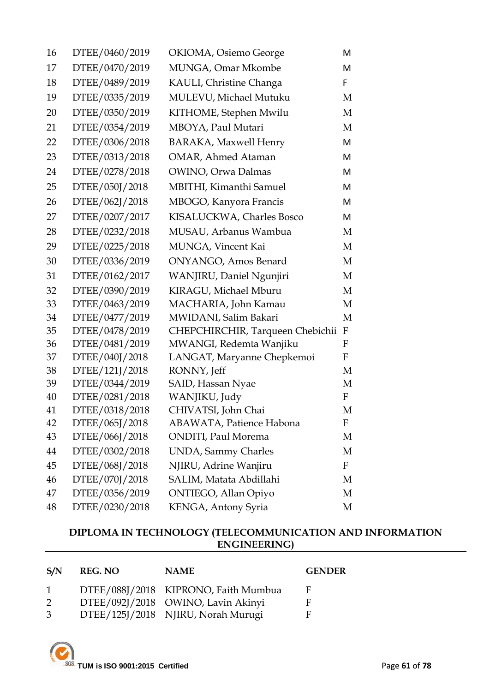| 16 | DTEE/0460/2019 | OKIOMA, Osiemo George            | M            |
|----|----------------|----------------------------------|--------------|
| 17 | DTEE/0470/2019 | MUNGA, Omar Mkombe               | M            |
| 18 | DTEE/0489/2019 | KAULI, Christine Changa          | F.           |
| 19 | DTEE/0335/2019 | MULEVU, Michael Mutuku           | M            |
| 20 | DTEE/0350/2019 | KITHOME, Stephen Mwilu           | M            |
| 21 | DTEE/0354/2019 | MBOYA, Paul Mutari               | M            |
| 22 | DTEE/0306/2018 | <b>BARAKA, Maxwell Henry</b>     | M            |
| 23 | DTEE/0313/2018 | OMAR, Ahmed Ataman               | M            |
| 24 | DTEE/0278/2018 | OWINO, Orwa Dalmas               | M            |
| 25 | DTEE/050J/2018 | <b>MBITHI, Kimanthi Samuel</b>   | M            |
| 26 | DTEE/062J/2018 | MBOGO, Kanyora Francis           | M            |
| 27 | DTEE/0207/2017 | KISALUCKWA, Charles Bosco        | M            |
| 28 | DTEE/0232/2018 | MUSAU, Arbanus Wambua            | M            |
| 29 | DTEE/0225/2018 | MUNGA, Vincent Kai               | M            |
| 30 | DTEE/0336/2019 | ONYANGO, Amos Benard             | M            |
| 31 | DTEE/0162/2017 | WANJIRU, Daniel Ngunjiri         | M            |
| 32 | DTEE/0390/2019 | KIRAGU, Michael Mburu            | M            |
| 33 | DTEE/0463/2019 | MACHARIA, John Kamau             | M            |
| 34 | DTEE/0477/2019 | MWIDANI, Salim Bakari            | M            |
| 35 | DTEE/0478/2019 | CHEPCHIRCHIR, Tarqueen Chebichii | $\mathbf F$  |
| 36 | DTEE/0481/2019 | MWANGI, Redemta Wanjiku          | F            |
| 37 | DTEE/040J/2018 | LANGAT, Maryanne Chepkemoi       | F            |
| 38 | DTEE/121J/2018 | RONNY, Jeff                      | M            |
| 39 | DTEE/0344/2019 | SAID, Hassan Nyae                | M            |
| 40 | DTEE/0281/2018 | WANJIKU, Judy                    | $\mathbf{F}$ |
| 41 | DTEE/0318/2018 | CHIVATSI, John Chai              | M            |
| 42 | DTEE/065J/2018 | <b>ABAWATA, Patience Habona</b>  | F            |
| 43 | DTEE/066J/2018 | <b>ONDITI</b> , Paul Morema      | M            |
| 44 | DTEE/0302/2018 | <b>UNDA</b> , Sammy Charles      | М            |
| 45 | DTEE/068J/2018 | NJIRU, Adrine Wanjiru            | F            |
| 46 | DTEE/070J/2018 | SALIM, Matata Abdillahi          | М            |
| 47 | DTEE/0356/2019 | ONTIEGO, Allan Opiyo             | М            |
| 48 | DTEE/0230/2018 | KENGA, Antony Syria              | М            |
|    |                |                                  |              |

#### **DIPLOMA IN TECHNOLOGY (TELECOMMUNICATION AND INFORMATION ENGINEERING)**

| S/N          | REG. NO | <b>NAME</b>                          | <b>GENDER</b> |
|--------------|---------|--------------------------------------|---------------|
| $\mathbf{1}$ |         | DTEE/088J/2018 KIPRONO, Faith Mumbua | E             |
| 2            |         | DTEE/092J/2018 OWINO, Lavin Akinyi   | н             |
| 3            |         | DTEE/125J/2018 NJIRU, Norah Murugi   | Е             |

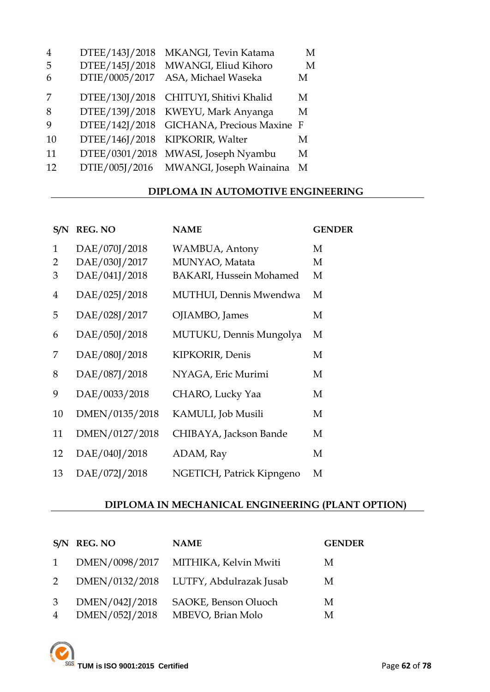| $\overline{4}$ | DTEE/143J/2018 | MKANGI, Tevin Katama       | M |
|----------------|----------------|----------------------------|---|
| 5              | DTEE/145J/2018 | MWANGI, Eliud Kihoro       | M |
| 6              | DTIE/0005/2017 | ASA, Michael Waseka        | М |
| 7              | DTEE/130J/2018 | CHITUYI, Shitivi Khalid    | М |
| 8              | DTEE/139J/2018 | KWEYU, Mark Anyanga        | М |
| 9              | DTEE/142J/2018 | GICHANA, Precious Maxine F |   |
| 10             | DTEE/146J/2018 | KIPKORIR, Walter           | M |
| 11             | DTEE/0301/2018 | MWASI, Joseph Nyambu       | М |
| 12             | DTIE/005J/2016 | MWANGI, Joseph Wainaina    | M |

#### **DIPLOMA IN AUTOMOTIVE ENGINEERING**

| S/N          | <b>REG. NO</b> | <b>NAME</b>                    | <b>GENDER</b> |
|--------------|----------------|--------------------------------|---------------|
| $\mathbf{1}$ | DAE/070J/2018  | WAMBUA, Antony                 | M             |
| 2            | DAE/030J/2017  | MUNYAO, Matata                 | M             |
| 3            | DAE/041J/2018  | <b>BAKARI, Hussein Mohamed</b> | M             |
| 4            | DAE/025J/2018  | MUTHUI, Dennis Mwendwa         | M             |
| 5            | DAE/028J/2017  | OJIAMBO, James                 | M             |
| 6            | DAE/050J/2018  | MUTUKU, Dennis Mungolya        | M             |
| 7            | DAE/080J/2018  | KIPKORIR, Denis                | M             |
| 8            | DAE/087J/2018  | NYAGA, Eric Murimi             | M             |
| 9            | DAE/0033/2018  | CHARO, Lucky Yaa               | M             |
| 10           | DMEN/0135/2018 | KAMULI, Job Musili             | M             |
| 11           | DMEN/0127/2018 | CHIBAYA, Jackson Bande         | M             |
| 12           | DAE/040J/2018  | ADAM, Ray                      | M             |
| 13           | DAE/072J/2018  | NGETICH, Patrick Kipngeno      | M             |

## **DIPLOMA IN MECHANICAL ENGINEERING (PLANT OPTION)**

|                | S/N REG. NO    | <b>NAME</b>                            | <b>GENDER</b> |
|----------------|----------------|----------------------------------------|---------------|
| 1              | DMEN/0098/2017 | MITHIKA, Kelvin Mwiti                  | M             |
| 2              |                | DMEN/0132/2018 LUTFY, Abdulrazak Jusab | M             |
| $\mathcal{S}$  | DMEN/042J/2018 | SAOKE, Benson Oluoch                   | M             |
| $\overline{4}$ | DMEN/052J/2018 | MBEVO, Brian Molo                      | M             |

**TUM is ISO 9001:2015 Certified** Page 62 of 78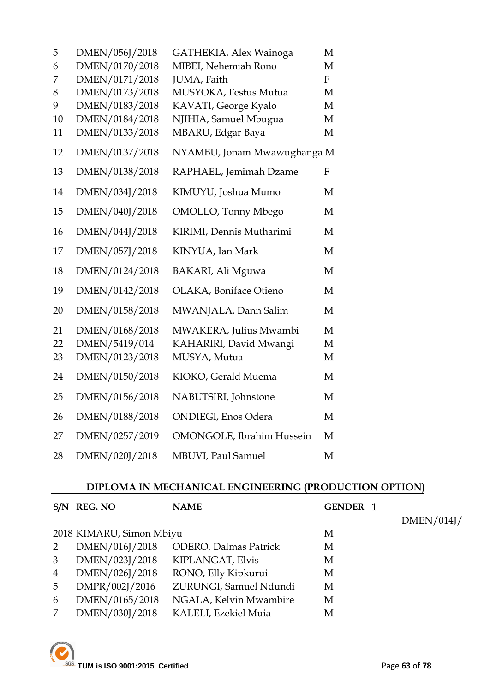| 5  | DMEN/056J/2018 | GATHEKIA, Alex Wainoga            | M                |
|----|----------------|-----------------------------------|------------------|
| 6  | DMEN/0170/2018 | MIBEI, Nehemiah Rono              | M                |
| 7  | DMEN/0171/2018 | JUMA, Faith                       | $\mathbf{F}$     |
| 8  | DMEN/0173/2018 | MUSYOKA, Festus Mutua             | M                |
| 9  | DMEN/0183/2018 | KAVATI, George Kyalo              | M                |
| 10 | DMEN/0184/2018 | NJIHIA, Samuel Mbugua             | M                |
| 11 | DMEN/0133/2018 | MBARU, Edgar Baya                 | M                |
| 12 | DMEN/0137/2018 | NYAMBU, Jonam Mwawughanga M       |                  |
| 13 | DMEN/0138/2018 | RAPHAEL, Jemimah Dzame            | $\boldsymbol{F}$ |
| 14 | DMEN/034J/2018 | KIMUYU, Joshua Mumo               | M                |
| 15 | DMEN/040J/2018 | OMOLLO, Tonny Mbego               | M                |
| 16 | DMEN/044J/2018 | KIRIMI, Dennis Mutharimi          | M                |
| 17 | DMEN/057J/2018 | KINYUA, Ian Mark                  | M                |
| 18 | DMEN/0124/2018 | BAKARI, Ali Mguwa                 | M                |
| 19 | DMEN/0142/2018 | OLAKA, Boniface Otieno            | M                |
| 20 | DMEN/0158/2018 | MWANJALA, Dann Salim              | M                |
| 21 | DMEN/0168/2018 | MWAKERA, Julius Mwambi            | M                |
| 22 | DMEN/5419/014  | KAHARIRI, David Mwangi            | M                |
| 23 | DMEN/0123/2018 | MUSYA, Mutua                      | M                |
| 24 | DMEN/0150/2018 | KIOKO, Gerald Muema               | M                |
| 25 | DMEN/0156/2018 | NABUTSIRI, Johnstone              | M                |
| 26 | DMEN/0188/2018 | <b>ONDIEGI</b> , Enos Odera       | M                |
| 27 | DMEN/0257/2019 | <b>OMONGOLE</b> , Ibrahim Hussein | M                |
| 28 | DMEN/020J/2018 | <b>MBUVI</b> , Paul Samuel        | M                |

# **DIPLOMA IN MECHANICAL ENGINEERING (PRODUCTION OPTION)**

| S/N | <b>REG. NO</b>           | <b>NAME</b>                   | GENDER 1 |            |
|-----|--------------------------|-------------------------------|----------|------------|
|     |                          |                               |          | DMEN/014J/ |
|     | 2018 KIMARU, Simon Mbiyu |                               | M        |            |
| 2   | DMEN/016J/2018           | <b>ODERO</b> , Dalmas Patrick | M        |            |
| 3   | DMEN/023J/2018           | KIPLANGAT, Elvis              | M        |            |
| 4   | DMEN/026J/2018           | RONO, Elly Kipkurui           | M        |            |
| 5   | DMPR/002J/2016           | ZURUNGI, Samuel Ndundi        | M        |            |
| 6   | DMEN/0165/2018           | NGALA, Kelvin Mwambire        | M        |            |
|     | DMEN/030J/2018           | KALELI, Ezekiel Muia          | M        |            |
|     |                          |                               |          |            |

**TUM** is ISO 9001:2015 Certified Service 2001:2015 Certified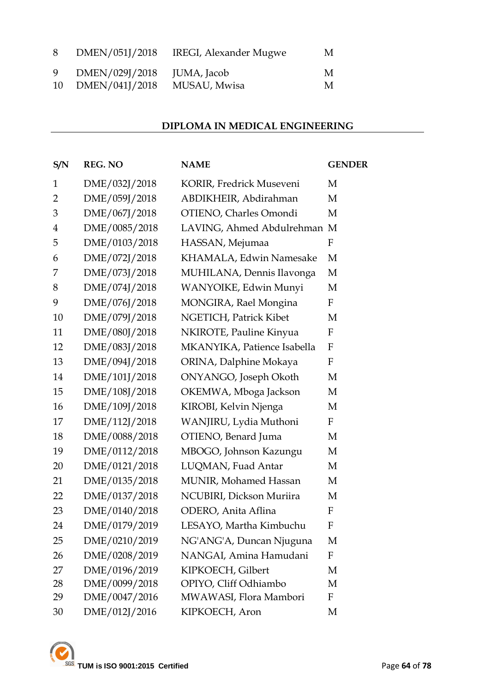| 8 | DMEN/051J/2018    | IREGI, Alexander Mugwe | M |
|---|-------------------|------------------------|---|
| 9 | DMEN/029J/2018    | JUMA, Jacob            | M |
|   | 10 DMEN/041J/2018 | MUSAU, Mwisa           | M |

## **DIPLOMA IN MEDICAL ENGINEERING**

| S/N            | <b>REG. NO</b> | <b>NAME</b>                 | <b>GENDER</b>             |
|----------------|----------------|-----------------------------|---------------------------|
| $\mathbf{1}$   | DME/032J/2018  | KORIR, Fredrick Museveni    | M                         |
| $\overline{2}$ | DME/059J/2018  | ABDIKHEIR, Abdirahman       | М                         |
| 3              | DME/067J/2018  | OTIENO, Charles Omondi      | M                         |
| $\overline{4}$ | DME/0085/2018  | LAVING, Ahmed Abdulrehman M |                           |
| 5              | DME/0103/2018  | HASSAN, Mejumaa             | $\boldsymbol{\mathrm{F}}$ |
| 6              | DME/072J/2018  | KHAMALA, Edwin Namesake     | M                         |
| 7              | DME/073J/2018  | MUHILANA, Dennis Ilavonga   | M                         |
| 8              | DME/074J/2018  | WANYOIKE, Edwin Munyi       | М                         |
| 9              | DME/076J/2018  | MONGIRA, Rael Mongina       | F                         |
| 10             | DME/079J/2018  | NGETICH, Patrick Kibet      | М                         |
| 11             | DME/080J/2018  | NKIROTE, Pauline Kinyua     | ${\bf F}$                 |
| 12             | DME/083J/2018  | MKANYIKA, Patience Isabella | $\boldsymbol{F}$          |
| 13             | DME/094J/2018  | ORINA, Dalphine Mokaya      | ${\bf F}$                 |
| 14             | DME/101J/2018  | ONYANGO, Joseph Okoth       | М                         |
| 15             | DME/108J/2018  | OKEMWA, Mboga Jackson       | М                         |
| 16             | DME/109J/2018  | KIROBI, Kelvin Njenga       | М                         |
| 17             | DME/112J/2018  | WANJIRU, Lydia Muthoni      | $\boldsymbol{\mathrm{F}}$ |
| 18             | DME/0088/2018  | OTIENO, Benard Juma         | М                         |
| 19             | DME/0112/2018  | MBOGO, Johnson Kazungu      | M                         |
| 20             | DME/0121/2018  | LUQMAN, Fuad Antar          | М                         |
| 21             | DME/0135/2018  | MUNIR, Mohamed Hassan       | М                         |
| 22             | DME/0137/2018  | NCUBIRI, Dickson Muriira    | M                         |
| 23             | DME/0140/2018  | ODERO, Anita Aflina         | $\boldsymbol{\mathrm{F}}$ |
| 24             | DME/0179/2019  | LESAYO, Martha Kimbuchu     | F                         |
| 25             | DME/0210/2019  | NG'ANG'A, Duncan Njuguna    | M                         |
| 26             | DME/0208/2019  | NANGAI, Amina Hamudani      | F                         |
| 27             | DME/0196/2019  | KIPKOECH, Gilbert           | M                         |
| 28             | DME/0099/2018  | OPIYO, Cliff Odhiambo       | M                         |
| 29             | DME/0047/2016  | MWAWASI, Flora Mambori      | F                         |
| 30             | DME/012J/2016  | KIPKOECH, Aron              | M                         |

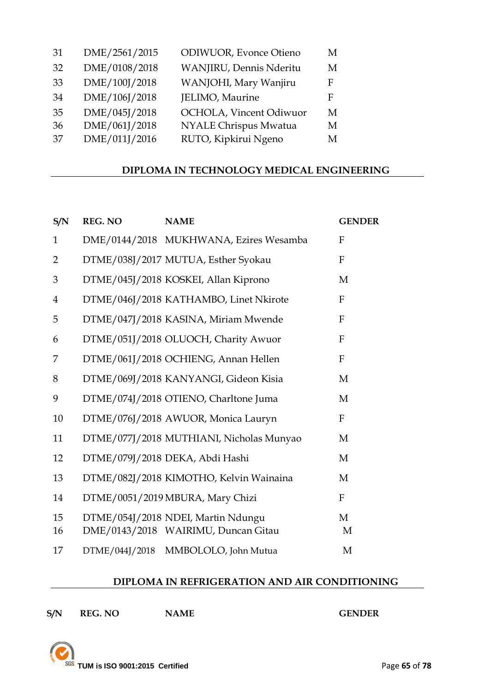| 31  | DME/2561/2015 | <b>ODIWUOR</b> , Evonce Otieno | M |
|-----|---------------|--------------------------------|---|
| 32  | DME/0108/2018 | WANJIRU, Dennis Nderitu        | M |
| 33  | DME/100J/2018 | WANJOHI, Mary Wanjiru          | F |
| 34  | DME/106J/2018 | JELIMO, Maurine                | F |
| 35  | DME/045J/2018 | OCHOLA, Vincent Odiwuor        | M |
| 36  | DME/061J/2018 | NYALE Chrispus Mwatua          | M |
| -37 | DME/011J/2016 | RUTO, Kipkirui Ngeno           | M |
|     |               |                                |   |

#### **DIPLOMA IN TECHNOLOGY MEDICAL ENGINEERING**

| S/N            | <b>REG. NO</b> | <b>NAME</b>                                                               | <b>GENDER</b>    |
|----------------|----------------|---------------------------------------------------------------------------|------------------|
| $\mathbf{1}$   |                | DME/0144/2018 MUKHWANA, Ezires Wesamba                                    | $\mathbf{F}$     |
| $\overline{2}$ |                | DTME/038J/2017 MUTUA, Esther Syokau                                       | $\mathbf{F}$     |
| 3              |                | DTME/045J/2018 KOSKEI, Allan Kiprono                                      | M                |
| $\overline{4}$ |                | DTME/046J/2018 KATHAMBO, Linet Nkirote                                    | $\mathbf{F}$     |
| 5              |                | DTME/047J/2018 KASINA, Miriam Mwende                                      | $\mathbf F$      |
| 6              |                | DTME/051J/2018 OLUOCH, Charity Awuor                                      | $\mathbf{F}$     |
| 7              |                | DTME/061J/2018 OCHIENG, Annan Hellen                                      | F                |
| 8              |                | DTME/069J/2018 KANYANGI, Gideon Kisia                                     | M                |
| 9              |                | DTME/074J/2018 OTIENO, Charltone Juma                                     | M                |
| 10             |                | DTME/076J/2018 AWUOR, Monica Lauryn                                       | $\boldsymbol{F}$ |
| 11             |                | DTME/077J/2018 MUTHIANI, Nicholas Munyao                                  | M                |
| 12             |                | DTME/079J/2018 DEKA, Abdi Hashi                                           | M                |
| 13             |                | DTME/082J/2018 KIMOTHO, Kelvin Wainaina                                   | M                |
| 14             |                | DTME/0051/2019 MBURA, Mary Chizi                                          | $\boldsymbol{F}$ |
| 15<br>16       |                | DTME/054J/2018 NDEI, Martin Ndungu<br>DME/0143/2018 WAIRIMU, Duncan Gitau | M<br>M           |
| 17             | DTME/044J/2018 | MMBOLOLO, John Mutua                                                      | M                |

#### **DIPLOMA IN REFRIGERATION AND AIR CONDITIONING**

|     | <b>REG. NO</b> | NAN |
|-----|----------------|-----|
| S/N |                |     |

**S/NOPINIER GENDER** 

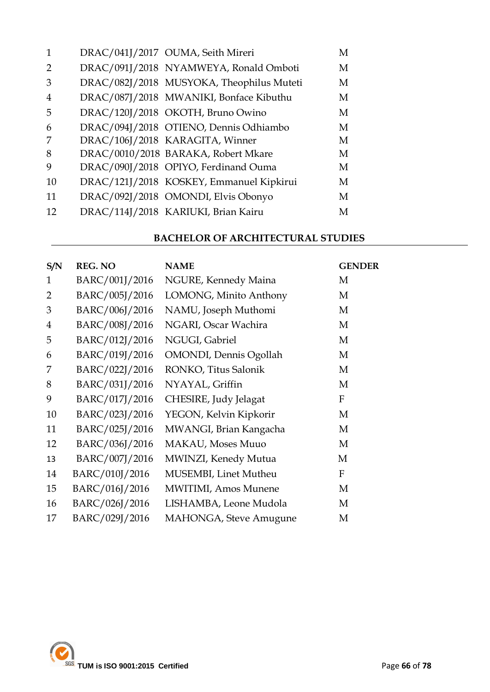| 1              | DRAC/041J/2017 OUMA, Seith Mireri         | М |
|----------------|-------------------------------------------|---|
| $\overline{2}$ | DRAC/091J/2018 NYAMWEYA, Ronald Omboti    | M |
| 3              | DRAC/082J/2018 MUSYOKA, Theophilus Muteti | M |
| $\overline{4}$ | DRAC/087J/2018 MWANIKI, Bonface Kibuthu   | M |
| 5              | DRAC/120J/2018 OKOTH, Bruno Owino         | M |
| 6              | DRAC/094J/2018 OTIENO, Dennis Odhiambo    | M |
| 7              | DRAC/106J/2018 KARAGITA, Winner           | M |
| 8              | DRAC/0010/2018 BARAKA, Robert Mkare       | M |
| 9              | DRAC/090J/2018 OPIYO, Ferdinand Ouma      | M |
| 10             | DRAC/121J/2018 KOSKEY, Emmanuel Kipkirui  | M |
| 11             | DRAC/092J/2018 OMONDI, Elvis Obonyo       | М |
| 12             | DRAC/114J/2018 KARIUKI, Brian Kairu       | M |

#### **BACHELOR OF ARCHITECTURAL STUDIES**

| S/N            | <b>REG. NO</b> | <b>NAME</b>                    | <b>GENDER</b> |
|----------------|----------------|--------------------------------|---------------|
| $\mathbf{1}$   | BARC/001J/2016 | NGURE, Kennedy Maina           | M             |
| $\overline{2}$ | BARC/005J/2016 | LOMONG, Minito Anthony         | M             |
| 3              | BARC/006J/2016 | NAMU, Joseph Muthomi           | M             |
| $\overline{4}$ | BARC/008J/2016 | NGARI, Oscar Wachira           | M             |
| 5              | BARC/012J/2016 | NGUGI, Gabriel                 | M             |
| 6              | BARC/019J/2016 | <b>OMONDI</b> , Dennis Ogollah | M             |
| 7              | BARC/022J/2016 | RONKO, Titus Salonik           | M             |
| 8              | BARC/031J/2016 | NYAYAL, Griffin                | M             |
| 9              | BARC/017J/2016 | CHESIRE, Judy Jelagat          | F             |
| 10             | BARC/023J/2016 | YEGON, Kelvin Kipkorir         | M             |
| 11             | BARC/025J/2016 | MWANGI, Brian Kangacha         | M             |
| 12             | BARC/036J/2016 | MAKAU, Moses Muuo              | M             |
| 13             | BARC/007J/2016 | MWINZI, Kenedy Mutua           | M             |
| 14             | BARC/010J/2016 | MUSEMBI, Linet Mutheu          | F             |
| 15             | BARC/016J/2016 | <b>MWITIMI</b> , Amos Munene   | M             |
| 16             | BARC/026J/2016 | LISHAMBA, Leone Mudola         | M             |
| 17             | BARC/029J/2016 | <b>MAHONGA, Steve Amugune</b>  | M             |

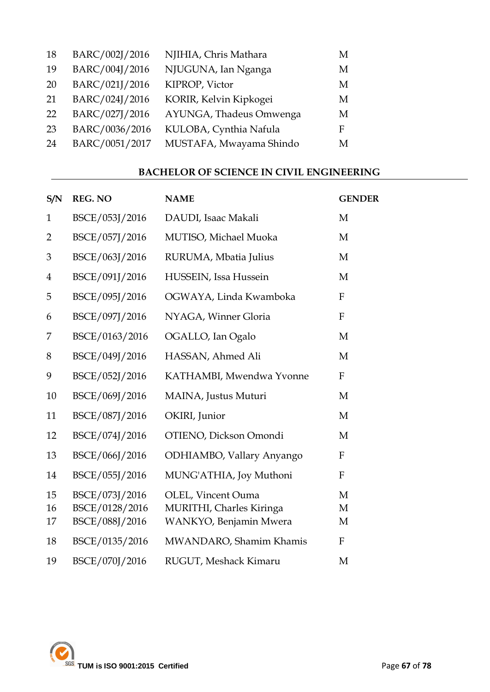| 18 | BARC/002J/2016 | NJIHIA, Chris Mathara   | M |
|----|----------------|-------------------------|---|
| 19 | BARC/004J/2016 | NJUGUNA, Ian Nganga     | M |
| 20 | BARC/021J/2016 | KIPROP, Victor          | M |
| 21 | BARC/024J/2016 | KORIR, Kelvin Kipkogei  | М |
| 22 | BARC/027J/2016 | AYUNGA, Thadeus Omwenga | М |
| 23 | BARC/0036/2016 | KULOBA, Cynthia Nafula  | F |
| 24 | BARC/0051/2017 | MUSTAFA, Mwayama Shindo | M |

#### **BACHELOR OF SCIENCE IN CIVIL ENGINEERING**

| S/N            | <b>REG. NO</b> | <b>NAME</b>               | <b>GENDER</b>             |
|----------------|----------------|---------------------------|---------------------------|
| $\mathbf{1}$   | BSCE/053J/2016 | DAUDI, Isaac Makali       | M                         |
| $\overline{2}$ | BSCE/057J/2016 | MUTISO, Michael Muoka     | M                         |
| $\mathfrak{B}$ | BSCE/063J/2016 | RURUMA, Mbatia Julius     | M                         |
| $\overline{4}$ | BSCE/091J/2016 | HUSSEIN, Issa Hussein     | M                         |
| 5              | BSCE/095J/2016 | OGWAYA, Linda Kwamboka    | F                         |
| 6              | BSCE/097J/2016 | NYAGA, Winner Gloria      | $\mathbf{F}$              |
| 7              | BSCE/0163/2016 | OGALLO, Ian Ogalo         | M                         |
| 8              | BSCE/049J/2016 | HASSAN, Ahmed Ali         | M                         |
| 9              | BSCE/052J/2016 | KATHAMBI, Mwendwa Yvonne  | ${\bf F}$                 |
| 10             | BSCE/069J/2016 | MAINA, Justus Muturi      | M                         |
| 11             | BSCE/087J/2016 | OKIRI, Junior             | M                         |
| 12             | BSCE/074J/2016 | OTIENO, Dickson Omondi    | M                         |
| 13             | BSCE/066J/2016 | ODHIAMBO, Vallary Anyango | F                         |
| 14             | BSCE/055J/2016 | MUNG'ATHIA, Joy Muthoni   | $\mathbf F$               |
| 15             | BSCE/073J/2016 | OLEL, Vincent Ouma        | M                         |
| 16             | BSCE/0128/2016 | MURITHI, Charles Kiringa  | M                         |
| 17             | BSCE/088J/2016 | WANKYO, Benjamin Mwera    | M                         |
| 18             | BSCE/0135/2016 | MWANDARO, Shamim Khamis   | $\boldsymbol{\mathrm{F}}$ |
| 19             | BSCE/070J/2016 | RUGUT, Meshack Kimaru     | M                         |

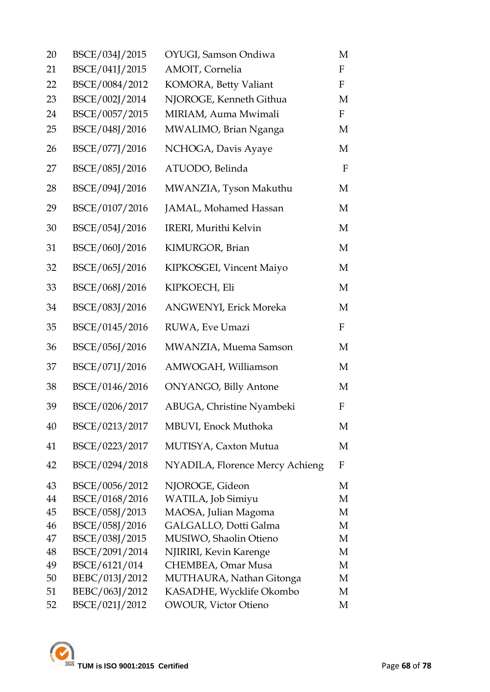| 20       | BSCE/034J/2015                  | OYUGI, Samson Ondiwa                         | M                         |
|----------|---------------------------------|----------------------------------------------|---------------------------|
| 21       | BSCE/041J/2015                  | AMOIT, Cornelia                              | $\mathbf F$               |
| 22       | BSCE/0084/2012                  | KOMORA, Betty Valiant                        | $\boldsymbol{\mathrm{F}}$ |
| 23       | BSCE/002J/2014                  | NJOROGE, Kenneth Githua                      | M                         |
| 24       | BSCE/0057/2015                  | MIRIAM, Auma Mwimali                         | $\mathbf F$               |
| 25       | BSCE/048J/2016                  | MWALIMO, Brian Nganga                        | M                         |
| 26       | BSCE/077J/2016                  | NCHOGA, Davis Ayaye                          | M                         |
| 27       | BSCE/085J/2016                  | ATUODO, Belinda                              | $\mathbf{F}$              |
| 28       | BSCE/094J/2016                  | MWANZIA, Tyson Makuthu                       | M                         |
| 29       | BSCE/0107/2016                  | JAMAL, Mohamed Hassan                        | M                         |
| 30       | BSCE/054J/2016                  | IRERI, Murithi Kelvin                        | M                         |
| 31       | BSCE/060J/2016                  | KIMURGOR, Brian                              | M                         |
| 32       | BSCE/065J/2016                  | KIPKOSGEI, Vincent Maiyo                     | М                         |
| 33       | BSCE/068J/2016                  | KIPKOECH, Eli                                | M                         |
| 34       | BSCE/083J/2016                  | ANGWENYI, Erick Moreka                       | М                         |
| 35       | BSCE/0145/2016                  | RUWA, Eve Umazi                              | F                         |
| 36       | BSCE/056J/2016                  | MWANZIA, Muema Samson                        | M                         |
| 37       | BSCE/071J/2016                  | AMWOGAH, Williamson                          | M                         |
| 38       | BSCE/0146/2016                  | <b>ONYANGO, Billy Antone</b>                 | M                         |
| 39       | BSCE/0206/2017                  | ABUGA, Christine Nyambeki                    | F                         |
| 40       | BSCE/0213/2017                  | MBUVI, Enock Muthoka                         | M                         |
| 41       | BSCE/0223/2017                  | <b>MUTISYA, Caxton Mutua</b>                 | M                         |
| 42       | BSCE/0294/2018                  | NYADILA, Florence Mercy Achieng              | F                         |
| 43       | BSCE/0056/2012                  | NJOROGE, Gideon                              | М                         |
| 44       | BSCE/0168/2016                  | WATILA, Job Simiyu                           | М                         |
| 45       | BSCE/058J/2013                  | MAOSA, Julian Magoma                         | M                         |
| 46       | BSCE/058J/2016                  | GALGALLO, Dotti Galma                        | M                         |
| 47       | BSCE/038J/2015                  | MUSIWO, Shaolin Otieno                       | M                         |
| 48<br>49 | BSCE/2091/2014<br>BSCE/6121/014 | NJIRIRI, Kevin Karenge<br>CHEMBEA, Omar Musa | M<br>M                    |
| 50       | BEBC/013J/2012                  | MUTHAURA, Nathan Gitonga                     | M                         |
| 51       | BEBC/063J/2012                  | KASADHE, Wycklife Okombo                     | M                         |
| 52       | BSCE/021J/2012                  | <b>OWOUR, Victor Otieno</b>                  | М                         |
|          |                                 |                                              |                           |

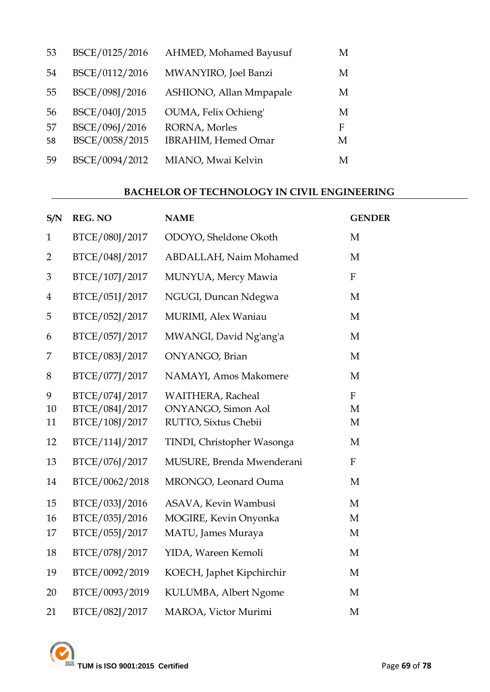| 53 | BSCE/0125/2016 | AHMED, Mohamed Bayusuf      | М |
|----|----------------|-----------------------------|---|
| 54 | BSCE/0112/2016 | MWANYIRO, Joel Banzi        | М |
| 55 | BSCE/098J/2016 | ASHIONO, Allan Mmpapale     | М |
| 56 | BSCE/040J/2015 | OUMA, Felix Ochieng'        | М |
| 57 | BSCE/096J/2016 | RORNA, Morles               | F |
| 58 | BSCE/0058/2015 | <b>IBRAHIM</b> , Hemed Omar | М |
| 59 | BSCE/0094/2012 | MIANO, Mwai Kelvin          | М |

#### **BACHELOR OF TECHNOLOGY IN CIVIL ENGINEERING**

| S/N            | <b>REG. NO</b>                                     | <b>NAME</b>                                                         | <b>GENDER</b>             |
|----------------|----------------------------------------------------|---------------------------------------------------------------------|---------------------------|
| $\mathbf 1$    | BTCE/080J/2017                                     | ODOYO, Sheldone Okoth                                               | M                         |
| $\overline{2}$ | BTCE/048J/2017                                     | ABDALLAH, Naim Mohamed                                              | M                         |
| 3              | BTCE/107J/2017                                     | MUNYUA, Mercy Mawia                                                 | ${\bf F}$                 |
| $\overline{4}$ | BTCE/051J/2017                                     | NGUGI, Duncan Ndegwa                                                | M                         |
| 5              | BTCE/052J/2017                                     | MURIMI, Alex Waniau                                                 | M                         |
| 6              | BTCE/057J/2017                                     | MWANGI, David Ng'ang'a                                              | $\mathbf{M}$              |
| 7              | BTCE/083J/2017                                     | ONYANGO, Brian                                                      | M                         |
| 8              | BTCE/077J/2017                                     | NAMAYI, Amos Makomere                                               | M                         |
| 9<br>10<br>11  | BTCE/074J/2017<br>BTCE/084J/2017<br>BTCE/108J/2017 | WAITHERA, Racheal<br>ONYANGO, Simon Aol<br>RUTTO, Sixtus Chebii     | ${\bf F}$<br>M<br>M       |
| 12             | BTCE/114J/2017                                     | TINDI, Christopher Wasonga                                          | M                         |
| 13             | BTCE/076J/2017                                     | MUSURE, Brenda Mwenderani                                           | $\boldsymbol{\mathrm{F}}$ |
| 14             | BTCE/0062/2018                                     | MRONGO, Leonard Ouma                                                | M                         |
| 15<br>16<br>17 | BTCE/033J/2016<br>BTCE/035J/2016<br>BTCE/055J/2017 | ASAVA, Kevin Wambusi<br>MOGIRE, Kevin Onyonka<br>MATU, James Muraya | M<br>M<br>M               |
| 18             | BTCE/078J/2017                                     | YIDA, Wareen Kemoli                                                 | M                         |
| 19             | BTCE/0092/2019                                     | KOECH, Japhet Kipchirchir                                           | M                         |
| 20             | BTCE/0093/2019                                     | KULUMBA, Albert Ngome                                               | M                         |
| 21             | BTCE/082J/2017                                     | MAROA, Victor Murimi                                                | M                         |
|                |                                                    |                                                                     |                           |

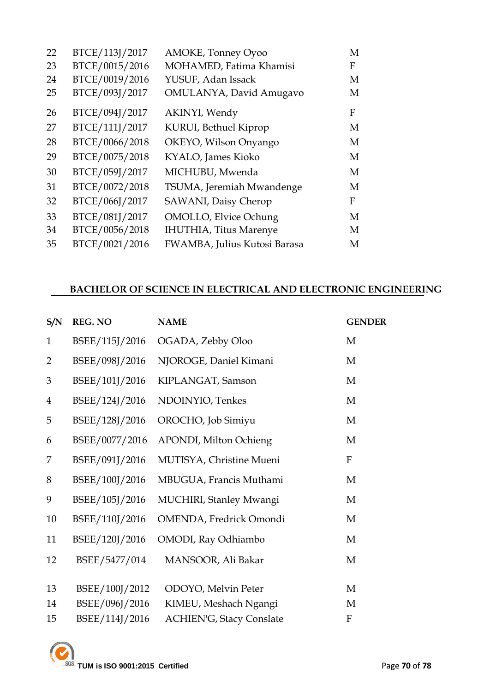| 22 | BTCE/113J/2017 | AMOKE, Tonney Oyoo             | M |
|----|----------------|--------------------------------|---|
| 23 | BTCE/0015/2016 | MOHAMED, Fatima Khamisi        | F |
| 24 | BTCE/0019/2016 | YUSUF, Adan Issack             | M |
| 25 | BTCE/093J/2017 | OMULANYA, David Amugavo        | M |
| 26 | BTCE/094J/2017 | AKINYI, Wendy                  | F |
| 27 | BTCE/111J/2017 | KURUI, Bethuel Kiprop          | M |
| 28 | BTCE/0066/2018 | OKEYO, Wilson Onyango          | M |
| 29 | BTCE/0075/2018 | KYALO, James Kioko             | M |
| 30 | BTCE/059J/2017 | MICHUBU, Mwenda                | M |
| 31 | BTCE/0072/2018 | TSUMA, Jeremiah Mwandenge      | M |
| 32 | BTCE/066J/2017 | SAWANI, Daisy Cherop           | F |
| 33 | BTCE/081J/2017 | <b>OMOLLO, Elvice Ochung</b>   | M |
| 34 | BTCE/0056/2018 | <b>IHUTHIA</b> , Titus Marenye | M |
| 35 | BTCE/0021/2016 | FWAMBA, Julius Kutosi Barasa   | M |

#### **BACHELOR OF SCIENCE IN ELECTRICAL AND ELECTRONIC ENGINEERING**

| S/N            | <b>REG. NO</b> | <b>NAME</b>                     | <b>GENDER</b> |
|----------------|----------------|---------------------------------|---------------|
| $\mathbf{1}$   | BSEE/115J/2016 | OGADA, Zebby Oloo               | M             |
| $\overline{2}$ | BSEE/098J/2016 | NJOROGE, Daniel Kimani          | M             |
| 3              | BSEE/101J/2016 | KIPLANGAT, Samson               | M             |
| $\overline{4}$ | BSEE/124J/2016 | NDOINYIO, Tenkes                | M             |
| 5              | BSEE/128J/2016 | OROCHO, Job Simiyu              | M             |
| 6              | BSEE/0077/2016 | APONDI, Milton Ochieng          | M             |
| 7              | BSEE/091J/2016 | MUTISYA, Christine Mueni        | $\mathbf F$   |
| 8              | BSEE/100J/2016 | MBUGUA, Francis Muthami         | M             |
| 9              | BSEE/105J/2016 | MUCHIRI, Stanley Mwangi         | M             |
| 10             | BSEE/110J/2016 | OMENDA, Fredrick Omondi         | M             |
| 11             | BSEE/120J/2016 | OMODI, Ray Odhiambo             | M             |
| 12             | BSEE/5477/014  | MANSOOR, Ali Bakar              | M             |
| 13             | BSEE/100J/2012 | ODOYO, Melvin Peter             | M             |
| 14             | BSEE/096J/2016 | KIMEU, Meshach Ngangi           | M             |
| 15             | BSEE/114J/2016 | <b>ACHIEN'G, Stacy Conslate</b> | ${\bf F}$     |
|                |                |                                 |               |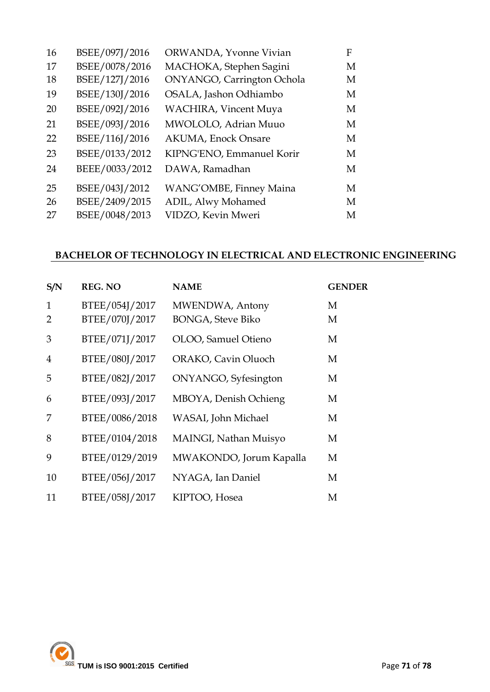| BSEE/097J/2016 | ORWANDA, Yvonne Vivian        | F |
|----------------|-------------------------------|---|
| BSEE/0078/2016 | MACHOKA, Stephen Sagini       | M |
| BSEE/127J/2016 | ONYANGO, Carrington Ochola    | M |
| BSEE/130J/2016 | OSALA, Jashon Odhiambo        | M |
| BSEE/092J/2016 | <b>WACHIRA</b> , Vincent Muya | M |
| BSEE/093J/2016 | MWOLOLO, Adrian Muuo          | M |
| BSEE/116J/2016 | <b>AKUMA</b> , Enock Onsare   | M |
| BSEE/0133/2012 | KIPNG'ENO, Emmanuel Korir     | M |
| BEEE/0033/2012 | DAWA, Ramadhan                | M |
| BSEE/043J/2012 | WANG'OMBE, Finney Maina       | M |
| BSEE/2409/2015 | ADIL, Alwy Mohamed            | M |
| BSEE/0048/2013 | VIDZO, Kevin Mweri            | M |
|                |                               |   |

#### **BACHELOR OF TECHNOLOGY IN ELECTRICAL AND ELECTRONIC ENGINEERING**

| S/N    | <b>REG. NO</b>                   | <b>NAME</b>                                  | <b>GENDER</b> |
|--------|----------------------------------|----------------------------------------------|---------------|
| 1<br>2 | BTEE/054J/2017<br>BTEE/070J/2017 | MWENDWA, Antony<br><b>BONGA</b> , Steve Biko | М<br>M        |
| 3      | BTEE/071J/2017                   | OLOO, Samuel Otieno                          | M             |
| 4      | BTEE/080J/2017                   | <b>ORAKO, Cavin Oluoch</b>                   | M             |
| 5      | BTEE/082J/2017                   | ONYANGO, Syfesington                         | M             |
| 6      | BTEE/093J/2017                   | MBOYA, Denish Ochieng                        | M             |
| 7      | BTEE/0086/2018                   | WASAI, John Michael                          | M             |
| 8      | BTEE/0104/2018                   | MAINGI, Nathan Muisyo                        | М             |
| 9      | BTEE/0129/2019                   | MWAKONDO, Jorum Kapalla                      | M             |
| 10     | BTEE/056J/2017                   | NYAGA, Ian Daniel                            | M             |
| 11     | BTEE/058J/2017                   | KIPTOO, Hosea                                | M             |

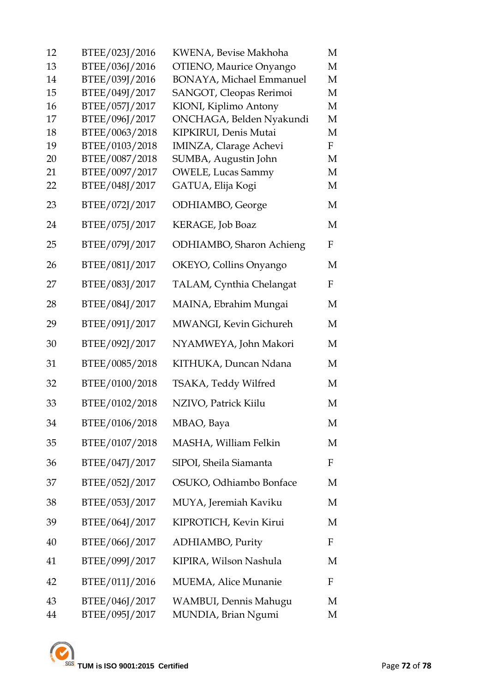| 12       | BTEE/023J/2016                   | KWENA, Bevise Makhoha                             | M      |
|----------|----------------------------------|---------------------------------------------------|--------|
| 13       | BTEE/036J/2016                   | OTIENO, Maurice Onyango                           | M      |
| 14       | BTEE/039J/2016                   | <b>BONAYA, Michael Emmanuel</b>                   | M      |
| 15       | BTEE/049J/2017                   | SANGOT, Cleopas Rerimoi                           | M      |
| 16       | BTEE/057J/2017                   | KIONI, Kiplimo Antony                             | M      |
| 17<br>18 | BTEE/096J/2017<br>BTEE/0063/2018 | ONCHAGA, Belden Nyakundi<br>KIPKIRUI, Denis Mutai | M<br>M |
| 19       | BTEE/0103/2018                   | <b>IMINZA, Clarage Achevi</b>                     | F      |
| 20       | BTEE/0087/2018                   | SUMBA, Augustin John                              | M      |
| 21       | BTEE/0097/2017                   | <b>OWELE, Lucas Sammy</b>                         | M      |
| 22       | BTEE/048J/2017                   | GATUA, Elija Kogi                                 | M      |
| 23       | BTEE/072J/2017                   | ODHIAMBO, George                                  | M      |
| 24       | BTEE/075J/2017                   | KERAGE, Job Boaz                                  | M      |
| 25       | BTEE/079J/2017                   | <b>ODHIAMBO</b> , Sharon Achieng                  | F      |
| 26       | BTEE/081J/2017                   | OKEYO, Collins Onyango                            | M      |
| 27       | BTEE/083J/2017                   | TALAM, Cynthia Chelangat                          | F      |
| 28       | BTEE/084J/2017                   | MAINA, Ebrahim Mungai                             | M      |
| 29       | BTEE/091J/2017                   | MWANGI, Kevin Gichureh                            | M      |
| 30       | BTEE/092J/2017                   | NYAMWEYA, John Makori                             | M      |
| 31       | BTEE/0085/2018                   | KITHUKA, Duncan Ndana                             | M      |
| 32       | BTEE/0100/2018                   | TSAKA, Teddy Wilfred                              | M      |
| 33       | BTEE/0102/2018                   | NZIVO, Patrick Kiilu                              | M      |
| 34       | BTEE/0106/2018                   | MBAO, Baya                                        | M      |
| 35       | BTEE/0107/2018                   | MASHA, William Felkin                             | M      |
| 36       | BTEE/047J/2017                   | SIPOI, Sheila Siamanta                            | F      |
| 37       | BTEE/052J/2017                   | OSUKO, Odhiambo Bonface                           | M      |
| 38       | BTEE/053J/2017                   | MUYA, Jeremiah Kaviku                             | M      |
| 39       | BTEE/064J/2017                   | KIPROTICH, Kevin Kirui                            | M      |
| 40       | BTEE/066J/2017                   | ADHIAMBO, Purity                                  | F      |
| 41       | BTEE/099J/2017                   | KIPIRA, Wilson Nashula                            | M      |
| 42       | BTEE/011J/2016                   | MUEMA, Alice Munanie                              | F      |
| 43<br>44 | BTEE/046J/2017<br>BTEE/095J/2017 | WAMBUI, Dennis Mahugu<br>MUNDIA, Brian Ngumi      | M<br>M |

TUM is ISO 9001:2015 Certified Page 72 of 78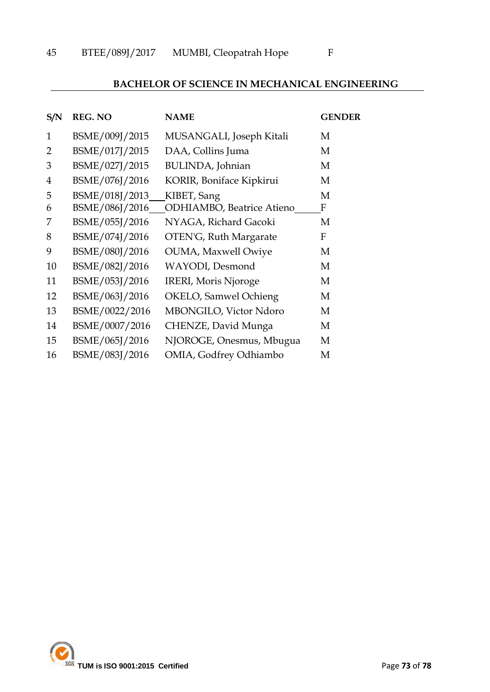## **BACHELOR OF SCIENCE IN MECHANICAL ENGINEERING**

| S/N            | <b>REG. NO</b> | <b>NAME</b>                       | <b>GENDER</b> |
|----------------|----------------|-----------------------------------|---------------|
| $\mathbf{1}$   | BSME/009J/2015 | MUSANGALI, Joseph Kitali          | M             |
| 2              | BSME/017J/2015 | DAA, Collins Juma                 | M             |
| 3              | BSME/027J/2015 | BULINDA, Johnian                  | M             |
| $\overline{4}$ | BSME/076J/2016 | KORIR, Boniface Kipkirui          | M             |
| 5              | BSME/018J/2013 | KIBET, Sang                       | M             |
| 6              | BSME/086J/2016 | <b>ODHIAMBO</b> , Beatrice Atieno | F             |
| 7              | BSME/055J/2016 | NYAGA, Richard Gacoki             | M             |
| 8              | BSME/074J/2016 | OTEN'G, Ruth Margarate            | F             |
| 9              | BSME/080J/2016 | <b>OUMA, Maxwell Owiye</b>        | M             |
| 10             | BSME/082J/2016 | WAYODI, Desmond                   | M             |
| 11             | BSME/053J/2016 | <b>IRERI, Moris Njoroge</b>       | M             |
| 12             | BSME/063J/2016 | OKELO, Samwel Ochieng             | M             |
| 13             | BSME/0022/2016 | <b>MBONGILO, Victor Ndoro</b>     | M             |
| 14             | BSME/0007/2016 | CHENZE, David Munga               | M             |
| 15             | BSME/065J/2016 | NJOROGE, Onesmus, Mbugua          | M             |
| 16             | BSME/083J/2016 | OMIA, Godfrey Odhiambo            | M             |

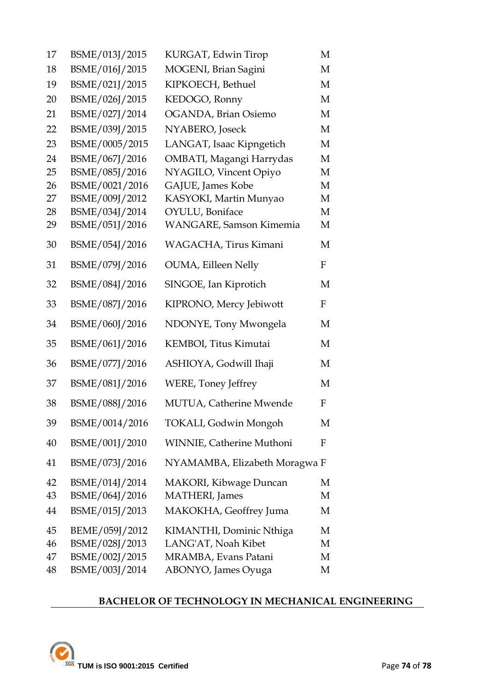| 17 | BSME/013J/2015 | KURGAT, Edwin Tirop               | М |
|----|----------------|-----------------------------------|---|
| 18 | BSME/016J/2015 | MOGENI, Brian Sagini              | М |
| 19 | BSME/021J/2015 | KIPKOECH, Bethuel                 | М |
| 20 | BSME/026J/2015 | KEDOGO, Ronny                     | М |
| 21 | BSME/027J/2014 | OGANDA, Brian Osiemo              | М |
| 22 | BSME/039J/2015 | NYABERO, Joseck                   | M |
| 23 | BSME/0005/2015 | LANGAT, Isaac Kipngetich          | М |
| 24 | BSME/067J/2016 | OMBATI, Magangi Harrydas          | М |
| 25 | BSME/085J/2016 | NYAGILO, Vincent Opiyo            | М |
| 26 | BSME/0021/2016 | GAJUE, James Kobe                 | М |
| 27 | BSME/009J/2012 | KASYOKI, Martin Munyao            | М |
| 28 | BSME/034J/2014 | OYULU, Boniface                   | М |
| 29 | BSME/051J/2016 | <b>WANGARE, Samson Kimemia</b>    | М |
| 30 | BSME/054J/2016 | WAGACHA, Tirus Kimani             | М |
| 31 | BSME/079J/2016 | <b>OUMA</b> , Eilleen Nelly       | F |
| 32 | BSME/084J/2016 | SINGOE, Ian Kiprotich             | M |
| 33 | BSME/087J/2016 | KIPRONO, Mercy Jebiwott           | F |
| 34 | BSME/060J/2016 | NDONYE, Tony Mwongela             | M |
| 35 | BSME/061J/2016 | KEMBOI, Titus Kimutai             | M |
| 36 | BSME/077J/2016 | ASHIOYA, Godwill Ihaji            | M |
| 37 | BSME/081J/2016 | <b>WERE, Toney Jeffrey</b>        | М |
| 38 | BSME/088J/2016 | MUTUA, Catherine Mwende           | F |
| 39 | BSME/0014/2016 | TOKALI, Godwin Mongoh             | М |
| 40 | BSME/001J/2010 | <b>WINNIE</b> , Catherine Muthoni | F |
| 41 | BSME/073J/2016 | NYAMAMBA, Elizabeth Moragwa F     |   |
| 42 | BSME/014J/2014 | MAKORI, Kibwage Duncan            | М |
| 43 | BSME/064J/2016 | <b>MATHERI</b> , James            | М |
| 44 | BSME/015J/2013 | MAKOKHA, Geoffrey Juma            | М |
| 45 | BEME/059J/2012 | KIMANTHI, Dominic Nthiga          | М |
| 46 | BSME/028J/2013 | LANG'AT, Noah Kibet               | М |
| 47 | BSME/002J/2015 | MRAMBA, Evans Patani              | М |
| 48 | BSME/003J/2014 | ABONYO, James Oyuga               | М |

# **BACHELOR OF TECHNOLOGY IN MECHANICAL ENGINEERING**

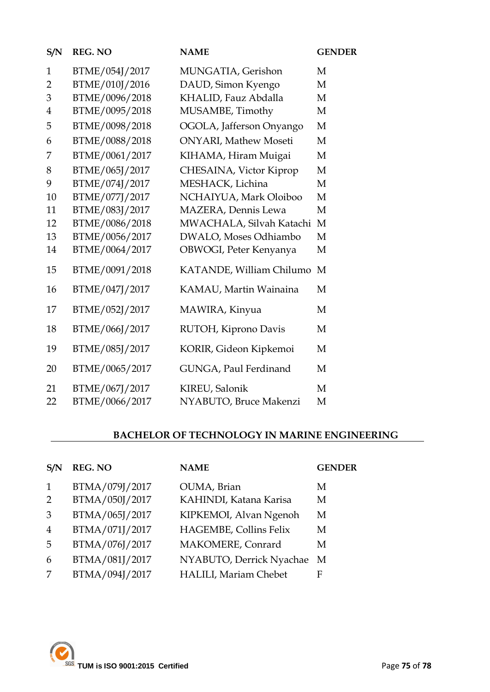| S/N            | <b>REG. NO</b> | <b>NAME</b>                   | <b>GENDER</b> |
|----------------|----------------|-------------------------------|---------------|
| $\mathbf{1}$   | BTME/054J/2017 | MUNGATIA, Gerishon            | M             |
| $\overline{2}$ | BTME/010J/2016 | DAUD, Simon Kyengo            | M             |
| 3              | BTME/0096/2018 | KHALID, Fauz Abdalla          | M             |
| $\overline{4}$ | BTME/0095/2018 | MUSAMBE, Timothy              | M             |
| 5              | BTME/0098/2018 | OGOLA, Jafferson Onyango      | M             |
| 6              | BTME/0088/2018 | <b>ONYARI</b> , Mathew Moseti | M             |
| 7              | BTME/0061/2017 | KIHAMA, Hiram Muigai          | M             |
| 8              | BTME/065J/2017 | CHESAINA, Victor Kiprop       | M             |
| 9              | BTME/074J/2017 | MESHACK, Lichina              | M             |
| 10             | BTME/077J/2017 | NCHAIYUA, Mark Oloiboo        | M             |
| 11             | BTME/083J/2017 | MAZERA, Dennis Lewa           | M             |
| 12             | BTME/0086/2018 | MWACHALA, Silvah Katachi      | M             |
| 13             | BTME/0056/2017 | DWALO, Moses Odhiambo         | M             |
| 14             | BTME/0064/2017 | OBWOGI, Peter Kenyanya        | M             |
| 15             | BTME/0091/2018 | KATANDE, William Chilumo M    |               |
| 16             | BTME/047J/2017 | KAMAU, Martin Wainaina        | M             |
| 17             | BTME/052J/2017 | MAWIRA, Kinyua                | M             |
| 18             | BTME/066J/2017 | RUTOH, Kiprono Davis          | M             |
| 19             | BTME/085J/2017 | KORIR, Gideon Kipkemoi        | M             |
| 20             | BTME/0065/2017 | GUNGA, Paul Ferdinand         | M             |
| 21             | BTME/067J/2017 | KIREU, Salonik                | M             |
| 22             | BTME/0066/2017 | NYABUTO, Bruce Makenzi        | M             |

## **BACHELOR OF TECHNOLOGY IN MARINE ENGINEERING**

| S/N            | <b>REG. NO</b> | <b>NAME</b>                  | <b>GENDER</b> |
|----------------|----------------|------------------------------|---------------|
| $\mathbf{1}$   | BTMA/079J/2017 | OUMA, Brian                  | M             |
| 2              | BTMA/050J/2017 | KAHINDI, Katana Karisa       | M             |
| 3              | BTMA/065J/2017 | KIPKEMOI, Alvan Ngenoh       | M             |
| $\overline{4}$ | BTMA/071J/2017 | HAGEMBE, Collins Felix       | M             |
| -5             | BTMA/076J/2017 | MAKOMERE, Conrard            | M             |
| 6              | BTMA/081J/2017 | NYABUTO, Derrick Nyachae     | M             |
| 7              | BTMA/094J/2017 | <b>HALILI, Mariam Chebet</b> | F             |
|                |                |                              |               |

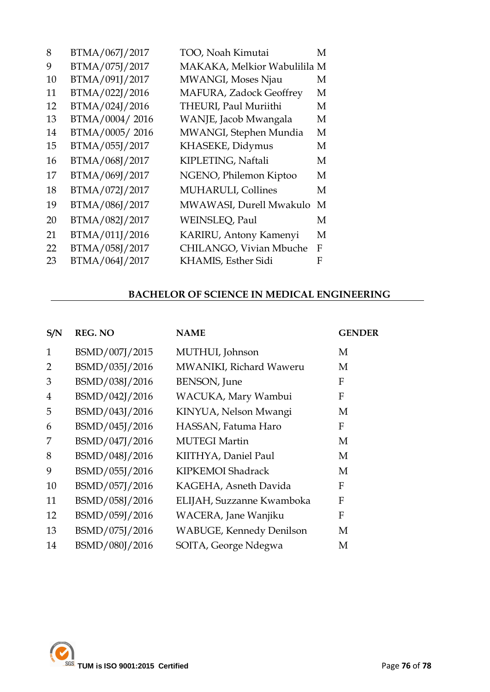| 8  | BTMA/067J/2017 | TOO, Noah Kimutai            | М |
|----|----------------|------------------------------|---|
| 9  | BTMA/075J/2017 | MAKAKA, Melkior Wabulilila M |   |
| 10 | BTMA/091J/2017 | MWANGI, Moses Njau           | М |
| 11 | BTMA/022J/2016 | MAFURA, Zadock Geoffrey      | М |
| 12 | BTMA/024J/2016 | THEURI, Paul Muriithi        | M |
| 13 | BTMA/0004/2016 | WANJE, Jacob Mwangala        | M |
| 14 | BTMA/0005/2016 | MWANGI, Stephen Mundia       | M |
| 15 | BTMA/055J/2017 | KHASEKE, Didymus             | М |
| 16 | BTMA/068J/2017 | KIPLETING, Naftali           | M |
| 17 | BTMA/069J/2017 | NGENO, Philemon Kiptoo       | M |
| 18 | BTMA/072J/2017 | <b>MUHARULI</b> , Collines   | M |
| 19 | BTMA/086J/2017 | MWAWASI, Durell Mwakulo      | M |
| 20 | BTMA/082J/2017 | WEINSLEQ, Paul               | М |
| 21 | BTMA/011J/2016 | KARIRU, Antony Kamenyi       | M |
| 22 | BTMA/058J/2017 | CHILANGO, Vivian Mbuche      | F |
| 23 | BTMA/064J/2017 | KHAMIS, Esther Sidi          | F |

## **BACHELOR OF SCIENCE IN MEDICAL ENGINEERING**

| S/N            | <b>REG. NO</b> | <b>NAME</b>                     | <b>GENDER</b> |
|----------------|----------------|---------------------------------|---------------|
| $\mathbf{1}$   | BSMD/007J/2015 | MUTHUI, Johnson                 | M             |
| $\overline{2}$ | BSMD/035J/2016 | MWANIKI, Richard Waweru         | M             |
| 3              | BSMD/038J/2016 | <b>BENSON</b> , June            | F             |
| $\overline{4}$ | BSMD/042J/2016 | WACUKA, Mary Wambui             | F             |
| 5              | BSMD/043J/2016 | KINYUA, Nelson Mwangi           | M             |
| 6              | BSMD/045J/2016 | HASSAN, Fatuma Haro             | F             |
| 7              | BSMD/047J/2016 | <b>MUTEGI Martin</b>            | M             |
| 8              | BSMD/048J/2016 | KIITHYA, Daniel Paul            | M             |
| 9              | BSMD/055J/2016 | KIPKEMOI Shadrack               | M             |
| 10             | BSMD/057J/2016 | KAGEHA, Asneth Davida           | $\mathbf{F}$  |
| 11             | BSMD/058J/2016 | ELIJAH, Suzzanne Kwamboka       | F             |
| 12             | BSMD/059J/2016 | WACERA, Jane Wanjiku            | $\mathbf{F}$  |
| 13             | BSMD/075J/2016 | <b>WABUGE, Kennedy Denilson</b> | M             |
| 14             | BSMD/080J/2016 | SOITA, George Ndegwa            | M             |

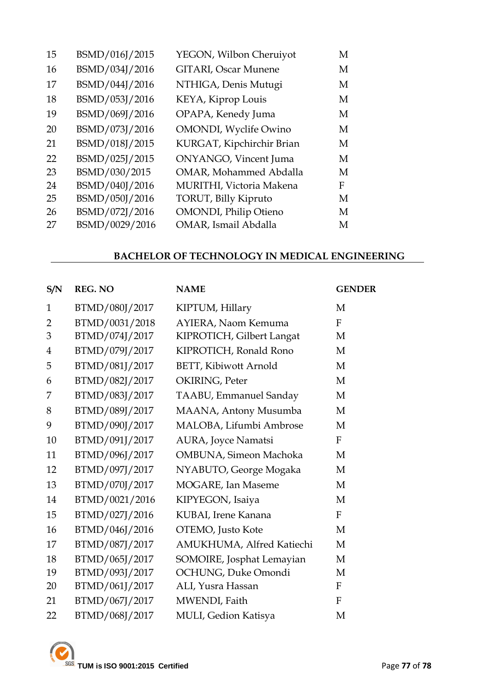| 15 | BSMD/016J/2015 | YEGON, Wilbon Cheruiyot       | M |
|----|----------------|-------------------------------|---|
| 16 | BSMD/034J/2016 | <b>GITARI, Oscar Munene</b>   | M |
| 17 | BSMD/044J/2016 | NTHIGA, Denis Mutugi          | M |
| 18 | BSMD/053J/2016 | KEYA, Kiprop Louis            | M |
| 19 | BSMD/069J/2016 | OPAPA, Kenedy Juma            | M |
| 20 | BSMD/073J/2016 | <b>OMONDI</b> , Wyclife Owino | M |
| 21 | BSMD/018J/2015 | KURGAT, Kipchirchir Brian     | M |
| 22 | BSMD/025J/2015 | ONYANGO, Vincent Juma         | M |
| 23 | BSMD/030/2015  | <b>OMAR, Mohammed Abdalla</b> | M |
| 24 | BSMD/040J/2016 | MURITHI, Victoria Makena      | F |
| 25 | BSMD/050J/2016 | TORUT, Billy Kipruto          | M |
| 26 | BSMD/072J/2016 | <b>OMONDI</b> , Philip Otieno | M |
| 27 | BSMD/0029/2016 | OMAR, Ismail Abdalla          | M |
|    |                |                               |   |

## **BACHELOR OF TECHNOLOGY IN MEDICAL ENGINEERING**

| S/N            | <b>REG. NO</b> | <b>NAME</b>                   | <b>GENDER</b>    |
|----------------|----------------|-------------------------------|------------------|
| $\mathbf{1}$   | BTMD/080J/2017 | KIPTUM, Hillary               | M                |
| $\overline{2}$ | BTMD/0031/2018 | AYIERA, Naom Kemuma           | $\mathbf{F}$     |
| 3              | BTMD/074J/2017 | KIPROTICH, Gilbert Langat     | M                |
| $\overline{4}$ | BTMD/079J/2017 | KIPROTICH, Ronald Rono        | M                |
| 5              | BTMD/081J/2017 | <b>BETT, Kibiwott Arnold</b>  | M                |
| 6              | BTMD/082J/2017 | OKIRING, Peter                | M                |
| 7              | BTMD/083J/2017 | <b>TAABU, Emmanuel Sanday</b> | M                |
| 8              | BTMD/089J/2017 | MAANA, Antony Musumba         | M                |
| 9              | BTMD/090J/2017 | MALOBA, Lifumbi Ambrose       | M                |
| 10             | BTMD/091J/2017 | AURA, Joyce Namatsi           | $\boldsymbol{F}$ |
| 11             | BTMD/096J/2017 | OMBUNA, Simeon Machoka        | M                |
| 12             | BTMD/097J/2017 | NYABUTO, George Mogaka        | M                |
| 13             | BTMD/070J/2017 | MOGARE, Ian Maseme            | M                |
| 14             | BTMD/0021/2016 | KIPYEGON, Isaiya              | M                |
| 15             | BTMD/027J/2016 | KUBAI, Irene Kanana           | $\mathbf F$      |
| 16             | BTMD/046J/2016 | OTEMO, Justo Kote             | M                |
| 17             | BTMD/087J/2017 | AMUKHUMA, Alfred Katiechi     | M                |
| 18             | BTMD/065J/2017 | SOMOIRE, Josphat Lemayian     | M                |
| 19             | BTMD/093J/2017 | OCHUNG, Duke Omondi           | M                |
| 20             | BTMD/061J/2017 | ALI, Yusra Hassan             | $\boldsymbol{F}$ |
| 21             | BTMD/067J/2017 | MWENDI, Faith                 | $\boldsymbol{F}$ |
| 22             | BTMD/068J/2017 | MULI, Gedion Katisya          | M                |

**TUM** is ISO 9001:2015 Certified All Accords 2008 27 of 78